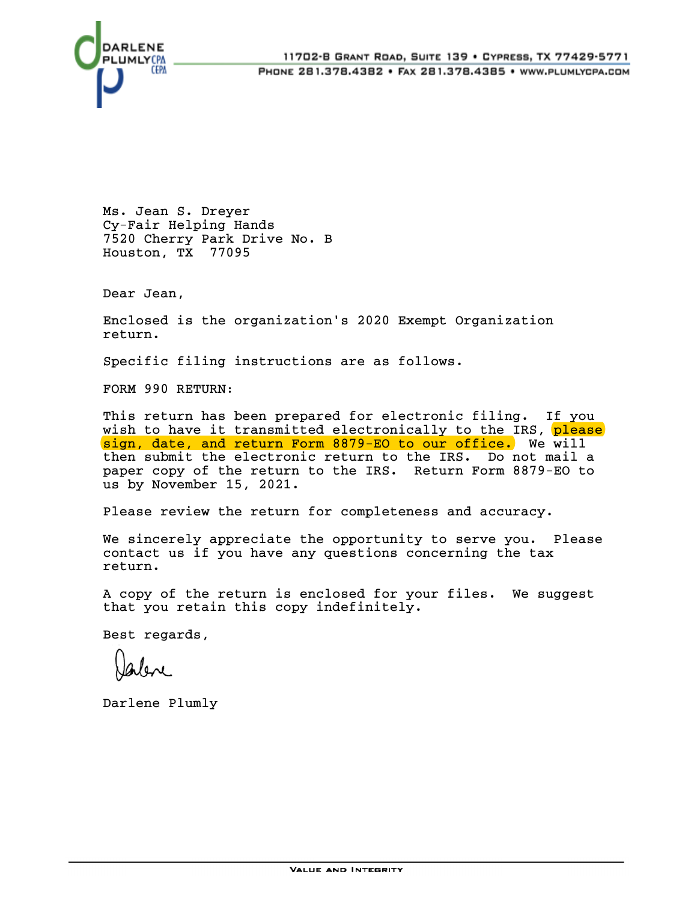



Ms. Jean S. Dreyer Cy-Fair Helping Hands 7520 Cherry Park Drive No. B Houston, TX 77095

Dear Jean,

Enclosed is the organization's 2020 Exempt Organization return.

Specific filing instructions are as follows.

FORM 990 RETURN:

This return has been prepared for electronic filing. If you wish to have it transmitted electronically to the IRS, please sign, date, and return Form 8879-EO to our office. We will then submit the electronic return to the IRS. Do not mail a paper copy of the return to the IRS. Return Form 8879-EO to us by November 15, 2021.

Please review the return for completeness and accuracy.

We sincerely appreciate the opportunity to serve you. Please contact us if you have any questions concerning the tax return.

A copy of the return is enclosed for your files. We suggest that you retain this copy indefinitely.

Best regards,

Darlene Plumly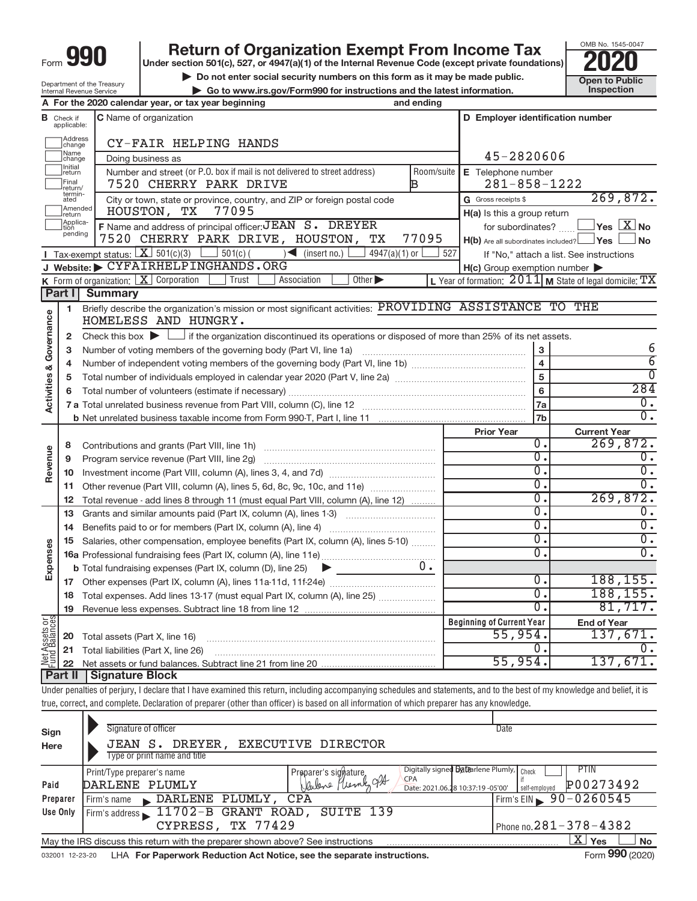# **990** Return of Organization Exempt From Income Tax **Punce 1845-004 2020**

▶ Do not enter social security numbers on this form as it may be made public. **Dependent Open to Public Dependent Open to Public and the latest information.** Inspection **| Go to www.irs.gov/Form990 for instructions and the latest information. Inspection**



Department of the Treasury Internal Revenue Service

|                                       |                                  | A For the 2020 calendar year, or tax year beginning<br>and ending                                                                                                          |            |                                                     |                                                           |
|---------------------------------------|----------------------------------|----------------------------------------------------------------------------------------------------------------------------------------------------------------------------|------------|-----------------------------------------------------|-----------------------------------------------------------|
|                                       | <b>B</b> Check if<br>applicable: | C Name of organization                                                                                                                                                     |            | D Employer identification number                    |                                                           |
|                                       | Address<br>Change                | CY-FAIR HELPING HANDS                                                                                                                                                      |            |                                                     |                                                           |
|                                       | Name<br>change                   | Doing business as                                                                                                                                                          |            | 45-2820606                                          |                                                           |
|                                       | Initial<br>return                | Number and street (or P.O. box if mail is not delivered to street address)                                                                                                 | Room/suite | E Telephone number                                  |                                                           |
|                                       | Final<br>return/                 | 7520 CHERRY PARK DRIVE<br>B                                                                                                                                                |            | $281 - 858 - 1222$                                  |                                                           |
|                                       | termin-<br>ated                  | City or town, state or province, country, and ZIP or foreign postal code                                                                                                   |            | G Gross receipts \$                                 | 269,872.                                                  |
|                                       | Amended<br>Ireturn               | 77095<br>HOUSTON, TX                                                                                                                                                       |            | H(a) Is this a group return                         |                                                           |
|                                       | Applica-<br>tion                 | F Name and address of principal officer: JEAN S. DREYER                                                                                                                    |            | for subordinates?                                   | $\Box$ Yes $\Box X$ No                                    |
|                                       | pending                          | 7520 CHERRY PARK DRIVE, HOUSTON, TX                                                                                                                                        | 77095      | $H(b)$ Are all subordinates included? $\Box$ Yes    | ⊿No                                                       |
|                                       |                                  | <b>I</b> Tax-exempt status: $\boxed{\mathbf{X}}$ 501(c)(3) $\boxed{\phantom{0}}$ 501(c) (<br>$\leq$ (insert no.)<br>4947(a)(1) or                                          | 527        |                                                     | If "No," attach a list. See instructions                  |
|                                       |                                  | J Website: CYFAIRHELPINGHANDS.ORG                                                                                                                                          |            | $H(c)$ Group exemption number $\blacktriangleright$ |                                                           |
|                                       |                                  | K Form of organization: $X$ Corporation<br>Other $\blacktriangleright$<br>Trust<br>Association                                                                             |            |                                                     | L Year of formation: $2011$ M State of legal domicile: TX |
|                                       | Part I                           | <b>Summary</b>                                                                                                                                                             |            |                                                     |                                                           |
|                                       | 1                                | Briefly describe the organization's mission or most significant activities: PROVIDING ASSISTANCE TO THE                                                                    |            |                                                     |                                                           |
|                                       |                                  | HOMELESS AND HUNGRY.                                                                                                                                                       |            |                                                     |                                                           |
| Governance<br><b>Activities &amp;</b> | 2                                | Check this box $\blacktriangleright$ $\Box$ if the organization discontinued its operations or disposed of more than 25% of its net assets.                                |            |                                                     |                                                           |
|                                       | 3                                |                                                                                                                                                                            |            | 3                                                   | 6                                                         |
|                                       | 4                                |                                                                                                                                                                            |            | $\overline{\mathbf{4}}$                             | $\overline{6}$                                            |
|                                       | 5                                |                                                                                                                                                                            |            | ${\bf 5}$                                           | $\overline{0}$                                            |
|                                       | 6                                |                                                                                                                                                                            |            | $\bf 6$                                             | 284                                                       |
|                                       |                                  |                                                                                                                                                                            |            | 7a                                                  | $\overline{0}$ .                                          |
|                                       |                                  |                                                                                                                                                                            |            | 7 <sub>b</sub>                                      | $\overline{0}$ .                                          |
|                                       |                                  |                                                                                                                                                                            |            | <b>Prior Year</b>                                   | <b>Current Year</b>                                       |
|                                       | 8                                |                                                                                                                                                                            |            | $\overline{0}$ .                                    | 269,872.                                                  |
|                                       | 9                                |                                                                                                                                                                            |            | σ.                                                  | $\overline{0}$ .                                          |
| Revenue                               | 10                               |                                                                                                                                                                            |            | $\overline{0}$ .                                    | $\overline{0}$ .                                          |
|                                       | 11                               | Other revenue (Part VIII, column (A), lines 5, 6d, 8c, 9c, 10c, and 11e)                                                                                                   |            | σ.                                                  | $\overline{0}$ .                                          |
|                                       | 12                               | Total revenue - add lines 8 through 11 (must equal Part VIII, column (A), line 12)                                                                                         |            | $\overline{0}$ .                                    | 269,872.                                                  |
|                                       | 13                               | Grants and similar amounts paid (Part IX, column (A), lines 1-3)                                                                                                           |            | σ.                                                  | 0.                                                        |
|                                       | 14                               |                                                                                                                                                                            |            | σ.                                                  | $\overline{0}$ .                                          |
|                                       | 15                               | Salaries, other compensation, employee benefits (Part IX, column (A), lines 5-10)                                                                                          |            | $\overline{0}$ .                                    | $\overline{0}$ .                                          |
| Expenses                              |                                  |                                                                                                                                                                            |            | σ.                                                  | $\overline{0}$ .                                          |
|                                       |                                  | <b>b</b> Total fundraising expenses (Part IX, column (D), line 25) $\blacktriangleright$                                                                                   |            |                                                     |                                                           |
|                                       |                                  |                                                                                                                                                                            |            | $\overline{0}$ .                                    | 188, 155.                                                 |
|                                       |                                  | 18 Total expenses. Add lines 13-17 (must equal Part IX, column (A), line 25)                                                                                               |            | σ.                                                  | 188, 155.                                                 |
|                                       |                                  | 19 Revenue less expenses. Subtract line 18 from line 12                                                                                                                    |            | $\overline{0}$ .                                    | 81,717.                                                   |
|                                       |                                  |                                                                                                                                                                            |            | <b>Beginning of Current Year</b>                    | <b>End of Year</b>                                        |
| Net Assets or<br>Fund Balances        |                                  | Total assets (Part X, line 16)                                                                                                                                             |            | 55,954.                                             | 137,671.                                                  |
|                                       | 20                               | Total liabilities (Part X, line 26)                                                                                                                                        |            | 0.                                                  | 0.                                                        |
|                                       | 21                               |                                                                                                                                                                            |            | 55,954.                                             | 137,671.                                                  |
|                                       | 22<br><b>Part II</b>             | <b>Signature Block</b>                                                                                                                                                     |            |                                                     |                                                           |
|                                       |                                  | Under penalties of perjury, I declare that I have examined this return, including accompanying schedules and statements, and to the best of my knowledge and belief, it is |            |                                                     |                                                           |
|                                       |                                  | true, correct, and complete. Declaration of preparer (other than officer) is based on all information of which preparer has any knowledge.                                 |            |                                                     |                                                           |
|                                       |                                  |                                                                                                                                                                            |            |                                                     |                                                           |
|                                       |                                  | Signature of officer                                                                                                                                                       |            | Date                                                |                                                           |
| Sign                                  |                                  |                                                                                                                                                                            |            |                                                     |                                                           |

| $-0.5$<br>Here  | DREYER,<br>EXECUTIVE DIRECTOR<br>JEAN S.<br>Type or print name and title                                 |                                |
|-----------------|----------------------------------------------------------------------------------------------------------|--------------------------------|
|                 | Digitally signed <b>Datearlene Plumly</b> , Check<br>Print/Type preparer's name<br>Preparer's signature. | PTIN                           |
| Paid            | Venleve Pleme 924<br><b>CPA</b><br>DARLENE PLUMLY<br>Date: 2021.06.28 10:37:19 -05'00'                   | P00273492<br>self-employed     |
| Preparer        | DARLENE PLUMLY, CPA<br>Firm's name                                                                       | Firm's EIN $\geq 90 - 0260545$ |
| Use Only        | Firm's address 11702-B GRANT ROAD, SUITE 139                                                             |                                |
|                 | CYPRESS, TX 77429                                                                                        | Phone no. $281 - 378 - 4382$   |
|                 | May the IRS discuss this return with the preparer shown above? See instructions                          | ΧI<br>Yes<br><b>No</b>         |
| 032001 12-23-20 | LHA For Paperwork Reduction Act Notice, see the separate instructions.                                   | Form 990 (2020)                |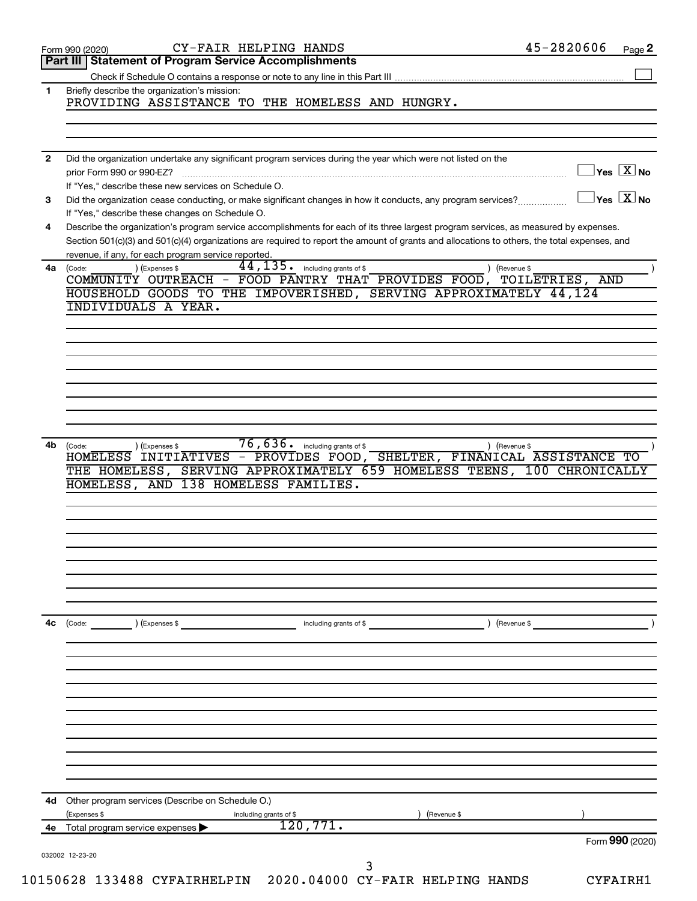|              | Part III   Statement of Program Service Accomplishments                                                                                      |                           |                                                |
|--------------|----------------------------------------------------------------------------------------------------------------------------------------------|---------------------------|------------------------------------------------|
|              |                                                                                                                                              |                           |                                                |
|              | Briefly describe the organization's mission:                                                                                                 |                           |                                                |
|              | PROVIDING ASSISTANCE TO THE HOMELESS AND HUNGRY.                                                                                             |                           |                                                |
|              |                                                                                                                                              |                           |                                                |
|              |                                                                                                                                              |                           |                                                |
| $\mathbf{2}$ | Did the organization undertake any significant program services during the year which were not listed on the                                 |                           |                                                |
|              |                                                                                                                                              |                           | $\overline{\ }$ Yes $\overline{\ \text{X}}$ No |
|              | If "Yes," describe these new services on Schedule O.                                                                                         |                           |                                                |
| 3            | Did the organization cease conducting, or make significant changes in how it conducts, any program services?                                 | $\Box$ Yes $\boxed{X}$ No |                                                |
|              | If "Yes," describe these changes on Schedule O.                                                                                              |                           |                                                |
| 4            | Describe the organization's program service accomplishments for each of its three largest program services, as measured by expenses.         |                           |                                                |
|              | Section 501(c)(3) and 501(c)(4) organizations are required to report the amount of grants and allocations to others, the total expenses, and |                           |                                                |
|              | revenue, if any, for each program service reported.                                                                                          |                           |                                                |
|              | 44, 135. including grants of \$<br>) (Expenses \$<br>4a (Code:<br>) (Revenue \$                                                              |                           |                                                |
|              | COMMUNITY OUTREACH - FOOD PANTRY THAT PROVIDES FOOD, TOILETRIES, AND                                                                         |                           |                                                |
|              | HOUSEHOLD GOODS TO THE IMPOVERISHED, SERVING APPROXIMATELY 44,124<br><b>INDIVIDUALS A YEAR.</b>                                              |                           |                                                |
|              |                                                                                                                                              |                           |                                                |
|              |                                                                                                                                              |                           |                                                |
|              |                                                                                                                                              |                           |                                                |
|              |                                                                                                                                              |                           |                                                |
|              |                                                                                                                                              |                           |                                                |
|              |                                                                                                                                              |                           |                                                |
|              |                                                                                                                                              |                           |                                                |
|              |                                                                                                                                              |                           |                                                |
|              |                                                                                                                                              |                           |                                                |
|              |                                                                                                                                              |                           |                                                |
|              |                                                                                                                                              |                           |                                                |
| 4b           | $\overline{76}$ , $\overline{636}$ including grants of \$<br>) (Expenses \$<br>) (Revenue \$<br>(Code:                                       |                           |                                                |
|              | HOMELESS INITIATIVES - PROVIDES FOOD, SHELTER, FINANICAL ASSISTANCE TO                                                                       |                           |                                                |
|              | SERVING APPROXIMATELY 659 HOMELESS TEENS, 100 CHRONICALLY<br>THE HOMELESS,                                                                   |                           |                                                |
|              | HOMELESS, AND 138 HOMELESS FAMILIES.                                                                                                         |                           |                                                |
|              |                                                                                                                                              |                           |                                                |
|              |                                                                                                                                              |                           |                                                |
|              |                                                                                                                                              |                           |                                                |
|              |                                                                                                                                              |                           |                                                |
|              |                                                                                                                                              |                           |                                                |
|              |                                                                                                                                              |                           |                                                |
|              |                                                                                                                                              |                           |                                                |
|              |                                                                                                                                              |                           |                                                |
|              |                                                                                                                                              |                           |                                                |
| 4с           | ) (Revenue \$<br>(Code: ) (Expenses \$<br>including grants of \$                                                                             |                           |                                                |
|              |                                                                                                                                              |                           |                                                |
|              |                                                                                                                                              |                           |                                                |
|              |                                                                                                                                              |                           |                                                |
|              |                                                                                                                                              |                           |                                                |
|              |                                                                                                                                              |                           |                                                |
|              |                                                                                                                                              |                           |                                                |
|              |                                                                                                                                              |                           |                                                |
|              |                                                                                                                                              |                           |                                                |
|              |                                                                                                                                              |                           |                                                |
|              |                                                                                                                                              |                           |                                                |
|              |                                                                                                                                              |                           |                                                |
|              |                                                                                                                                              |                           |                                                |
| 4d           | Other program services (Describe on Schedule O.)                                                                                             |                           |                                                |
|              | (Expenses \$<br>Revenue \$<br>including grants of \$                                                                                         |                           |                                                |
| 4е           | 120,771.<br>Total program service expenses >                                                                                                 |                           |                                                |
|              | 032002 12-23-20                                                                                                                              | Form 990 (2020)           |                                                |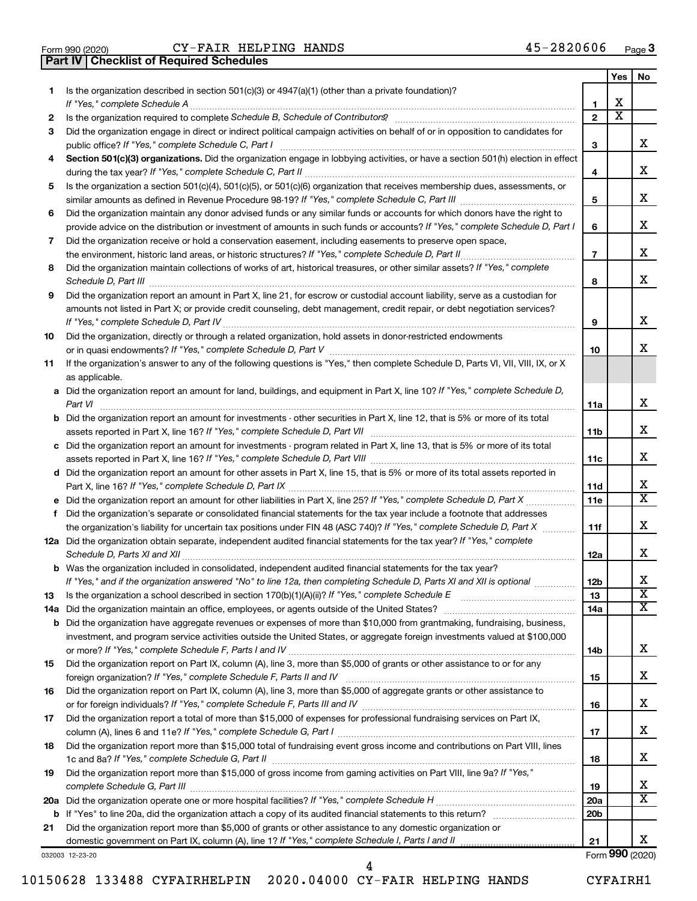|  | Form 990 (2020) |
|--|-----------------|

**Part IV Checklist of Required Schedules**

Form 990 (2020)  $CY-FAIR$   $HELPING$   $HANDS$   $45-2820606$   $Page$ 

|    |                                                                                                                                       |                        | Yes                          | No                      |
|----|---------------------------------------------------------------------------------------------------------------------------------------|------------------------|------------------------------|-------------------------|
| 1  | Is the organization described in section $501(c)(3)$ or $4947(a)(1)$ (other than a private foundation)?                               |                        |                              |                         |
|    | If "Yes," complete Schedule A                                                                                                         | 1                      | x<br>$\overline{\textbf{x}}$ |                         |
| 2  | Did the organization engage in direct or indirect political campaign activities on behalf of or in opposition to candidates for       | $\mathbf{2}$           |                              |                         |
| 3  | public office? If "Yes," complete Schedule C, Part I                                                                                  | 3                      |                              | x                       |
| 4  | Section 501(c)(3) organizations. Did the organization engage in lobbying activities, or have a section 501(h) election in effect      |                        |                              |                         |
|    |                                                                                                                                       | 4                      |                              | x                       |
| 5  | Is the organization a section 501(c)(4), 501(c)(5), or 501(c)(6) organization that receives membership dues, assessments, or          |                        |                              |                         |
|    |                                                                                                                                       | 5                      |                              | x                       |
| 6  | Did the organization maintain any donor advised funds or any similar funds or accounts for which donors have the right to             |                        |                              |                         |
|    | provide advice on the distribution or investment of amounts in such funds or accounts? If "Yes," complete Schedule D, Part I          | 6                      |                              | x                       |
| 7  | Did the organization receive or hold a conservation easement, including easements to preserve open space,                             |                        |                              |                         |
|    | the environment, historic land areas, or historic structures? If "Yes," complete Schedule D, Part II                                  | $\overline{7}$         |                              | X.                      |
| 8  | Did the organization maintain collections of works of art, historical treasures, or other similar assets? If "Yes," complete          |                        |                              |                         |
|    | Schedule D, Part III                                                                                                                  | 8                      |                              | x                       |
| 9  | Did the organization report an amount in Part X, line 21, for escrow or custodial account liability, serve as a custodian for         |                        |                              |                         |
|    | amounts not listed in Part X; or provide credit counseling, debt management, credit repair, or debt negotiation services?             | 9                      |                              | x                       |
| 10 | Did the organization, directly or through a related organization, hold assets in donor-restricted endowments                          |                        |                              |                         |
|    |                                                                                                                                       | 10                     |                              | x                       |
| 11 | If the organization's answer to any of the following questions is "Yes," then complete Schedule D, Parts VI, VII, VIII, IX, or X      |                        |                              |                         |
|    | as applicable.                                                                                                                        |                        |                              |                         |
|    | a Did the organization report an amount for land, buildings, and equipment in Part X, line 10? If "Yes," complete Schedule D,         |                        |                              |                         |
|    | Part VI                                                                                                                               | 11a                    |                              | x                       |
|    | <b>b</b> Did the organization report an amount for investments - other securities in Part X, line 12, that is 5% or more of its total |                        |                              |                         |
|    |                                                                                                                                       | 11b                    |                              | X.                      |
|    | c Did the organization report an amount for investments - program related in Part X, line 13, that is 5% or more of its total         |                        |                              |                         |
|    |                                                                                                                                       | 11c                    |                              | x                       |
|    | d Did the organization report an amount for other assets in Part X, line 15, that is 5% or more of its total assets reported in       | 11d                    |                              | х                       |
|    | e Did the organization report an amount for other liabilities in Part X, line 25? If "Yes," complete Schedule D, Part X               | 11e                    |                              | $\overline{\mathbf{x}}$ |
| f. | Did the organization's separate or consolidated financial statements for the tax year include a footnote that addresses               |                        |                              |                         |
|    | the organization's liability for uncertain tax positions under FIN 48 (ASC 740)? If "Yes," complete Schedule D, Part X                | 11f                    |                              | x                       |
|    | 12a Did the organization obtain separate, independent audited financial statements for the tax year? If "Yes," complete               |                        |                              |                         |
|    | Schedule D, Parts XI and XII                                                                                                          | 12a                    |                              | x                       |
|    | <b>b</b> Was the organization included in consolidated, independent audited financial statements for the tax year?                    |                        |                              |                         |
|    | If "Yes," and if the organization answered "No" to line 12a, then completing Schedule D, Parts XI and XII is optional                 | 12 <sub>b</sub>        |                              | х                       |
| 13 |                                                                                                                                       | 13                     |                              | $\overline{\textbf{x}}$ |
|    | 14a Did the organization maintain an office, employees, or agents outside of the United States?                                       | 14a                    |                              | X                       |
|    | <b>b</b> Did the organization have aggregate revenues or expenses of more than \$10,000 from grantmaking, fundraising, business,      |                        |                              |                         |
|    | investment, and program service activities outside the United States, or aggregate foreign investments valued at \$100,000            | 14b                    |                              | x                       |
| 15 | Did the organization report on Part IX, column (A), line 3, more than \$5,000 of grants or other assistance to or for any             |                        |                              |                         |
|    |                                                                                                                                       | 15                     |                              | x                       |
| 16 | Did the organization report on Part IX, column (A), line 3, more than \$5,000 of aggregate grants or other assistance to              |                        |                              |                         |
|    |                                                                                                                                       | 16                     |                              | x                       |
| 17 | Did the organization report a total of more than \$15,000 of expenses for professional fundraising services on Part IX,               |                        |                              |                         |
|    |                                                                                                                                       | 17                     |                              | x                       |
| 18 | Did the organization report more than \$15,000 total of fundraising event gross income and contributions on Part VIII, lines          |                        |                              |                         |
|    |                                                                                                                                       | 18                     |                              | X.                      |
| 19 | Did the organization report more than \$15,000 of gross income from gaming activities on Part VIII, line 9a? If "Yes,"                |                        |                              | X                       |
|    |                                                                                                                                       | 19                     |                              | X                       |
|    |                                                                                                                                       | 20a<br>20 <sub>b</sub> |                              |                         |
| 21 | Did the organization report more than \$5,000 of grants or other assistance to any domestic organization or                           |                        |                              |                         |
|    |                                                                                                                                       | 21                     |                              | x                       |
|    |                                                                                                                                       |                        |                              |                         |

032003 12-23-20

Form (2020) **990**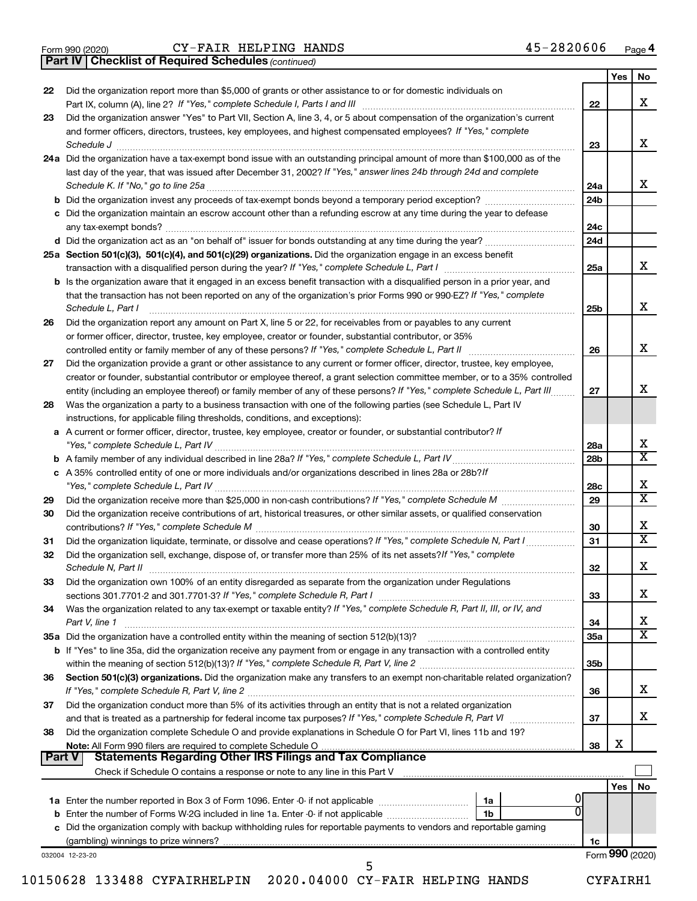|  | Form 990 (2020) |
|--|-----------------|
|  |                 |

*(continued)* **Part IV Checklist of Required Schedules**

|               |                                                                                                                                                                 |                 | Yes | No                          |
|---------------|-----------------------------------------------------------------------------------------------------------------------------------------------------------------|-----------------|-----|-----------------------------|
| 22            | Did the organization report more than \$5,000 of grants or other assistance to or for domestic individuals on                                                   | 22              |     | х                           |
| 23            | Did the organization answer "Yes" to Part VII, Section A, line 3, 4, or 5 about compensation of the organization's current                                      |                 |     |                             |
|               | and former officers, directors, trustees, key employees, and highest compensated employees? If "Yes," complete                                                  |                 |     |                             |
|               | Schedule J                                                                                                                                                      | 23              |     | х                           |
|               | 24a Did the organization have a tax-exempt bond issue with an outstanding principal amount of more than \$100,000 as of the                                     |                 |     |                             |
|               | last day of the year, that was issued after December 31, 2002? If "Yes," answer lines 24b through 24d and complete                                              |                 |     |                             |
|               |                                                                                                                                                                 | 24a             |     | x                           |
|               |                                                                                                                                                                 | 24b             |     |                             |
|               | c Did the organization maintain an escrow account other than a refunding escrow at any time during the year to defease                                          |                 |     |                             |
|               |                                                                                                                                                                 | 24c             |     |                             |
|               |                                                                                                                                                                 | 24d             |     |                             |
|               | 25a Section 501(c)(3), 501(c)(4), and 501(c)(29) organizations. Did the organization engage in an excess benefit                                                |                 |     |                             |
|               |                                                                                                                                                                 | 25a             |     | х                           |
|               | <b>b</b> Is the organization aware that it engaged in an excess benefit transaction with a disqualified person in a prior year, and                             |                 |     |                             |
|               | that the transaction has not been reported on any of the organization's prior Forms 990 or 990-EZ? If "Yes," complete                                           |                 |     |                             |
|               | Schedule L, Part I                                                                                                                                              | 25b             |     | х                           |
| 26            | Did the organization report any amount on Part X, line 5 or 22, for receivables from or payables to any current                                                 |                 |     |                             |
|               | or former officer, director, trustee, key employee, creator or founder, substantial contributor, or 35%                                                         |                 |     |                             |
|               | controlled entity or family member of any of these persons? If "Yes," complete Schedule L, Part II                                                              | 26              |     | х                           |
| 27            | Did the organization provide a grant or other assistance to any current or former officer, director, trustee, key employee,                                     |                 |     |                             |
|               | creator or founder, substantial contributor or employee thereof, a grant selection committee member, or to a 35% controlled                                     |                 |     |                             |
|               | entity (including an employee thereof) or family member of any of these persons? If "Yes," complete Schedule L, Part III.                                       | 27              |     | х                           |
| 28            | Was the organization a party to a business transaction with one of the following parties (see Schedule L, Part IV                                               |                 |     |                             |
|               | instructions, for applicable filing thresholds, conditions, and exceptions):                                                                                    |                 |     |                             |
|               | a A current or former officer, director, trustee, key employee, creator or founder, or substantial contributor? If                                              |                 |     | x                           |
|               |                                                                                                                                                                 | 28a             |     | $\overline{\text{x}}$       |
|               |                                                                                                                                                                 | 28 <sub>b</sub> |     |                             |
|               | c A 35% controlled entity of one or more individuals and/or organizations described in lines 28a or 28b?If                                                      | 28c             |     | x                           |
| 29            |                                                                                                                                                                 | 29              |     | $\overline{\textbf{x}}$     |
| 30            | Did the organization receive contributions of art, historical treasures, or other similar assets, or qualified conservation                                     |                 |     |                             |
|               |                                                                                                                                                                 | 30              |     | x                           |
| 31            | Did the organization liquidate, terminate, or dissolve and cease operations? If "Yes," complete Schedule N, Part I                                              | 31              |     | $\overline{\textnormal{x}}$ |
| 32            | Did the organization sell, exchange, dispose of, or transfer more than 25% of its net assets? If "Yes," complete                                                |                 |     |                             |
|               | Schedule N, Part II                                                                                                                                             | 32              |     | х                           |
| 33            | Did the organization own 100% of an entity disregarded as separate from the organization under Regulations                                                      |                 |     |                             |
|               | sections 301.7701-2 and 301.7701-3? If "Yes," complete Schedule R, Part I                                                                                       | 33              |     | х                           |
| 34            | Was the organization related to any tax-exempt or taxable entity? If "Yes," complete Schedule R, Part II, III, or IV, and                                       |                 |     |                             |
|               | Part V, line 1                                                                                                                                                  | 34              |     | х                           |
|               | 35a Did the organization have a controlled entity within the meaning of section 512(b)(13)?                                                                     | 35a             |     | $\overline{\mathbf{X}}$     |
|               | <b>b</b> If "Yes" to line 35a, did the organization receive any payment from or engage in any transaction with a controlled entity                              |                 |     |                             |
|               |                                                                                                                                                                 | 35b             |     |                             |
| 36            | Section 501(c)(3) organizations. Did the organization make any transfers to an exempt non-charitable related organization?                                      |                 |     |                             |
|               |                                                                                                                                                                 | 36              |     | х                           |
| 37            | Did the organization conduct more than 5% of its activities through an entity that is not a related organization                                                |                 |     |                             |
|               |                                                                                                                                                                 | 37              |     | x                           |
| 38            | Did the organization complete Schedule O and provide explanations in Schedule O for Part VI, lines 11b and 19?                                                  |                 |     |                             |
|               | Note: All Form 990 filers are required to complete Schedule O.                                                                                                  | 38              | х   |                             |
| <b>Part V</b> | <b>Statements Regarding Other IRS Filings and Tax Compliance</b>                                                                                                |                 |     |                             |
|               | Check if Schedule O contains a response or note to any line in this Part V [11] [12] Check if Schedule O contains a response or note to any line in this Part V |                 |     |                             |
|               | 0                                                                                                                                                               |                 | Yes | No                          |
|               | <b>1a</b> Enter the number reported in Box 3 of Form 1096. Enter -0- if not applicable <i>manumumumum</i><br>1a<br>1 <sub>b</sub>                               |                 |     |                             |
|               | c Did the organization comply with backup withholding rules for reportable payments to vendors and reportable gaming                                            |                 |     |                             |
|               |                                                                                                                                                                 | 1c              |     |                             |
|               | 032004 12-23-20                                                                                                                                                 |                 |     | Form 990 (2020)             |
|               | 5                                                                                                                                                               |                 |     |                             |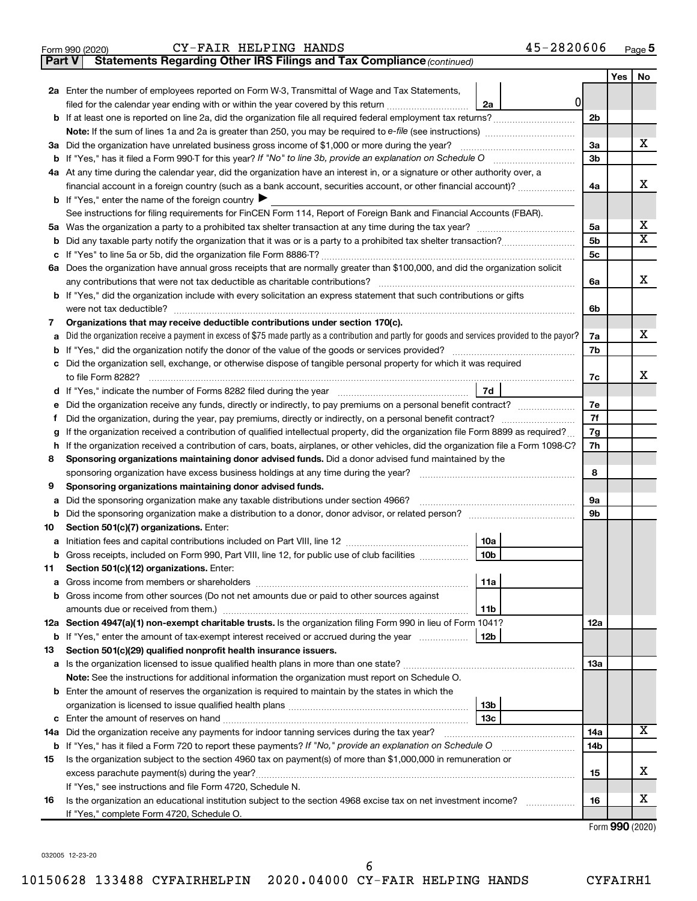| Form 990 (2020) |                                                                                     | CY-FAIR HELPING HANDS |  | 45-2820606 | Page |
|-----------------|-------------------------------------------------------------------------------------|-----------------------|--|------------|------|
|                 | <b>Part V</b> Statements Regarding Other IRS Filings and Tax Compliance (continued) |                       |  |            |      |

|        |                                                                                                                                                                                                                                            |                | Yes | No                      |  |  |
|--------|--------------------------------------------------------------------------------------------------------------------------------------------------------------------------------------------------------------------------------------------|----------------|-----|-------------------------|--|--|
|        | 2a Enter the number of employees reported on Form W-3, Transmittal of Wage and Tax Statements,                                                                                                                                             |                |     |                         |  |  |
|        | $\overline{0}$<br>filed for the calendar year ending with or within the year covered by this return<br>2a                                                                                                                                  |                |     |                         |  |  |
|        |                                                                                                                                                                                                                                            | 2 <sub>b</sub> |     |                         |  |  |
|        |                                                                                                                                                                                                                                            |                |     |                         |  |  |
|        | 3a Did the organization have unrelated business gross income of \$1,000 or more during the year?                                                                                                                                           |                |     |                         |  |  |
|        |                                                                                                                                                                                                                                            | 3b             |     |                         |  |  |
|        | 4a At any time during the calendar year, did the organization have an interest in, or a signature or other authority over, a                                                                                                               |                |     |                         |  |  |
|        | financial account in a foreign country (such as a bank account, securities account, or other financial account)?                                                                                                                           |                |     |                         |  |  |
|        | <b>b</b> If "Yes," enter the name of the foreign country $\blacktriangleright$                                                                                                                                                             |                |     |                         |  |  |
|        | See instructions for filing requirements for FinCEN Form 114, Report of Foreign Bank and Financial Accounts (FBAR).                                                                                                                        |                |     |                         |  |  |
|        |                                                                                                                                                                                                                                            | 5a             |     | x                       |  |  |
| b      |                                                                                                                                                                                                                                            | 5b             |     | $\overline{\textbf{x}}$ |  |  |
|        |                                                                                                                                                                                                                                            | 5c             |     |                         |  |  |
|        | 6a Does the organization have annual gross receipts that are normally greater than \$100,000, and did the organization solicit                                                                                                             |                |     |                         |  |  |
|        | any contributions that were not tax deductible as charitable contributions?                                                                                                                                                                | 6a             |     | х                       |  |  |
| b      | If "Yes," did the organization include with every solicitation an express statement that such contributions or gifts                                                                                                                       |                |     |                         |  |  |
|        | were not tax deductible?                                                                                                                                                                                                                   | 6b             |     |                         |  |  |
| 7      | Organizations that may receive deductible contributions under section 170(c).                                                                                                                                                              |                |     |                         |  |  |
| a      | Did the organization receive a payment in excess of \$75 made partly as a contribution and partly for goods and services provided to the payor?                                                                                            | 7a             |     | x                       |  |  |
| b      |                                                                                                                                                                                                                                            | 7b             |     |                         |  |  |
| c      | Did the organization sell, exchange, or otherwise dispose of tangible personal property for which it was required                                                                                                                          |                |     | x                       |  |  |
|        | to file Form 8282?                                                                                                                                                                                                                         | 7c             |     |                         |  |  |
| d      | 7d                                                                                                                                                                                                                                         |                |     |                         |  |  |
|        |                                                                                                                                                                                                                                            | 7e             |     |                         |  |  |
| Ť.     |                                                                                                                                                                                                                                            | 7f             |     |                         |  |  |
| g      | If the organization received a contribution of qualified intellectual property, did the organization file Form 8899 as required?                                                                                                           | 7g<br>7h       |     |                         |  |  |
| h<br>8 | If the organization received a contribution of cars, boats, airplanes, or other vehicles, did the organization file a Form 1098-C?<br>Sponsoring organizations maintaining donor advised funds. Did a donor advised fund maintained by the |                |     |                         |  |  |
|        | sponsoring organization have excess business holdings at any time during the year?                                                                                                                                                         | 8              |     |                         |  |  |
| 9      | Sponsoring organizations maintaining donor advised funds.                                                                                                                                                                                  |                |     |                         |  |  |
| а      | Did the sponsoring organization make any taxable distributions under section 4966?                                                                                                                                                         | <b>9a</b>      |     |                         |  |  |
| b      |                                                                                                                                                                                                                                            | 9b             |     |                         |  |  |
| 10     | Section 501(c)(7) organizations. Enter:                                                                                                                                                                                                    |                |     |                         |  |  |
| а      | 10a                                                                                                                                                                                                                                        |                |     |                         |  |  |
| b      | 10 <sub>b</sub><br>Gross receipts, included on Form 990, Part VIII, line 12, for public use of club facilities                                                                                                                             |                |     |                         |  |  |
| 11     | Section 501(c)(12) organizations. Enter:                                                                                                                                                                                                   |                |     |                         |  |  |
|        | 11a                                                                                                                                                                                                                                        |                |     |                         |  |  |
|        | Gross income from other sources (Do not net amounts due or paid to other sources against                                                                                                                                                   |                |     |                         |  |  |
|        | 11b                                                                                                                                                                                                                                        |                |     |                         |  |  |
|        | 12a Section 4947(a)(1) non-exempt charitable trusts. Is the organization filing Form 990 in lieu of Form 1041?                                                                                                                             | 12a            |     |                         |  |  |
|        | <b>b</b> If "Yes," enter the amount of tax-exempt interest received or accrued during the year<br>12b                                                                                                                                      |                |     |                         |  |  |
| 13     | Section 501(c)(29) qualified nonprofit health insurance issuers.                                                                                                                                                                           |                |     |                         |  |  |
|        |                                                                                                                                                                                                                                            | 13a            |     |                         |  |  |
|        | <b>Note:</b> See the instructions for additional information the organization must report on Schedule O.                                                                                                                                   |                |     |                         |  |  |
|        | <b>b</b> Enter the amount of reserves the organization is required to maintain by the states in which the                                                                                                                                  |                |     |                         |  |  |
|        | 13b                                                                                                                                                                                                                                        |                |     |                         |  |  |
| с      | Enter the amount of reserves on hand<br>13с                                                                                                                                                                                                |                |     |                         |  |  |
|        | 14a Did the organization receive any payments for indoor tanning services during the tax year?                                                                                                                                             | 14a            |     | x                       |  |  |
|        | <b>b</b> If "Yes," has it filed a Form 720 to report these payments? If "No," provide an explanation on Schedule O                                                                                                                         | 14b            |     |                         |  |  |
| 15     | Is the organization subject to the section 4960 tax on payment(s) of more than \$1,000,000 in remuneration or                                                                                                                              |                |     |                         |  |  |
|        |                                                                                                                                                                                                                                            | 15             |     | x                       |  |  |
|        | If "Yes," see instructions and file Form 4720, Schedule N.                                                                                                                                                                                 |                |     | x                       |  |  |
| 16     | Is the organization an educational institution subject to the section 4968 excise tax on net investment income?                                                                                                                            | 16             |     |                         |  |  |
|        | If "Yes," complete Form 4720, Schedule O.                                                                                                                                                                                                  |                |     |                         |  |  |

Form (2020) **990**

032005 12-23-20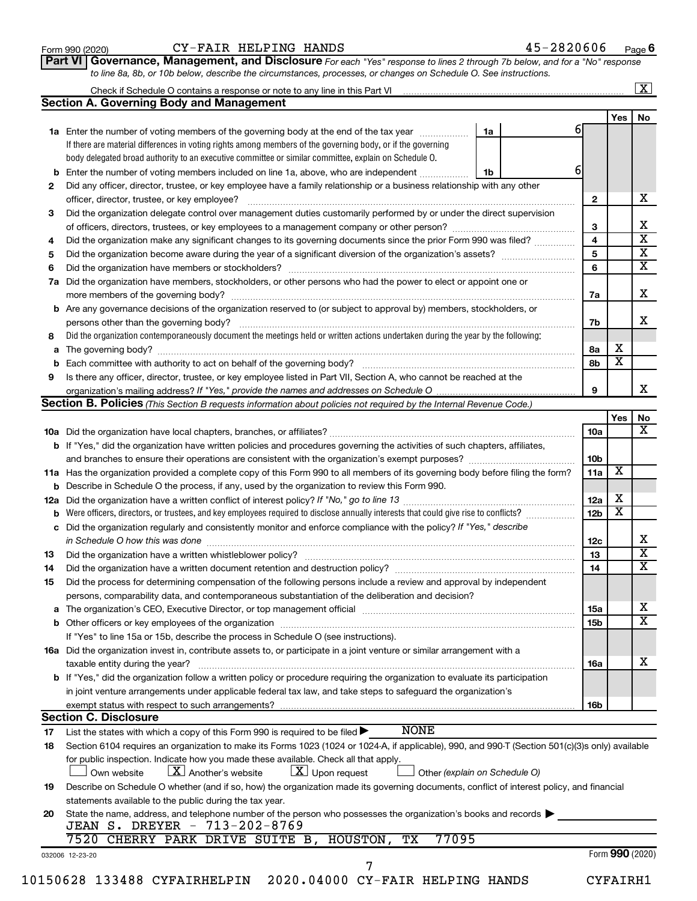| Form 990 (2020) |  |
|-----------------|--|
|-----------------|--|

#### Form 990 (2020)  $CY-FAIR$   $HELPING$   $HANDS$   $45-2820606$   $Page$

**Part VI** Governance, Management, and Disclosure For each "Yes" response to lines 2 through 7b below, and for a "No" response *to line 8a, 8b, or 10b below, describe the circumstances, processes, or changes on Schedule O. See instructions.*

| Yes<br>61<br>1a<br>1a Enter the number of voting members of the governing body at the end of the tax year<br>If there are material differences in voting rights among members of the governing body, or if the governing<br>body delegated broad authority to an executive committee or similar committee, explain on Schedule O.<br>6<br>Enter the number of voting members included on line 1a, above, who are independent<br>1b<br>b<br>Did any officer, director, trustee, or key employee have a family relationship or a business relationship with any other<br>2<br>$\mathbf{2}$<br>officer, director, trustee, or key employee?<br>Did the organization delegate control over management duties customarily performed by or under the direct supervision<br>3<br>3<br>$\overline{4}$<br>Did the organization make any significant changes to its governing documents since the prior Form 990 was filed?<br>4<br>5<br>5<br>6<br>6<br>Did the organization have members, stockholders, or other persons who had the power to elect or appoint one or<br>7a<br>7a<br><b>b</b> Are any governance decisions of the organization reserved to (or subject to approval by) members, stockholders, or<br>7b<br>persons other than the governing body?<br>Did the organization contemporaneously document the meetings held or written actions undertaken during the year by the following:<br>х<br>8а<br>$\overline{\text{x}}$<br>8b<br>Is there any officer, director, trustee, or key employee listed in Part VII, Section A, who cannot be reached at the<br>9<br>Section B. Policies (This Section B requests information about policies not required by the Internal Revenue Code.)<br>Yes<br>10a<br>b If "Yes," did the organization have written policies and procedures governing the activities of such chapters, affiliates,<br>10 <sub>b</sub><br>and branches to ensure their operations are consistent with the organization's exempt purposes? <i>managereconominion</i><br>$\overline{\mathbf{X}}$<br>11a Has the organization provided a complete copy of this Form 990 to all members of its governing body before filing the form?<br>11a<br><b>b</b> Describe in Schedule O the process, if any, used by the organization to review this Form 990.<br>х<br>12a<br>$\overline{\text{x}}$<br>12 <sub>b</sub><br>Were officers, directors, or trustees, and key employees required to disclose annually interests that could give rise to conflicts?<br>b<br>c Did the organization regularly and consistently monitor and enforce compliance with the policy? If "Yes," describe<br>in Schedule O how this was done manufactured and continuum and contact the way to the set of the set of the schedule O how this was done<br>12c<br>13<br>14<br>Did the organization have a written document retention and destruction policy? [11] manufaction manufaction in<br>Did the process for determining compensation of the following persons include a review and approval by independent<br>persons, comparability data, and contemporaneous substantiation of the deliberation and decision?<br>15a<br>15b<br>If "Yes" to line 15a or 15b, describe the process in Schedule O (see instructions).<br>16a Did the organization invest in, contribute assets to, or participate in a joint venture or similar arrangement with a<br>taxable entity during the year?<br>16a<br><b>b</b> If "Yes," did the organization follow a written policy or procedure requiring the organization to evaluate its participation<br>in joint venture arrangements under applicable federal tax law, and take steps to safeguard the organization's<br>16b<br>exempt status with respect to such arrangements?<br><b>Section C. Disclosure</b><br><b>NONE</b><br>List the states with which a copy of this Form 990 is required to be filed ><br>17<br>Section 6104 requires an organization to make its Forms 1023 (1024 or 1024-A, if applicable), 990, and 990-T (Section 501(c)(3)s only) available<br>for public inspection. Indicate how you made these available. Check all that apply.<br>$\lfloor X \rfloor$ Another's website<br>$ \underline{X} $ Upon request<br>Own website<br>Other (explain on Schedule O)<br>Describe on Schedule O whether (and if so, how) the organization made its governing documents, conflict of interest policy, and financial<br>19<br>statements available to the public during the tax year.<br>State the name, address, and telephone number of the person who possesses the organization's books and records<br>20<br>JEAN S. DREYER - 713-202-8769<br>7520 CHERRY PARK DRIVE SUITE B, HOUSTON, TX<br>77095<br>Form 990 (2020)<br>032006 12-23-20<br>10150628 133488 CYFAIRHELPIN 2020.04000 CY-FAIR HELPING HANDS<br>CYFAIRH1 |     | Check if Schedule O contains a response or note to any line in this Part VI [11] [12] [12] Check if Schedule O contains a response or note to any line in this Part VI |  | $\overline{\mathbf{X}}$                            |
|--------------------------------------------------------------------------------------------------------------------------------------------------------------------------------------------------------------------------------------------------------------------------------------------------------------------------------------------------------------------------------------------------------------------------------------------------------------------------------------------------------------------------------------------------------------------------------------------------------------------------------------------------------------------------------------------------------------------------------------------------------------------------------------------------------------------------------------------------------------------------------------------------------------------------------------------------------------------------------------------------------------------------------------------------------------------------------------------------------------------------------------------------------------------------------------------------------------------------------------------------------------------------------------------------------------------------------------------------------------------------------------------------------------------------------------------------------------------------------------------------------------------------------------------------------------------------------------------------------------------------------------------------------------------------------------------------------------------------------------------------------------------------------------------------------------------------------------------------------------------------------------------------------------------------------------------------------------------------------------------------------------------------------------------------------------------------------------------------------------------------------------------------------------------------------------------------------------------------------------------------------------------------------------------------------------------------------------------------------------------------------------------------------------------------------------------------------------------------------------------------------------------------------------------------------------------------------------------------------------------------------------------------------------------------------------------------------------------------------------------------------------------------------------------------------------------------------------------------------------------------------------------------------------------------------------------------------------------------------------------------------------------------------------------------------------------------------------------------------------------------------------------------------------------------------------------------------------------------------------------------------------------------------------------------------------------------------------------------------------------------------------------------------------------------------------------------------------------------------------------------------------------------------------------------------------------------------------------------------------------------------------------------------------------------------------------------------------------------------------------------------------------------------------------------------------------------------------------------------------------------------------------------------------------------------------------------------------------------------------------------------------------------------------------------------------------------------------------------------------------------------------------------------------------------------------------------------------------------------------------------------------------------------------------------------------------------------------------------------------------------------------------------------------------------------------------------------------------------------------------------------------------------------------------------------------------------------------------------------------------------------------------------------------------------------------------------------------------------------------------------------------------------------|-----|------------------------------------------------------------------------------------------------------------------------------------------------------------------------|--|----------------------------------------------------|
|                                                                                                                                                                                                                                                                                                                                                                                                                                                                                                                                                                                                                                                                                                                                                                                                                                                                                                                                                                                                                                                                                                                                                                                                                                                                                                                                                                                                                                                                                                                                                                                                                                                                                                                                                                                                                                                                                                                                                                                                                                                                                                                                                                                                                                                                                                                                                                                                                                                                                                                                                                                                                                                                                                                                                                                                                                                                                                                                                                                                                                                                                                                                                                                                                                                                                                                                                                                                                                                                                                                                                                                                                                                                                                                                                                                                                                                                                                                                                                                                                                                                                                                                                                                                                                                                                                                                                                                                                                                                                                                                                                                                                                                                                                                                                                                |     | <b>Section A. Governing Body and Management</b>                                                                                                                        |  | No                                                 |
|                                                                                                                                                                                                                                                                                                                                                                                                                                                                                                                                                                                                                                                                                                                                                                                                                                                                                                                                                                                                                                                                                                                                                                                                                                                                                                                                                                                                                                                                                                                                                                                                                                                                                                                                                                                                                                                                                                                                                                                                                                                                                                                                                                                                                                                                                                                                                                                                                                                                                                                                                                                                                                                                                                                                                                                                                                                                                                                                                                                                                                                                                                                                                                                                                                                                                                                                                                                                                                                                                                                                                                                                                                                                                                                                                                                                                                                                                                                                                                                                                                                                                                                                                                                                                                                                                                                                                                                                                                                                                                                                                                                                                                                                                                                                                                                |     |                                                                                                                                                                        |  |                                                    |
|                                                                                                                                                                                                                                                                                                                                                                                                                                                                                                                                                                                                                                                                                                                                                                                                                                                                                                                                                                                                                                                                                                                                                                                                                                                                                                                                                                                                                                                                                                                                                                                                                                                                                                                                                                                                                                                                                                                                                                                                                                                                                                                                                                                                                                                                                                                                                                                                                                                                                                                                                                                                                                                                                                                                                                                                                                                                                                                                                                                                                                                                                                                                                                                                                                                                                                                                                                                                                                                                                                                                                                                                                                                                                                                                                                                                                                                                                                                                                                                                                                                                                                                                                                                                                                                                                                                                                                                                                                                                                                                                                                                                                                                                                                                                                                                |     |                                                                                                                                                                        |  |                                                    |
|                                                                                                                                                                                                                                                                                                                                                                                                                                                                                                                                                                                                                                                                                                                                                                                                                                                                                                                                                                                                                                                                                                                                                                                                                                                                                                                                                                                                                                                                                                                                                                                                                                                                                                                                                                                                                                                                                                                                                                                                                                                                                                                                                                                                                                                                                                                                                                                                                                                                                                                                                                                                                                                                                                                                                                                                                                                                                                                                                                                                                                                                                                                                                                                                                                                                                                                                                                                                                                                                                                                                                                                                                                                                                                                                                                                                                                                                                                                                                                                                                                                                                                                                                                                                                                                                                                                                                                                                                                                                                                                                                                                                                                                                                                                                                                                |     |                                                                                                                                                                        |  |                                                    |
|                                                                                                                                                                                                                                                                                                                                                                                                                                                                                                                                                                                                                                                                                                                                                                                                                                                                                                                                                                                                                                                                                                                                                                                                                                                                                                                                                                                                                                                                                                                                                                                                                                                                                                                                                                                                                                                                                                                                                                                                                                                                                                                                                                                                                                                                                                                                                                                                                                                                                                                                                                                                                                                                                                                                                                                                                                                                                                                                                                                                                                                                                                                                                                                                                                                                                                                                                                                                                                                                                                                                                                                                                                                                                                                                                                                                                                                                                                                                                                                                                                                                                                                                                                                                                                                                                                                                                                                                                                                                                                                                                                                                                                                                                                                                                                                |     |                                                                                                                                                                        |  |                                                    |
|                                                                                                                                                                                                                                                                                                                                                                                                                                                                                                                                                                                                                                                                                                                                                                                                                                                                                                                                                                                                                                                                                                                                                                                                                                                                                                                                                                                                                                                                                                                                                                                                                                                                                                                                                                                                                                                                                                                                                                                                                                                                                                                                                                                                                                                                                                                                                                                                                                                                                                                                                                                                                                                                                                                                                                                                                                                                                                                                                                                                                                                                                                                                                                                                                                                                                                                                                                                                                                                                                                                                                                                                                                                                                                                                                                                                                                                                                                                                                                                                                                                                                                                                                                                                                                                                                                                                                                                                                                                                                                                                                                                                                                                                                                                                                                                |     |                                                                                                                                                                        |  |                                                    |
|                                                                                                                                                                                                                                                                                                                                                                                                                                                                                                                                                                                                                                                                                                                                                                                                                                                                                                                                                                                                                                                                                                                                                                                                                                                                                                                                                                                                                                                                                                                                                                                                                                                                                                                                                                                                                                                                                                                                                                                                                                                                                                                                                                                                                                                                                                                                                                                                                                                                                                                                                                                                                                                                                                                                                                                                                                                                                                                                                                                                                                                                                                                                                                                                                                                                                                                                                                                                                                                                                                                                                                                                                                                                                                                                                                                                                                                                                                                                                                                                                                                                                                                                                                                                                                                                                                                                                                                                                                                                                                                                                                                                                                                                                                                                                                                |     |                                                                                                                                                                        |  | x                                                  |
|                                                                                                                                                                                                                                                                                                                                                                                                                                                                                                                                                                                                                                                                                                                                                                                                                                                                                                                                                                                                                                                                                                                                                                                                                                                                                                                                                                                                                                                                                                                                                                                                                                                                                                                                                                                                                                                                                                                                                                                                                                                                                                                                                                                                                                                                                                                                                                                                                                                                                                                                                                                                                                                                                                                                                                                                                                                                                                                                                                                                                                                                                                                                                                                                                                                                                                                                                                                                                                                                                                                                                                                                                                                                                                                                                                                                                                                                                                                                                                                                                                                                                                                                                                                                                                                                                                                                                                                                                                                                                                                                                                                                                                                                                                                                                                                |     |                                                                                                                                                                        |  |                                                    |
|                                                                                                                                                                                                                                                                                                                                                                                                                                                                                                                                                                                                                                                                                                                                                                                                                                                                                                                                                                                                                                                                                                                                                                                                                                                                                                                                                                                                                                                                                                                                                                                                                                                                                                                                                                                                                                                                                                                                                                                                                                                                                                                                                                                                                                                                                                                                                                                                                                                                                                                                                                                                                                                                                                                                                                                                                                                                                                                                                                                                                                                                                                                                                                                                                                                                                                                                                                                                                                                                                                                                                                                                                                                                                                                                                                                                                                                                                                                                                                                                                                                                                                                                                                                                                                                                                                                                                                                                                                                                                                                                                                                                                                                                                                                                                                                |     |                                                                                                                                                                        |  | х                                                  |
|                                                                                                                                                                                                                                                                                                                                                                                                                                                                                                                                                                                                                                                                                                                                                                                                                                                                                                                                                                                                                                                                                                                                                                                                                                                                                                                                                                                                                                                                                                                                                                                                                                                                                                                                                                                                                                                                                                                                                                                                                                                                                                                                                                                                                                                                                                                                                                                                                                                                                                                                                                                                                                                                                                                                                                                                                                                                                                                                                                                                                                                                                                                                                                                                                                                                                                                                                                                                                                                                                                                                                                                                                                                                                                                                                                                                                                                                                                                                                                                                                                                                                                                                                                                                                                                                                                                                                                                                                                                                                                                                                                                                                                                                                                                                                                                |     |                                                                                                                                                                        |  | $\overline{\textbf{x}}$                            |
|                                                                                                                                                                                                                                                                                                                                                                                                                                                                                                                                                                                                                                                                                                                                                                                                                                                                                                                                                                                                                                                                                                                                                                                                                                                                                                                                                                                                                                                                                                                                                                                                                                                                                                                                                                                                                                                                                                                                                                                                                                                                                                                                                                                                                                                                                                                                                                                                                                                                                                                                                                                                                                                                                                                                                                                                                                                                                                                                                                                                                                                                                                                                                                                                                                                                                                                                                                                                                                                                                                                                                                                                                                                                                                                                                                                                                                                                                                                                                                                                                                                                                                                                                                                                                                                                                                                                                                                                                                                                                                                                                                                                                                                                                                                                                                                |     |                                                                                                                                                                        |  |                                                    |
|                                                                                                                                                                                                                                                                                                                                                                                                                                                                                                                                                                                                                                                                                                                                                                                                                                                                                                                                                                                                                                                                                                                                                                                                                                                                                                                                                                                                                                                                                                                                                                                                                                                                                                                                                                                                                                                                                                                                                                                                                                                                                                                                                                                                                                                                                                                                                                                                                                                                                                                                                                                                                                                                                                                                                                                                                                                                                                                                                                                                                                                                                                                                                                                                                                                                                                                                                                                                                                                                                                                                                                                                                                                                                                                                                                                                                                                                                                                                                                                                                                                                                                                                                                                                                                                                                                                                                                                                                                                                                                                                                                                                                                                                                                                                                                                |     |                                                                                                                                                                        |  | $\overline{\textbf{x}}$<br>$\overline{\textbf{x}}$ |
|                                                                                                                                                                                                                                                                                                                                                                                                                                                                                                                                                                                                                                                                                                                                                                                                                                                                                                                                                                                                                                                                                                                                                                                                                                                                                                                                                                                                                                                                                                                                                                                                                                                                                                                                                                                                                                                                                                                                                                                                                                                                                                                                                                                                                                                                                                                                                                                                                                                                                                                                                                                                                                                                                                                                                                                                                                                                                                                                                                                                                                                                                                                                                                                                                                                                                                                                                                                                                                                                                                                                                                                                                                                                                                                                                                                                                                                                                                                                                                                                                                                                                                                                                                                                                                                                                                                                                                                                                                                                                                                                                                                                                                                                                                                                                                                |     |                                                                                                                                                                        |  |                                                    |
|                                                                                                                                                                                                                                                                                                                                                                                                                                                                                                                                                                                                                                                                                                                                                                                                                                                                                                                                                                                                                                                                                                                                                                                                                                                                                                                                                                                                                                                                                                                                                                                                                                                                                                                                                                                                                                                                                                                                                                                                                                                                                                                                                                                                                                                                                                                                                                                                                                                                                                                                                                                                                                                                                                                                                                                                                                                                                                                                                                                                                                                                                                                                                                                                                                                                                                                                                                                                                                                                                                                                                                                                                                                                                                                                                                                                                                                                                                                                                                                                                                                                                                                                                                                                                                                                                                                                                                                                                                                                                                                                                                                                                                                                                                                                                                                |     |                                                                                                                                                                        |  | x                                                  |
|                                                                                                                                                                                                                                                                                                                                                                                                                                                                                                                                                                                                                                                                                                                                                                                                                                                                                                                                                                                                                                                                                                                                                                                                                                                                                                                                                                                                                                                                                                                                                                                                                                                                                                                                                                                                                                                                                                                                                                                                                                                                                                                                                                                                                                                                                                                                                                                                                                                                                                                                                                                                                                                                                                                                                                                                                                                                                                                                                                                                                                                                                                                                                                                                                                                                                                                                                                                                                                                                                                                                                                                                                                                                                                                                                                                                                                                                                                                                                                                                                                                                                                                                                                                                                                                                                                                                                                                                                                                                                                                                                                                                                                                                                                                                                                                |     |                                                                                                                                                                        |  |                                                    |
|                                                                                                                                                                                                                                                                                                                                                                                                                                                                                                                                                                                                                                                                                                                                                                                                                                                                                                                                                                                                                                                                                                                                                                                                                                                                                                                                                                                                                                                                                                                                                                                                                                                                                                                                                                                                                                                                                                                                                                                                                                                                                                                                                                                                                                                                                                                                                                                                                                                                                                                                                                                                                                                                                                                                                                                                                                                                                                                                                                                                                                                                                                                                                                                                                                                                                                                                                                                                                                                                                                                                                                                                                                                                                                                                                                                                                                                                                                                                                                                                                                                                                                                                                                                                                                                                                                                                                                                                                                                                                                                                                                                                                                                                                                                                                                                |     |                                                                                                                                                                        |  |                                                    |
|                                                                                                                                                                                                                                                                                                                                                                                                                                                                                                                                                                                                                                                                                                                                                                                                                                                                                                                                                                                                                                                                                                                                                                                                                                                                                                                                                                                                                                                                                                                                                                                                                                                                                                                                                                                                                                                                                                                                                                                                                                                                                                                                                                                                                                                                                                                                                                                                                                                                                                                                                                                                                                                                                                                                                                                                                                                                                                                                                                                                                                                                                                                                                                                                                                                                                                                                                                                                                                                                                                                                                                                                                                                                                                                                                                                                                                                                                                                                                                                                                                                                                                                                                                                                                                                                                                                                                                                                                                                                                                                                                                                                                                                                                                                                                                                |     |                                                                                                                                                                        |  | x                                                  |
|                                                                                                                                                                                                                                                                                                                                                                                                                                                                                                                                                                                                                                                                                                                                                                                                                                                                                                                                                                                                                                                                                                                                                                                                                                                                                                                                                                                                                                                                                                                                                                                                                                                                                                                                                                                                                                                                                                                                                                                                                                                                                                                                                                                                                                                                                                                                                                                                                                                                                                                                                                                                                                                                                                                                                                                                                                                                                                                                                                                                                                                                                                                                                                                                                                                                                                                                                                                                                                                                                                                                                                                                                                                                                                                                                                                                                                                                                                                                                                                                                                                                                                                                                                                                                                                                                                                                                                                                                                                                                                                                                                                                                                                                                                                                                                                | 8   |                                                                                                                                                                        |  |                                                    |
|                                                                                                                                                                                                                                                                                                                                                                                                                                                                                                                                                                                                                                                                                                                                                                                                                                                                                                                                                                                                                                                                                                                                                                                                                                                                                                                                                                                                                                                                                                                                                                                                                                                                                                                                                                                                                                                                                                                                                                                                                                                                                                                                                                                                                                                                                                                                                                                                                                                                                                                                                                                                                                                                                                                                                                                                                                                                                                                                                                                                                                                                                                                                                                                                                                                                                                                                                                                                                                                                                                                                                                                                                                                                                                                                                                                                                                                                                                                                                                                                                                                                                                                                                                                                                                                                                                                                                                                                                                                                                                                                                                                                                                                                                                                                                                                |     |                                                                                                                                                                        |  |                                                    |
|                                                                                                                                                                                                                                                                                                                                                                                                                                                                                                                                                                                                                                                                                                                                                                                                                                                                                                                                                                                                                                                                                                                                                                                                                                                                                                                                                                                                                                                                                                                                                                                                                                                                                                                                                                                                                                                                                                                                                                                                                                                                                                                                                                                                                                                                                                                                                                                                                                                                                                                                                                                                                                                                                                                                                                                                                                                                                                                                                                                                                                                                                                                                                                                                                                                                                                                                                                                                                                                                                                                                                                                                                                                                                                                                                                                                                                                                                                                                                                                                                                                                                                                                                                                                                                                                                                                                                                                                                                                                                                                                                                                                                                                                                                                                                                                |     |                                                                                                                                                                        |  |                                                    |
|                                                                                                                                                                                                                                                                                                                                                                                                                                                                                                                                                                                                                                                                                                                                                                                                                                                                                                                                                                                                                                                                                                                                                                                                                                                                                                                                                                                                                                                                                                                                                                                                                                                                                                                                                                                                                                                                                                                                                                                                                                                                                                                                                                                                                                                                                                                                                                                                                                                                                                                                                                                                                                                                                                                                                                                                                                                                                                                                                                                                                                                                                                                                                                                                                                                                                                                                                                                                                                                                                                                                                                                                                                                                                                                                                                                                                                                                                                                                                                                                                                                                                                                                                                                                                                                                                                                                                                                                                                                                                                                                                                                                                                                                                                                                                                                | 9   |                                                                                                                                                                        |  |                                                    |
|                                                                                                                                                                                                                                                                                                                                                                                                                                                                                                                                                                                                                                                                                                                                                                                                                                                                                                                                                                                                                                                                                                                                                                                                                                                                                                                                                                                                                                                                                                                                                                                                                                                                                                                                                                                                                                                                                                                                                                                                                                                                                                                                                                                                                                                                                                                                                                                                                                                                                                                                                                                                                                                                                                                                                                                                                                                                                                                                                                                                                                                                                                                                                                                                                                                                                                                                                                                                                                                                                                                                                                                                                                                                                                                                                                                                                                                                                                                                                                                                                                                                                                                                                                                                                                                                                                                                                                                                                                                                                                                                                                                                                                                                                                                                                                                |     |                                                                                                                                                                        |  |                                                    |
|                                                                                                                                                                                                                                                                                                                                                                                                                                                                                                                                                                                                                                                                                                                                                                                                                                                                                                                                                                                                                                                                                                                                                                                                                                                                                                                                                                                                                                                                                                                                                                                                                                                                                                                                                                                                                                                                                                                                                                                                                                                                                                                                                                                                                                                                                                                                                                                                                                                                                                                                                                                                                                                                                                                                                                                                                                                                                                                                                                                                                                                                                                                                                                                                                                                                                                                                                                                                                                                                                                                                                                                                                                                                                                                                                                                                                                                                                                                                                                                                                                                                                                                                                                                                                                                                                                                                                                                                                                                                                                                                                                                                                                                                                                                                                                                |     |                                                                                                                                                                        |  |                                                    |
|                                                                                                                                                                                                                                                                                                                                                                                                                                                                                                                                                                                                                                                                                                                                                                                                                                                                                                                                                                                                                                                                                                                                                                                                                                                                                                                                                                                                                                                                                                                                                                                                                                                                                                                                                                                                                                                                                                                                                                                                                                                                                                                                                                                                                                                                                                                                                                                                                                                                                                                                                                                                                                                                                                                                                                                                                                                                                                                                                                                                                                                                                                                                                                                                                                                                                                                                                                                                                                                                                                                                                                                                                                                                                                                                                                                                                                                                                                                                                                                                                                                                                                                                                                                                                                                                                                                                                                                                                                                                                                                                                                                                                                                                                                                                                                                |     |                                                                                                                                                                        |  | No.                                                |
|                                                                                                                                                                                                                                                                                                                                                                                                                                                                                                                                                                                                                                                                                                                                                                                                                                                                                                                                                                                                                                                                                                                                                                                                                                                                                                                                                                                                                                                                                                                                                                                                                                                                                                                                                                                                                                                                                                                                                                                                                                                                                                                                                                                                                                                                                                                                                                                                                                                                                                                                                                                                                                                                                                                                                                                                                                                                                                                                                                                                                                                                                                                                                                                                                                                                                                                                                                                                                                                                                                                                                                                                                                                                                                                                                                                                                                                                                                                                                                                                                                                                                                                                                                                                                                                                                                                                                                                                                                                                                                                                                                                                                                                                                                                                                                                |     |                                                                                                                                                                        |  |                                                    |
|                                                                                                                                                                                                                                                                                                                                                                                                                                                                                                                                                                                                                                                                                                                                                                                                                                                                                                                                                                                                                                                                                                                                                                                                                                                                                                                                                                                                                                                                                                                                                                                                                                                                                                                                                                                                                                                                                                                                                                                                                                                                                                                                                                                                                                                                                                                                                                                                                                                                                                                                                                                                                                                                                                                                                                                                                                                                                                                                                                                                                                                                                                                                                                                                                                                                                                                                                                                                                                                                                                                                                                                                                                                                                                                                                                                                                                                                                                                                                                                                                                                                                                                                                                                                                                                                                                                                                                                                                                                                                                                                                                                                                                                                                                                                                                                |     |                                                                                                                                                                        |  |                                                    |
|                                                                                                                                                                                                                                                                                                                                                                                                                                                                                                                                                                                                                                                                                                                                                                                                                                                                                                                                                                                                                                                                                                                                                                                                                                                                                                                                                                                                                                                                                                                                                                                                                                                                                                                                                                                                                                                                                                                                                                                                                                                                                                                                                                                                                                                                                                                                                                                                                                                                                                                                                                                                                                                                                                                                                                                                                                                                                                                                                                                                                                                                                                                                                                                                                                                                                                                                                                                                                                                                                                                                                                                                                                                                                                                                                                                                                                                                                                                                                                                                                                                                                                                                                                                                                                                                                                                                                                                                                                                                                                                                                                                                                                                                                                                                                                                |     |                                                                                                                                                                        |  |                                                    |
|                                                                                                                                                                                                                                                                                                                                                                                                                                                                                                                                                                                                                                                                                                                                                                                                                                                                                                                                                                                                                                                                                                                                                                                                                                                                                                                                                                                                                                                                                                                                                                                                                                                                                                                                                                                                                                                                                                                                                                                                                                                                                                                                                                                                                                                                                                                                                                                                                                                                                                                                                                                                                                                                                                                                                                                                                                                                                                                                                                                                                                                                                                                                                                                                                                                                                                                                                                                                                                                                                                                                                                                                                                                                                                                                                                                                                                                                                                                                                                                                                                                                                                                                                                                                                                                                                                                                                                                                                                                                                                                                                                                                                                                                                                                                                                                |     |                                                                                                                                                                        |  |                                                    |
|                                                                                                                                                                                                                                                                                                                                                                                                                                                                                                                                                                                                                                                                                                                                                                                                                                                                                                                                                                                                                                                                                                                                                                                                                                                                                                                                                                                                                                                                                                                                                                                                                                                                                                                                                                                                                                                                                                                                                                                                                                                                                                                                                                                                                                                                                                                                                                                                                                                                                                                                                                                                                                                                                                                                                                                                                                                                                                                                                                                                                                                                                                                                                                                                                                                                                                                                                                                                                                                                                                                                                                                                                                                                                                                                                                                                                                                                                                                                                                                                                                                                                                                                                                                                                                                                                                                                                                                                                                                                                                                                                                                                                                                                                                                                                                                |     |                                                                                                                                                                        |  |                                                    |
|                                                                                                                                                                                                                                                                                                                                                                                                                                                                                                                                                                                                                                                                                                                                                                                                                                                                                                                                                                                                                                                                                                                                                                                                                                                                                                                                                                                                                                                                                                                                                                                                                                                                                                                                                                                                                                                                                                                                                                                                                                                                                                                                                                                                                                                                                                                                                                                                                                                                                                                                                                                                                                                                                                                                                                                                                                                                                                                                                                                                                                                                                                                                                                                                                                                                                                                                                                                                                                                                                                                                                                                                                                                                                                                                                                                                                                                                                                                                                                                                                                                                                                                                                                                                                                                                                                                                                                                                                                                                                                                                                                                                                                                                                                                                                                                | 12a |                                                                                                                                                                        |  |                                                    |
|                                                                                                                                                                                                                                                                                                                                                                                                                                                                                                                                                                                                                                                                                                                                                                                                                                                                                                                                                                                                                                                                                                                                                                                                                                                                                                                                                                                                                                                                                                                                                                                                                                                                                                                                                                                                                                                                                                                                                                                                                                                                                                                                                                                                                                                                                                                                                                                                                                                                                                                                                                                                                                                                                                                                                                                                                                                                                                                                                                                                                                                                                                                                                                                                                                                                                                                                                                                                                                                                                                                                                                                                                                                                                                                                                                                                                                                                                                                                                                                                                                                                                                                                                                                                                                                                                                                                                                                                                                                                                                                                                                                                                                                                                                                                                                                |     |                                                                                                                                                                        |  |                                                    |
|                                                                                                                                                                                                                                                                                                                                                                                                                                                                                                                                                                                                                                                                                                                                                                                                                                                                                                                                                                                                                                                                                                                                                                                                                                                                                                                                                                                                                                                                                                                                                                                                                                                                                                                                                                                                                                                                                                                                                                                                                                                                                                                                                                                                                                                                                                                                                                                                                                                                                                                                                                                                                                                                                                                                                                                                                                                                                                                                                                                                                                                                                                                                                                                                                                                                                                                                                                                                                                                                                                                                                                                                                                                                                                                                                                                                                                                                                                                                                                                                                                                                                                                                                                                                                                                                                                                                                                                                                                                                                                                                                                                                                                                                                                                                                                                |     |                                                                                                                                                                        |  |                                                    |
|                                                                                                                                                                                                                                                                                                                                                                                                                                                                                                                                                                                                                                                                                                                                                                                                                                                                                                                                                                                                                                                                                                                                                                                                                                                                                                                                                                                                                                                                                                                                                                                                                                                                                                                                                                                                                                                                                                                                                                                                                                                                                                                                                                                                                                                                                                                                                                                                                                                                                                                                                                                                                                                                                                                                                                                                                                                                                                                                                                                                                                                                                                                                                                                                                                                                                                                                                                                                                                                                                                                                                                                                                                                                                                                                                                                                                                                                                                                                                                                                                                                                                                                                                                                                                                                                                                                                                                                                                                                                                                                                                                                                                                                                                                                                                                                |     |                                                                                                                                                                        |  |                                                    |
|                                                                                                                                                                                                                                                                                                                                                                                                                                                                                                                                                                                                                                                                                                                                                                                                                                                                                                                                                                                                                                                                                                                                                                                                                                                                                                                                                                                                                                                                                                                                                                                                                                                                                                                                                                                                                                                                                                                                                                                                                                                                                                                                                                                                                                                                                                                                                                                                                                                                                                                                                                                                                                                                                                                                                                                                                                                                                                                                                                                                                                                                                                                                                                                                                                                                                                                                                                                                                                                                                                                                                                                                                                                                                                                                                                                                                                                                                                                                                                                                                                                                                                                                                                                                                                                                                                                                                                                                                                                                                                                                                                                                                                                                                                                                                                                | 13  |                                                                                                                                                                        |  |                                                    |
|                                                                                                                                                                                                                                                                                                                                                                                                                                                                                                                                                                                                                                                                                                                                                                                                                                                                                                                                                                                                                                                                                                                                                                                                                                                                                                                                                                                                                                                                                                                                                                                                                                                                                                                                                                                                                                                                                                                                                                                                                                                                                                                                                                                                                                                                                                                                                                                                                                                                                                                                                                                                                                                                                                                                                                                                                                                                                                                                                                                                                                                                                                                                                                                                                                                                                                                                                                                                                                                                                                                                                                                                                                                                                                                                                                                                                                                                                                                                                                                                                                                                                                                                                                                                                                                                                                                                                                                                                                                                                                                                                                                                                                                                                                                                                                                | 14  |                                                                                                                                                                        |  |                                                    |
|                                                                                                                                                                                                                                                                                                                                                                                                                                                                                                                                                                                                                                                                                                                                                                                                                                                                                                                                                                                                                                                                                                                                                                                                                                                                                                                                                                                                                                                                                                                                                                                                                                                                                                                                                                                                                                                                                                                                                                                                                                                                                                                                                                                                                                                                                                                                                                                                                                                                                                                                                                                                                                                                                                                                                                                                                                                                                                                                                                                                                                                                                                                                                                                                                                                                                                                                                                                                                                                                                                                                                                                                                                                                                                                                                                                                                                                                                                                                                                                                                                                                                                                                                                                                                                                                                                                                                                                                                                                                                                                                                                                                                                                                                                                                                                                | 15  |                                                                                                                                                                        |  |                                                    |
|                                                                                                                                                                                                                                                                                                                                                                                                                                                                                                                                                                                                                                                                                                                                                                                                                                                                                                                                                                                                                                                                                                                                                                                                                                                                                                                                                                                                                                                                                                                                                                                                                                                                                                                                                                                                                                                                                                                                                                                                                                                                                                                                                                                                                                                                                                                                                                                                                                                                                                                                                                                                                                                                                                                                                                                                                                                                                                                                                                                                                                                                                                                                                                                                                                                                                                                                                                                                                                                                                                                                                                                                                                                                                                                                                                                                                                                                                                                                                                                                                                                                                                                                                                                                                                                                                                                                                                                                                                                                                                                                                                                                                                                                                                                                                                                |     |                                                                                                                                                                        |  |                                                    |
|                                                                                                                                                                                                                                                                                                                                                                                                                                                                                                                                                                                                                                                                                                                                                                                                                                                                                                                                                                                                                                                                                                                                                                                                                                                                                                                                                                                                                                                                                                                                                                                                                                                                                                                                                                                                                                                                                                                                                                                                                                                                                                                                                                                                                                                                                                                                                                                                                                                                                                                                                                                                                                                                                                                                                                                                                                                                                                                                                                                                                                                                                                                                                                                                                                                                                                                                                                                                                                                                                                                                                                                                                                                                                                                                                                                                                                                                                                                                                                                                                                                                                                                                                                                                                                                                                                                                                                                                                                                                                                                                                                                                                                                                                                                                                                                |     |                                                                                                                                                                        |  |                                                    |
|                                                                                                                                                                                                                                                                                                                                                                                                                                                                                                                                                                                                                                                                                                                                                                                                                                                                                                                                                                                                                                                                                                                                                                                                                                                                                                                                                                                                                                                                                                                                                                                                                                                                                                                                                                                                                                                                                                                                                                                                                                                                                                                                                                                                                                                                                                                                                                                                                                                                                                                                                                                                                                                                                                                                                                                                                                                                                                                                                                                                                                                                                                                                                                                                                                                                                                                                                                                                                                                                                                                                                                                                                                                                                                                                                                                                                                                                                                                                                                                                                                                                                                                                                                                                                                                                                                                                                                                                                                                                                                                                                                                                                                                                                                                                                                                |     |                                                                                                                                                                        |  |                                                    |
|                                                                                                                                                                                                                                                                                                                                                                                                                                                                                                                                                                                                                                                                                                                                                                                                                                                                                                                                                                                                                                                                                                                                                                                                                                                                                                                                                                                                                                                                                                                                                                                                                                                                                                                                                                                                                                                                                                                                                                                                                                                                                                                                                                                                                                                                                                                                                                                                                                                                                                                                                                                                                                                                                                                                                                                                                                                                                                                                                                                                                                                                                                                                                                                                                                                                                                                                                                                                                                                                                                                                                                                                                                                                                                                                                                                                                                                                                                                                                                                                                                                                                                                                                                                                                                                                                                                                                                                                                                                                                                                                                                                                                                                                                                                                                                                |     |                                                                                                                                                                        |  |                                                    |
|                                                                                                                                                                                                                                                                                                                                                                                                                                                                                                                                                                                                                                                                                                                                                                                                                                                                                                                                                                                                                                                                                                                                                                                                                                                                                                                                                                                                                                                                                                                                                                                                                                                                                                                                                                                                                                                                                                                                                                                                                                                                                                                                                                                                                                                                                                                                                                                                                                                                                                                                                                                                                                                                                                                                                                                                                                                                                                                                                                                                                                                                                                                                                                                                                                                                                                                                                                                                                                                                                                                                                                                                                                                                                                                                                                                                                                                                                                                                                                                                                                                                                                                                                                                                                                                                                                                                                                                                                                                                                                                                                                                                                                                                                                                                                                                |     |                                                                                                                                                                        |  |                                                    |
|                                                                                                                                                                                                                                                                                                                                                                                                                                                                                                                                                                                                                                                                                                                                                                                                                                                                                                                                                                                                                                                                                                                                                                                                                                                                                                                                                                                                                                                                                                                                                                                                                                                                                                                                                                                                                                                                                                                                                                                                                                                                                                                                                                                                                                                                                                                                                                                                                                                                                                                                                                                                                                                                                                                                                                                                                                                                                                                                                                                                                                                                                                                                                                                                                                                                                                                                                                                                                                                                                                                                                                                                                                                                                                                                                                                                                                                                                                                                                                                                                                                                                                                                                                                                                                                                                                                                                                                                                                                                                                                                                                                                                                                                                                                                                                                |     |                                                                                                                                                                        |  |                                                    |
|                                                                                                                                                                                                                                                                                                                                                                                                                                                                                                                                                                                                                                                                                                                                                                                                                                                                                                                                                                                                                                                                                                                                                                                                                                                                                                                                                                                                                                                                                                                                                                                                                                                                                                                                                                                                                                                                                                                                                                                                                                                                                                                                                                                                                                                                                                                                                                                                                                                                                                                                                                                                                                                                                                                                                                                                                                                                                                                                                                                                                                                                                                                                                                                                                                                                                                                                                                                                                                                                                                                                                                                                                                                                                                                                                                                                                                                                                                                                                                                                                                                                                                                                                                                                                                                                                                                                                                                                                                                                                                                                                                                                                                                                                                                                                                                |     |                                                                                                                                                                        |  | х                                                  |
|                                                                                                                                                                                                                                                                                                                                                                                                                                                                                                                                                                                                                                                                                                                                                                                                                                                                                                                                                                                                                                                                                                                                                                                                                                                                                                                                                                                                                                                                                                                                                                                                                                                                                                                                                                                                                                                                                                                                                                                                                                                                                                                                                                                                                                                                                                                                                                                                                                                                                                                                                                                                                                                                                                                                                                                                                                                                                                                                                                                                                                                                                                                                                                                                                                                                                                                                                                                                                                                                                                                                                                                                                                                                                                                                                                                                                                                                                                                                                                                                                                                                                                                                                                                                                                                                                                                                                                                                                                                                                                                                                                                                                                                                                                                                                                                |     |                                                                                                                                                                        |  |                                                    |
|                                                                                                                                                                                                                                                                                                                                                                                                                                                                                                                                                                                                                                                                                                                                                                                                                                                                                                                                                                                                                                                                                                                                                                                                                                                                                                                                                                                                                                                                                                                                                                                                                                                                                                                                                                                                                                                                                                                                                                                                                                                                                                                                                                                                                                                                                                                                                                                                                                                                                                                                                                                                                                                                                                                                                                                                                                                                                                                                                                                                                                                                                                                                                                                                                                                                                                                                                                                                                                                                                                                                                                                                                                                                                                                                                                                                                                                                                                                                                                                                                                                                                                                                                                                                                                                                                                                                                                                                                                                                                                                                                                                                                                                                                                                                                                                |     |                                                                                                                                                                        |  |                                                    |
|                                                                                                                                                                                                                                                                                                                                                                                                                                                                                                                                                                                                                                                                                                                                                                                                                                                                                                                                                                                                                                                                                                                                                                                                                                                                                                                                                                                                                                                                                                                                                                                                                                                                                                                                                                                                                                                                                                                                                                                                                                                                                                                                                                                                                                                                                                                                                                                                                                                                                                                                                                                                                                                                                                                                                                                                                                                                                                                                                                                                                                                                                                                                                                                                                                                                                                                                                                                                                                                                                                                                                                                                                                                                                                                                                                                                                                                                                                                                                                                                                                                                                                                                                                                                                                                                                                                                                                                                                                                                                                                                                                                                                                                                                                                                                                                |     |                                                                                                                                                                        |  |                                                    |
|                                                                                                                                                                                                                                                                                                                                                                                                                                                                                                                                                                                                                                                                                                                                                                                                                                                                                                                                                                                                                                                                                                                                                                                                                                                                                                                                                                                                                                                                                                                                                                                                                                                                                                                                                                                                                                                                                                                                                                                                                                                                                                                                                                                                                                                                                                                                                                                                                                                                                                                                                                                                                                                                                                                                                                                                                                                                                                                                                                                                                                                                                                                                                                                                                                                                                                                                                                                                                                                                                                                                                                                                                                                                                                                                                                                                                                                                                                                                                                                                                                                                                                                                                                                                                                                                                                                                                                                                                                                                                                                                                                                                                                                                                                                                                                                |     |                                                                                                                                                                        |  |                                                    |
|                                                                                                                                                                                                                                                                                                                                                                                                                                                                                                                                                                                                                                                                                                                                                                                                                                                                                                                                                                                                                                                                                                                                                                                                                                                                                                                                                                                                                                                                                                                                                                                                                                                                                                                                                                                                                                                                                                                                                                                                                                                                                                                                                                                                                                                                                                                                                                                                                                                                                                                                                                                                                                                                                                                                                                                                                                                                                                                                                                                                                                                                                                                                                                                                                                                                                                                                                                                                                                                                                                                                                                                                                                                                                                                                                                                                                                                                                                                                                                                                                                                                                                                                                                                                                                                                                                                                                                                                                                                                                                                                                                                                                                                                                                                                                                                | 18  |                                                                                                                                                                        |  |                                                    |
|                                                                                                                                                                                                                                                                                                                                                                                                                                                                                                                                                                                                                                                                                                                                                                                                                                                                                                                                                                                                                                                                                                                                                                                                                                                                                                                                                                                                                                                                                                                                                                                                                                                                                                                                                                                                                                                                                                                                                                                                                                                                                                                                                                                                                                                                                                                                                                                                                                                                                                                                                                                                                                                                                                                                                                                                                                                                                                                                                                                                                                                                                                                                                                                                                                                                                                                                                                                                                                                                                                                                                                                                                                                                                                                                                                                                                                                                                                                                                                                                                                                                                                                                                                                                                                                                                                                                                                                                                                                                                                                                                                                                                                                                                                                                                                                |     |                                                                                                                                                                        |  |                                                    |
|                                                                                                                                                                                                                                                                                                                                                                                                                                                                                                                                                                                                                                                                                                                                                                                                                                                                                                                                                                                                                                                                                                                                                                                                                                                                                                                                                                                                                                                                                                                                                                                                                                                                                                                                                                                                                                                                                                                                                                                                                                                                                                                                                                                                                                                                                                                                                                                                                                                                                                                                                                                                                                                                                                                                                                                                                                                                                                                                                                                                                                                                                                                                                                                                                                                                                                                                                                                                                                                                                                                                                                                                                                                                                                                                                                                                                                                                                                                                                                                                                                                                                                                                                                                                                                                                                                                                                                                                                                                                                                                                                                                                                                                                                                                                                                                |     |                                                                                                                                                                        |  |                                                    |
|                                                                                                                                                                                                                                                                                                                                                                                                                                                                                                                                                                                                                                                                                                                                                                                                                                                                                                                                                                                                                                                                                                                                                                                                                                                                                                                                                                                                                                                                                                                                                                                                                                                                                                                                                                                                                                                                                                                                                                                                                                                                                                                                                                                                                                                                                                                                                                                                                                                                                                                                                                                                                                                                                                                                                                                                                                                                                                                                                                                                                                                                                                                                                                                                                                                                                                                                                                                                                                                                                                                                                                                                                                                                                                                                                                                                                                                                                                                                                                                                                                                                                                                                                                                                                                                                                                                                                                                                                                                                                                                                                                                                                                                                                                                                                                                |     |                                                                                                                                                                        |  |                                                    |
|                                                                                                                                                                                                                                                                                                                                                                                                                                                                                                                                                                                                                                                                                                                                                                                                                                                                                                                                                                                                                                                                                                                                                                                                                                                                                                                                                                                                                                                                                                                                                                                                                                                                                                                                                                                                                                                                                                                                                                                                                                                                                                                                                                                                                                                                                                                                                                                                                                                                                                                                                                                                                                                                                                                                                                                                                                                                                                                                                                                                                                                                                                                                                                                                                                                                                                                                                                                                                                                                                                                                                                                                                                                                                                                                                                                                                                                                                                                                                                                                                                                                                                                                                                                                                                                                                                                                                                                                                                                                                                                                                                                                                                                                                                                                                                                |     |                                                                                                                                                                        |  |                                                    |
|                                                                                                                                                                                                                                                                                                                                                                                                                                                                                                                                                                                                                                                                                                                                                                                                                                                                                                                                                                                                                                                                                                                                                                                                                                                                                                                                                                                                                                                                                                                                                                                                                                                                                                                                                                                                                                                                                                                                                                                                                                                                                                                                                                                                                                                                                                                                                                                                                                                                                                                                                                                                                                                                                                                                                                                                                                                                                                                                                                                                                                                                                                                                                                                                                                                                                                                                                                                                                                                                                                                                                                                                                                                                                                                                                                                                                                                                                                                                                                                                                                                                                                                                                                                                                                                                                                                                                                                                                                                                                                                                                                                                                                                                                                                                                                                |     |                                                                                                                                                                        |  |                                                    |
|                                                                                                                                                                                                                                                                                                                                                                                                                                                                                                                                                                                                                                                                                                                                                                                                                                                                                                                                                                                                                                                                                                                                                                                                                                                                                                                                                                                                                                                                                                                                                                                                                                                                                                                                                                                                                                                                                                                                                                                                                                                                                                                                                                                                                                                                                                                                                                                                                                                                                                                                                                                                                                                                                                                                                                                                                                                                                                                                                                                                                                                                                                                                                                                                                                                                                                                                                                                                                                                                                                                                                                                                                                                                                                                                                                                                                                                                                                                                                                                                                                                                                                                                                                                                                                                                                                                                                                                                                                                                                                                                                                                                                                                                                                                                                                                |     |                                                                                                                                                                        |  |                                                    |
|                                                                                                                                                                                                                                                                                                                                                                                                                                                                                                                                                                                                                                                                                                                                                                                                                                                                                                                                                                                                                                                                                                                                                                                                                                                                                                                                                                                                                                                                                                                                                                                                                                                                                                                                                                                                                                                                                                                                                                                                                                                                                                                                                                                                                                                                                                                                                                                                                                                                                                                                                                                                                                                                                                                                                                                                                                                                                                                                                                                                                                                                                                                                                                                                                                                                                                                                                                                                                                                                                                                                                                                                                                                                                                                                                                                                                                                                                                                                                                                                                                                                                                                                                                                                                                                                                                                                                                                                                                                                                                                                                                                                                                                                                                                                                                                |     |                                                                                                                                                                        |  |                                                    |
|                                                                                                                                                                                                                                                                                                                                                                                                                                                                                                                                                                                                                                                                                                                                                                                                                                                                                                                                                                                                                                                                                                                                                                                                                                                                                                                                                                                                                                                                                                                                                                                                                                                                                                                                                                                                                                                                                                                                                                                                                                                                                                                                                                                                                                                                                                                                                                                                                                                                                                                                                                                                                                                                                                                                                                                                                                                                                                                                                                                                                                                                                                                                                                                                                                                                                                                                                                                                                                                                                                                                                                                                                                                                                                                                                                                                                                                                                                                                                                                                                                                                                                                                                                                                                                                                                                                                                                                                                                                                                                                                                                                                                                                                                                                                                                                |     |                                                                                                                                                                        |  |                                                    |
|                                                                                                                                                                                                                                                                                                                                                                                                                                                                                                                                                                                                                                                                                                                                                                                                                                                                                                                                                                                                                                                                                                                                                                                                                                                                                                                                                                                                                                                                                                                                                                                                                                                                                                                                                                                                                                                                                                                                                                                                                                                                                                                                                                                                                                                                                                                                                                                                                                                                                                                                                                                                                                                                                                                                                                                                                                                                                                                                                                                                                                                                                                                                                                                                                                                                                                                                                                                                                                                                                                                                                                                                                                                                                                                                                                                                                                                                                                                                                                                                                                                                                                                                                                                                                                                                                                                                                                                                                                                                                                                                                                                                                                                                                                                                                                                |     |                                                                                                                                                                        |  |                                                    |
|                                                                                                                                                                                                                                                                                                                                                                                                                                                                                                                                                                                                                                                                                                                                                                                                                                                                                                                                                                                                                                                                                                                                                                                                                                                                                                                                                                                                                                                                                                                                                                                                                                                                                                                                                                                                                                                                                                                                                                                                                                                                                                                                                                                                                                                                                                                                                                                                                                                                                                                                                                                                                                                                                                                                                                                                                                                                                                                                                                                                                                                                                                                                                                                                                                                                                                                                                                                                                                                                                                                                                                                                                                                                                                                                                                                                                                                                                                                                                                                                                                                                                                                                                                                                                                                                                                                                                                                                                                                                                                                                                                                                                                                                                                                                                                                |     |                                                                                                                                                                        |  |                                                    |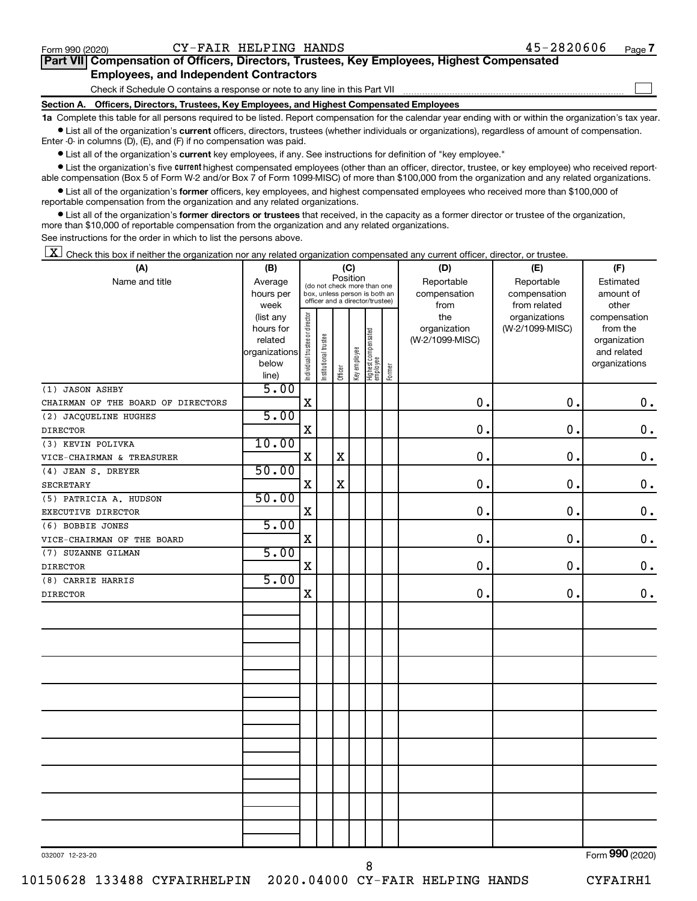$\Box$ 

| Part VII Compensation of Officers, Directors, Trustees, Key Employees, Highest Compensated |  |  |
|--------------------------------------------------------------------------------------------|--|--|
| <b>Employees, and Independent Contractors</b>                                              |  |  |

Check if Schedule O contains a response or note to any line in this Part VII

**Section A. Officers, Directors, Trustees, Key Employees, and Highest Compensated Employees**

**1a**  Complete this table for all persons required to be listed. Report compensation for the calendar year ending with or within the organization's tax year.  $\bullet$  List all of the organization's current officers, directors, trustees (whether individuals or organizations), regardless of amount of compensation.

Enter -0- in columns (D), (E), and (F) if no compensation was paid.

**•** List all of the organization's current key employees, if any. See instructions for definition of "key employee."

• List the organization's five *current* highest compensated employees (other than an officer, director, trustee, or key employee) who received reportable compensation (Box 5 of Form W-2 and/or Box 7 of Form 1099-MISC) of more than \$100,000 from the organization and any related organizations.

 $\bullet$  List all of the organization's former officers, key employees, and highest compensated employees who received more than \$100,000 of reportable compensation from the organization and any related organizations.

**•** List all of the organization's former directors or trustees that received, in the capacity as a former director or trustee of the organization, more than \$10,000 of reportable compensation from the organization and any related organizations.

See instructions for the order in which to list the persons above.

 $\boxed{\textbf{X}}$  Check this box if neither the organization nor any related organization compensated any current officer, director, or trustee.

| (A)                                | (B)                  | (C)                            |                       |             |              |                                                                  |        | (D)                             | (E)             | (F)                         |
|------------------------------------|----------------------|--------------------------------|-----------------------|-------------|--------------|------------------------------------------------------------------|--------|---------------------------------|-----------------|-----------------------------|
| Name and title                     | Average              |                                |                       | Position    |              | (do not check more than one                                      |        | Reportable                      | Reportable      | Estimated                   |
|                                    | hours per            |                                |                       |             |              | box, unless person is both an<br>officer and a director/trustee) |        | compensation                    | compensation    | amount of                   |
|                                    | week                 |                                |                       |             |              |                                                                  |        | from                            | from related    | other                       |
|                                    | (list any            |                                |                       |             |              |                                                                  |        | the                             | organizations   | compensation                |
|                                    | hours for<br>related |                                |                       |             |              |                                                                  |        | organization<br>(W-2/1099-MISC) | (W-2/1099-MISC) | from the                    |
|                                    | organizations        |                                |                       |             |              |                                                                  |        |                                 |                 | organization<br>and related |
|                                    | below                |                                |                       |             |              |                                                                  |        |                                 |                 | organizations               |
|                                    | line)                | Individual trustee or director | Institutional trustee | Officer     | Key employee | Highest compensated<br>employee                                  | Former |                                 |                 |                             |
| (1) JASON ASHBY                    | 5.00                 |                                |                       |             |              |                                                                  |        |                                 |                 |                             |
| CHAIRMAN OF THE BOARD OF DIRECTORS |                      | X                              |                       |             |              |                                                                  |        | $\mathbf 0$ .                   | 0.              | $\mathbf 0$ .               |
| (2) JACQUELINE HUGHES              | 5.00                 |                                |                       |             |              |                                                                  |        |                                 |                 |                             |
| <b>DIRECTOR</b>                    |                      | $\mathbf X$                    |                       |             |              |                                                                  |        | $\mathbf 0$ .                   | $\mathbf 0$ .   | $\mathbf 0$ .               |
| (3) KEVIN POLIVKA                  | 10.00                |                                |                       |             |              |                                                                  |        |                                 |                 |                             |
| VICE-CHAIRMAN & TREASURER          |                      | $\mathbf X$                    |                       | $\mathbf X$ |              |                                                                  |        | 0.                              | 0.              | 0.                          |
| (4) JEAN S. DREYER                 | 50.00                |                                |                       |             |              |                                                                  |        |                                 |                 |                             |
| <b>SECRETARY</b>                   |                      | $\mathbf X$                    |                       | $\mathbf X$ |              |                                                                  |        | 0.                              | 0.              | $\mathbf 0$ .               |
| (5) PATRICIA A. HUDSON             | 50.00                |                                |                       |             |              |                                                                  |        |                                 |                 |                             |
| EXECUTIVE DIRECTOR                 |                      | $\mathbf X$                    |                       |             |              |                                                                  |        | 0.                              | 0.              | $\mathbf 0$ .               |
| (6) BOBBIE JONES                   | 5.00                 |                                |                       |             |              |                                                                  |        |                                 |                 |                             |
| VICE-CHAIRMAN OF THE BOARD         |                      | $\mathbf X$                    |                       |             |              |                                                                  |        | 0.                              | 0.              | $0$ .                       |
| (7) SUZANNE GILMAN                 | 5.00                 |                                |                       |             |              |                                                                  |        |                                 |                 |                             |
| <b>DIRECTOR</b>                    |                      | $\mathbf X$                    |                       |             |              |                                                                  |        | $\mathbf 0$ .                   | 0.              | $\mathbf 0$ .               |
| (8) CARRIE HARRIS                  | 5.00                 |                                |                       |             |              |                                                                  |        |                                 |                 |                             |
| <b>DIRECTOR</b>                    |                      | X                              |                       |             |              |                                                                  |        | 0.                              | 0.              | $\mathbf 0$ .               |
|                                    |                      |                                |                       |             |              |                                                                  |        |                                 |                 |                             |
|                                    |                      |                                |                       |             |              |                                                                  |        |                                 |                 |                             |
|                                    |                      |                                |                       |             |              |                                                                  |        |                                 |                 |                             |
|                                    |                      |                                |                       |             |              |                                                                  |        |                                 |                 |                             |
|                                    |                      |                                |                       |             |              |                                                                  |        |                                 |                 |                             |
|                                    |                      |                                |                       |             |              |                                                                  |        |                                 |                 |                             |
|                                    |                      |                                |                       |             |              |                                                                  |        |                                 |                 |                             |
|                                    |                      |                                |                       |             |              |                                                                  |        |                                 |                 |                             |
|                                    |                      |                                |                       |             |              |                                                                  |        |                                 |                 |                             |
|                                    |                      |                                |                       |             |              |                                                                  |        |                                 |                 |                             |
|                                    |                      |                                |                       |             |              |                                                                  |        |                                 |                 |                             |
|                                    |                      |                                |                       |             |              |                                                                  |        |                                 |                 |                             |
|                                    |                      |                                |                       |             |              |                                                                  |        |                                 |                 |                             |
|                                    |                      |                                |                       |             |              |                                                                  |        |                                 |                 |                             |
|                                    |                      |                                |                       |             |              |                                                                  |        |                                 |                 |                             |
|                                    |                      |                                |                       |             |              |                                                                  |        |                                 |                 |                             |
|                                    |                      |                                |                       |             |              |                                                                  |        |                                 |                 |                             |
|                                    |                      |                                |                       |             |              |                                                                  |        |                                 |                 |                             |
| $0.20007 - 10.02.00$               |                      |                                |                       |             |              |                                                                  |        |                                 |                 | $F_{\text{orm}}$ 990 (2020) |

8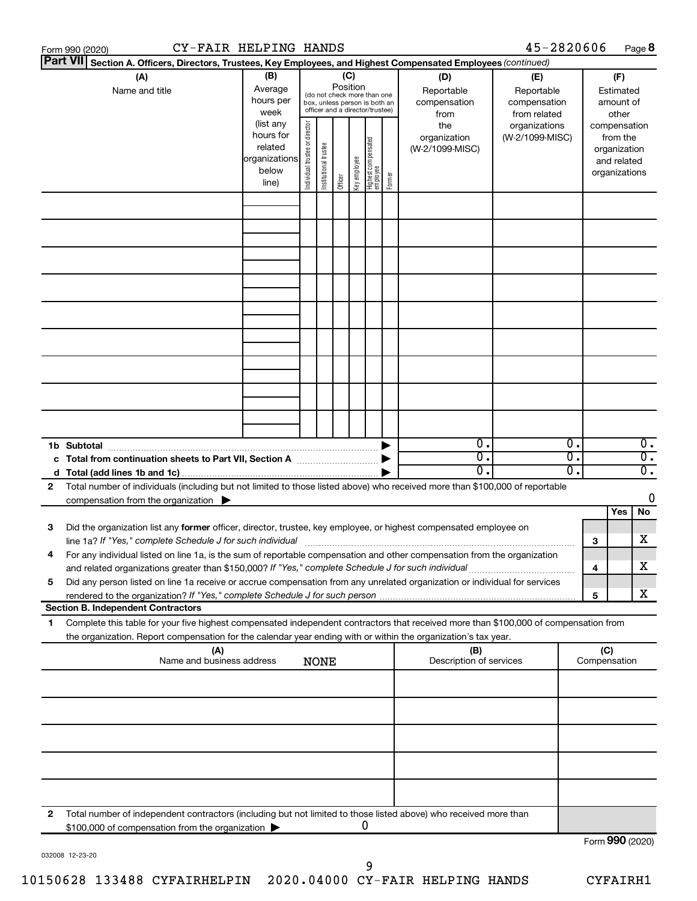|   | CY-FAIR HELPING HANDS<br>Form 990 (2020)                                                                                                                                                                                        |                                                                                                      |                                |                       |                 |              |                                                                                                                                        |        |                                                                              | 45-2820606                                                                     |          |     |                                                                                                             | Page 8                 |
|---|---------------------------------------------------------------------------------------------------------------------------------------------------------------------------------------------------------------------------------|------------------------------------------------------------------------------------------------------|--------------------------------|-----------------------|-----------------|--------------|----------------------------------------------------------------------------------------------------------------------------------------|--------|------------------------------------------------------------------------------|--------------------------------------------------------------------------------|----------|-----|-------------------------------------------------------------------------------------------------------------|------------------------|
|   | <b>Part VII</b><br>Section A. Officers, Directors, Trustees, Key Employees, and Highest Compensated Employees (continued)<br>(A)                                                                                                | (B)                                                                                                  |                                |                       | (C)<br>Position |              |                                                                                                                                        |        | (D)                                                                          | (E)                                                                            |          |     | (F)                                                                                                         |                        |
|   | Name and title                                                                                                                                                                                                                  | Average<br>hours per<br>week<br>(list any<br>hours for<br>related<br>organizations<br>below<br>line) | Individual trustee or director | Institutional trustee | Officer         | Key employee | (do not check more than one<br>box, unless person is both an<br>officer and a director/trustee)<br>  Highest compensated<br>  employee | Former | Reportable<br>compensation<br>from<br>the<br>organization<br>(W-2/1099-MISC) | Reportable<br>compensation<br>from related<br>organizations<br>(W-2/1099-MISC) |          |     | Estimated<br>amount of<br>other<br>compensation<br>from the<br>organization<br>and related<br>organizations |                        |
|   |                                                                                                                                                                                                                                 |                                                                                                      |                                |                       |                 |              |                                                                                                                                        |        |                                                                              |                                                                                |          |     |                                                                                                             |                        |
|   |                                                                                                                                                                                                                                 |                                                                                                      |                                |                       |                 |              |                                                                                                                                        |        |                                                                              |                                                                                |          |     |                                                                                                             |                        |
|   |                                                                                                                                                                                                                                 |                                                                                                      |                                |                       |                 |              |                                                                                                                                        |        |                                                                              |                                                                                |          |     |                                                                                                             |                        |
|   |                                                                                                                                                                                                                                 |                                                                                                      |                                |                       |                 |              |                                                                                                                                        |        |                                                                              |                                                                                |          |     |                                                                                                             |                        |
|   |                                                                                                                                                                                                                                 |                                                                                                      |                                |                       |                 |              |                                                                                                                                        |        |                                                                              |                                                                                |          |     |                                                                                                             |                        |
|   |                                                                                                                                                                                                                                 |                                                                                                      |                                |                       |                 |              |                                                                                                                                        |        |                                                                              |                                                                                |          |     |                                                                                                             |                        |
|   |                                                                                                                                                                                                                                 |                                                                                                      |                                |                       |                 |              |                                                                                                                                        |        |                                                                              |                                                                                |          |     |                                                                                                             |                        |
|   |                                                                                                                                                                                                                                 |                                                                                                      |                                |                       |                 |              |                                                                                                                                        |        |                                                                              |                                                                                |          |     |                                                                                                             |                        |
|   | 1b Subtotal                                                                                                                                                                                                                     |                                                                                                      |                                |                       |                 |              |                                                                                                                                        |        | $\mathbf{0}$ .<br>0.                                                         |                                                                                | 0.<br>σ. |     |                                                                                                             | 0.<br>$\overline{0}$ . |
|   |                                                                                                                                                                                                                                 |                                                                                                      |                                |                       |                 |              |                                                                                                                                        |        | 0.                                                                           |                                                                                | σ.       |     |                                                                                                             | σ.                     |
| 2 | Total number of individuals (including but not limited to those listed above) who received more than \$100,000 of reportable<br>compensation from the organization $\blacktriangleright$                                        |                                                                                                      |                                |                       |                 |              |                                                                                                                                        |        |                                                                              |                                                                                |          |     |                                                                                                             | 0                      |
| З | Did the organization list any former officer, director, trustee, key employee, or highest compensated employee on<br>line 1a? If "Yes," complete Schedule J for such individual                                                 |                                                                                                      |                                |                       |                 |              |                                                                                                                                        |        |                                                                              |                                                                                |          | 3   | Yes                                                                                                         | No<br>x.               |
| 4 | For any individual listed on line 1a, is the sum of reportable compensation and other compensation from the organization<br>and related organizations greater than \$150,000? If "Yes," complete Schedule J for such individual |                                                                                                      |                                |                       |                 |              |                                                                                                                                        |        |                                                                              |                                                                                |          | 4   |                                                                                                             | х                      |
| 5 | Did any person listed on line 1a receive or accrue compensation from any unrelated organization or individual for services                                                                                                      |                                                                                                      |                                |                       |                 |              |                                                                                                                                        |        |                                                                              |                                                                                |          | 5   |                                                                                                             | x                      |
| 1 | <b>Section B. Independent Contractors</b><br>Complete this table for your five highest compensated independent contractors that received more than \$100,000 of compensation from                                               |                                                                                                      |                                |                       |                 |              |                                                                                                                                        |        |                                                                              |                                                                                |          |     |                                                                                                             |                        |
|   | the organization. Report compensation for the calendar year ending with or within the organization's tax year.<br>(A)                                                                                                           |                                                                                                      |                                |                       |                 |              |                                                                                                                                        |        | (B)                                                                          |                                                                                |          | (C) |                                                                                                             |                        |
|   | Name and business address                                                                                                                                                                                                       |                                                                                                      |                                | <b>NONE</b>           |                 |              |                                                                                                                                        |        | Description of services                                                      |                                                                                |          |     | Compensation                                                                                                |                        |
|   |                                                                                                                                                                                                                                 |                                                                                                      |                                |                       |                 |              |                                                                                                                                        |        |                                                                              |                                                                                |          |     |                                                                                                             |                        |
|   |                                                                                                                                                                                                                                 |                                                                                                      |                                |                       |                 |              |                                                                                                                                        |        |                                                                              |                                                                                |          |     |                                                                                                             |                        |
|   |                                                                                                                                                                                                                                 |                                                                                                      |                                |                       |                 |              |                                                                                                                                        |        |                                                                              |                                                                                |          |     |                                                                                                             |                        |
|   |                                                                                                                                                                                                                                 |                                                                                                      |                                |                       |                 |              |                                                                                                                                        |        |                                                                              |                                                                                |          |     |                                                                                                             |                        |
| 2 | Total number of independent contractors (including but not limited to those listed above) who received more than<br>\$100,000 of compensation from the organization                                                             |                                                                                                      |                                |                       |                 |              | 0                                                                                                                                      |        |                                                                              |                                                                                |          |     |                                                                                                             |                        |
|   |                                                                                                                                                                                                                                 |                                                                                                      |                                |                       |                 |              |                                                                                                                                        |        |                                                                              |                                                                                |          |     | Form 990 (2020)                                                                                             |                        |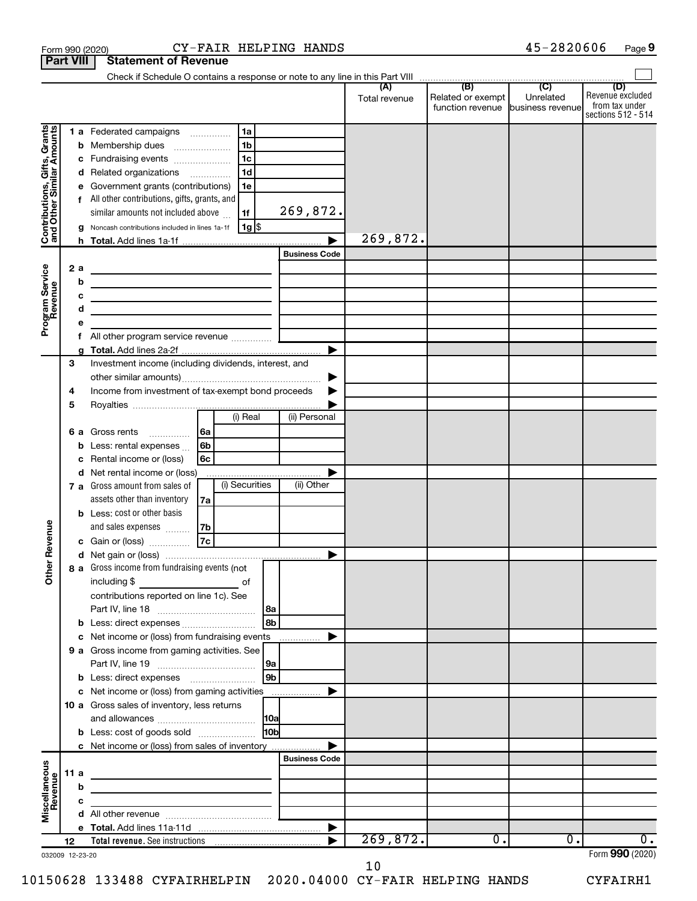| <b>Part VIII</b>                                          |        |                             | <b>Statement of Revenue</b>                                                                                                                                                                                                                                                                                                                                                                                                                                                  |                                                                                                                         |                      |                                  |                      |                                                               |                             |                                                                 |
|-----------------------------------------------------------|--------|-----------------------------|------------------------------------------------------------------------------------------------------------------------------------------------------------------------------------------------------------------------------------------------------------------------------------------------------------------------------------------------------------------------------------------------------------------------------------------------------------------------------|-------------------------------------------------------------------------------------------------------------------------|----------------------|----------------------------------|----------------------|---------------------------------------------------------------|-----------------------------|-----------------------------------------------------------------|
|                                                           |        |                             |                                                                                                                                                                                                                                                                                                                                                                                                                                                                              |                                                                                                                         |                      |                                  |                      |                                                               |                             |                                                                 |
|                                                           |        |                             |                                                                                                                                                                                                                                                                                                                                                                                                                                                                              |                                                                                                                         |                      |                                  | (A)<br>Total revenue | (B)<br>Related or exempt<br>function revenue business revenue | $\overline{C}$<br>Unrelated | (D)<br>Revenue excluded<br>from tax under<br>sections 512 - 514 |
| Contributions, Gifts, Grants<br>and Other Similar Amounts |        | b<br>с<br>d<br>е<br>2a<br>b | 1 a Federated campaigns<br>Membership dues<br>Fundraising events<br>Related organizations<br>Government grants (contributions)<br>f All other contributions, gifts, grants, and<br>similar amounts not included above<br>Noncash contributions included in lines 1a-1f<br><u> 1980 - Johann Barbara, martin amerikan basal dan berasal dan berasal dalam basal dalam basal dan berasal dan</u><br>the control of the control of the control of the control of the control of | 1a<br>1 <sub>b</sub><br>$\ldots \ldots \ldots \ldots \ldots$<br>1 <sub>c</sub><br>1 <sub>d</sub><br>1e<br>1f<br>$1g$ \$ |                      | 269,872.<br><b>Business Code</b> | 269,872.             |                                                               |                             |                                                                 |
| Program Service<br>Revenue                                |        | c<br>d<br>е                 | the contract of the contract of the contract of the contract of the contract of                                                                                                                                                                                                                                                                                                                                                                                              |                                                                                                                         |                      |                                  |                      |                                                               |                             |                                                                 |
|                                                           |        | f                           |                                                                                                                                                                                                                                                                                                                                                                                                                                                                              |                                                                                                                         |                      |                                  |                      |                                                               |                             |                                                                 |
|                                                           | 3<br>4 |                             | Investment income (including dividends, interest, and<br>Income from investment of tax-exempt bond proceeds                                                                                                                                                                                                                                                                                                                                                                  |                                                                                                                         |                      | ▶                                |                      |                                                               |                             |                                                                 |
|                                                           | 5      |                             |                                                                                                                                                                                                                                                                                                                                                                                                                                                                              |                                                                                                                         |                      |                                  |                      |                                                               |                             |                                                                 |
|                                                           |        | b<br>с                      | 6 a Gross rents<br>Less: rental expenses<br>Rental income or (loss)                                                                                                                                                                                                                                                                                                                                                                                                          | (i) Real<br>l 6a<br>6b<br>6с                                                                                            |                      | (ii) Personal                    |                      |                                                               |                             |                                                                 |
|                                                           |        | d                           | Net rental income or (loss)<br>7 a Gross amount from sales of<br>assets other than inventory                                                                                                                                                                                                                                                                                                                                                                                 | (i) Securities<br>7a                                                                                                    |                      | (ii) Other                       |                      |                                                               |                             |                                                                 |
| Revenue                                                   |        |                             | <b>b</b> Less: cost or other basis<br>and sales expenses<br>Gain or (loss)                                                                                                                                                                                                                                                                                                                                                                                                   | 7b<br> 7c                                                                                                               |                      |                                  |                      |                                                               |                             |                                                                 |
|                                                           |        |                             |                                                                                                                                                                                                                                                                                                                                                                                                                                                                              |                                                                                                                         |                      |                                  |                      |                                                               |                             |                                                                 |
| $\check{\epsilon}$                                        |        |                             | 8 a Gross income from fundraising events (not  <br>including \$<br>contributions reported on line 1c). See                                                                                                                                                                                                                                                                                                                                                                   | оf                                                                                                                      | l 8a                 |                                  |                      |                                                               |                             |                                                                 |
|                                                           |        |                             |                                                                                                                                                                                                                                                                                                                                                                                                                                                                              |                                                                                                                         | 8b                   |                                  |                      |                                                               |                             |                                                                 |
|                                                           |        | С                           | Net income or (loss) from fundraising events                                                                                                                                                                                                                                                                                                                                                                                                                                 |                                                                                                                         |                      |                                  |                      |                                                               |                             |                                                                 |
|                                                           |        |                             | 9 a Gross income from gaming activities. See                                                                                                                                                                                                                                                                                                                                                                                                                                 |                                                                                                                         | 9a<br>9 <sub>b</sub> |                                  |                      |                                                               |                             |                                                                 |
|                                                           |        |                             | c Net income or (loss) from gaming activities                                                                                                                                                                                                                                                                                                                                                                                                                                |                                                                                                                         |                      |                                  |                      |                                                               |                             |                                                                 |
|                                                           |        |                             | 10 a Gross sales of inventory, less returns                                                                                                                                                                                                                                                                                                                                                                                                                                  |                                                                                                                         | 10a                  |                                  |                      |                                                               |                             |                                                                 |
|                                                           |        |                             | <b>b</b> Less: cost of goods sold                                                                                                                                                                                                                                                                                                                                                                                                                                            |                                                                                                                         | H <sub>0b</sub>      |                                  |                      |                                                               |                             |                                                                 |
|                                                           |        |                             | c Net income or (loss) from sales of inventory                                                                                                                                                                                                                                                                                                                                                                                                                               |                                                                                                                         |                      |                                  |                      |                                                               |                             |                                                                 |
|                                                           |        |                             |                                                                                                                                                                                                                                                                                                                                                                                                                                                                              |                                                                                                                         |                      | <b>Business Code</b>             |                      |                                                               |                             |                                                                 |
|                                                           | 11 a   |                             | the control of the control of the control of the control of the control of                                                                                                                                                                                                                                                                                                                                                                                                   |                                                                                                                         |                      |                                  |                      |                                                               |                             |                                                                 |
| Miscellaneous<br>Revenue                                  |        | b                           | the control of the control of the control of the control of the control of                                                                                                                                                                                                                                                                                                                                                                                                   |                                                                                                                         |                      |                                  |                      |                                                               |                             |                                                                 |
|                                                           |        | c                           |                                                                                                                                                                                                                                                                                                                                                                                                                                                                              | <u> 1989 - Johann Barbara, martxa al</u>                                                                                |                      |                                  |                      |                                                               |                             |                                                                 |
|                                                           |        |                             |                                                                                                                                                                                                                                                                                                                                                                                                                                                                              |                                                                                                                         |                      |                                  |                      |                                                               |                             |                                                                 |
|                                                           | 12     |                             |                                                                                                                                                                                                                                                                                                                                                                                                                                                                              |                                                                                                                         |                      |                                  | 269,872.             | $\overline{0}$ .                                              | 0.                          | $\overline{0}$ .                                                |
| 032009 12-23-20                                           |        |                             |                                                                                                                                                                                                                                                                                                                                                                                                                                                                              |                                                                                                                         |                      |                                  |                      |                                                               |                             | Form 990 (2020)                                                 |

10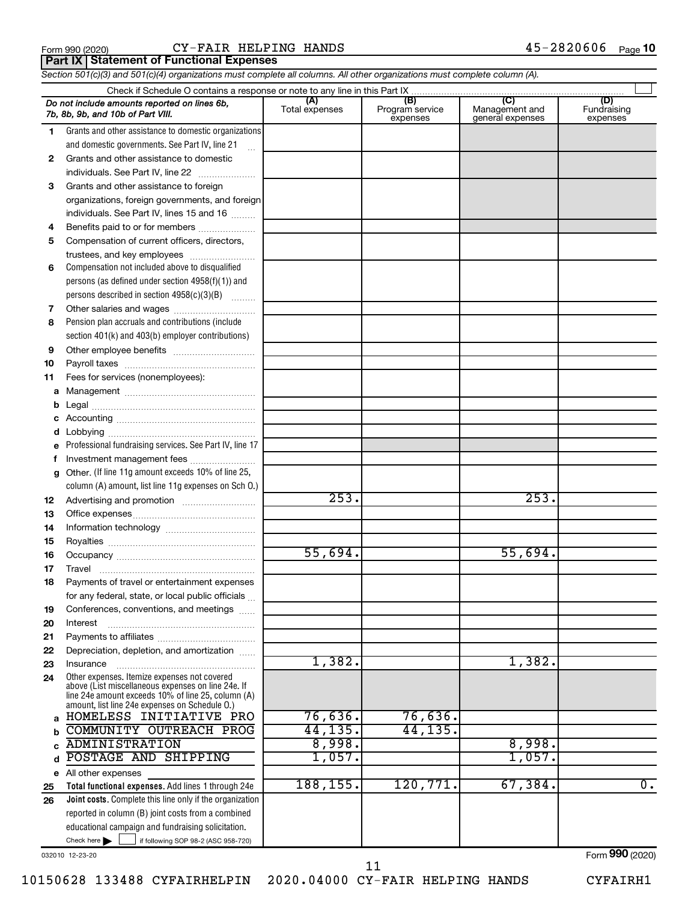|  | Form 990 (2020 |
|--|----------------|
|  |                |

#### Form 990 (2020)  $CY-FAIR$  HELPING HANDS  $45-2820606$  Page **Part IX Statement of Functional Expenses**

*Section 501(c)(3) and 501(c)(4) organizations must complete all columns. All other organizations must complete column (A).*

|              | Do not include amounts reported on lines 6b,<br>7b, 8b, 9b, and 10b of Part VIII.                    | (A)<br>Total expenses | (B)<br>Program service<br>expenses | (C)<br>Management and<br>general expenses | (D)<br>Fundraising<br>expenses |  |  |  |  |  |  |  |  |
|--------------|------------------------------------------------------------------------------------------------------|-----------------------|------------------------------------|-------------------------------------------|--------------------------------|--|--|--|--|--|--|--|--|
| 1.           | Grants and other assistance to domestic organizations                                                |                       |                                    |                                           |                                |  |  |  |  |  |  |  |  |
|              | and domestic governments. See Part IV, line 21                                                       |                       |                                    |                                           |                                |  |  |  |  |  |  |  |  |
| $\mathbf{2}$ | Grants and other assistance to domestic                                                              |                       |                                    |                                           |                                |  |  |  |  |  |  |  |  |
|              | individuals. See Part IV, line 22                                                                    |                       |                                    |                                           |                                |  |  |  |  |  |  |  |  |
| 3            | Grants and other assistance to foreign                                                               |                       |                                    |                                           |                                |  |  |  |  |  |  |  |  |
|              | organizations, foreign governments, and foreign                                                      |                       |                                    |                                           |                                |  |  |  |  |  |  |  |  |
|              | individuals. See Part IV, lines 15 and 16                                                            |                       |                                    |                                           |                                |  |  |  |  |  |  |  |  |
| 4            | Benefits paid to or for members                                                                      |                       |                                    |                                           |                                |  |  |  |  |  |  |  |  |
| 5            | Compensation of current officers, directors,                                                         |                       |                                    |                                           |                                |  |  |  |  |  |  |  |  |
|              | trustees, and key employees                                                                          |                       |                                    |                                           |                                |  |  |  |  |  |  |  |  |
| 6            | Compensation not included above to disqualified                                                      |                       |                                    |                                           |                                |  |  |  |  |  |  |  |  |
|              | persons (as defined under section 4958(f)(1)) and                                                    |                       |                                    |                                           |                                |  |  |  |  |  |  |  |  |
|              | persons described in section 4958(c)(3)(B)                                                           |                       |                                    |                                           |                                |  |  |  |  |  |  |  |  |
| 7            | Other salaries and wages                                                                             |                       |                                    |                                           |                                |  |  |  |  |  |  |  |  |
| 8            | Pension plan accruals and contributions (include                                                     |                       |                                    |                                           |                                |  |  |  |  |  |  |  |  |
|              | section 401(k) and 403(b) employer contributions)                                                    |                       |                                    |                                           |                                |  |  |  |  |  |  |  |  |
| 9            |                                                                                                      |                       |                                    |                                           |                                |  |  |  |  |  |  |  |  |
| 10           |                                                                                                      |                       |                                    |                                           |                                |  |  |  |  |  |  |  |  |
| 11           | Fees for services (nonemployees):                                                                    |                       |                                    |                                           |                                |  |  |  |  |  |  |  |  |
| a            |                                                                                                      |                       |                                    |                                           |                                |  |  |  |  |  |  |  |  |
|              |                                                                                                      |                       |                                    |                                           |                                |  |  |  |  |  |  |  |  |
|              |                                                                                                      |                       |                                    |                                           |                                |  |  |  |  |  |  |  |  |
|              |                                                                                                      |                       |                                    |                                           |                                |  |  |  |  |  |  |  |  |
|              | Professional fundraising services. See Part IV, line 17                                              |                       |                                    |                                           |                                |  |  |  |  |  |  |  |  |
|              | Investment management fees                                                                           |                       |                                    |                                           |                                |  |  |  |  |  |  |  |  |
| g            | Other. (If line 11g amount exceeds 10% of line 25,                                                   |                       |                                    |                                           |                                |  |  |  |  |  |  |  |  |
|              | column (A) amount, list line 11g expenses on Sch 0.)                                                 |                       |                                    |                                           |                                |  |  |  |  |  |  |  |  |
| 12           |                                                                                                      | 253.                  |                                    | 253.                                      |                                |  |  |  |  |  |  |  |  |
| 13           |                                                                                                      |                       |                                    |                                           |                                |  |  |  |  |  |  |  |  |
| 14           |                                                                                                      |                       |                                    |                                           |                                |  |  |  |  |  |  |  |  |
| 15           |                                                                                                      | 55,694.               |                                    | 55,694.                                   |                                |  |  |  |  |  |  |  |  |
| 16           |                                                                                                      |                       |                                    |                                           |                                |  |  |  |  |  |  |  |  |
| 17           | Travel                                                                                               |                       |                                    |                                           |                                |  |  |  |  |  |  |  |  |
| 18           | Payments of travel or entertainment expenses                                                         |                       |                                    |                                           |                                |  |  |  |  |  |  |  |  |
|              | for any federal, state, or local public officials<br>Conferences, conventions, and meetings          |                       |                                    |                                           |                                |  |  |  |  |  |  |  |  |
| 19<br>20     | Interest                                                                                             |                       |                                    |                                           |                                |  |  |  |  |  |  |  |  |
| 21           |                                                                                                      |                       |                                    |                                           |                                |  |  |  |  |  |  |  |  |
| 22           | Depreciation, depletion, and amortization                                                            |                       |                                    |                                           |                                |  |  |  |  |  |  |  |  |
| 23           | Insurance                                                                                            | 1,382.                |                                    | 1,382.                                    |                                |  |  |  |  |  |  |  |  |
| 24           | Other expenses. Itemize expenses not covered                                                         |                       |                                    |                                           |                                |  |  |  |  |  |  |  |  |
|              | above (List miscellaneous expenses on line 24e. If                                                   |                       |                                    |                                           |                                |  |  |  |  |  |  |  |  |
|              | line 24e amount exceeds 10% of line 25, column (A)<br>amount, list line 24e expenses on Schedule O.) |                       |                                    |                                           |                                |  |  |  |  |  |  |  |  |
| a            | HOMELESS INITIATIVE PRO                                                                              | 76,636.               | 76,636.                            |                                           |                                |  |  |  |  |  |  |  |  |
|              | COMMUNITY OUTREACH PROG                                                                              | 44,135.               | 44,135.                            |                                           |                                |  |  |  |  |  |  |  |  |
|              | <b>ADMINISTRATION</b>                                                                                | 8,998.                |                                    | 8,998.                                    |                                |  |  |  |  |  |  |  |  |
| d            | POSTAGE AND SHIPPING                                                                                 | 1,057.                |                                    | 1,057.                                    |                                |  |  |  |  |  |  |  |  |
| е            | All other expenses                                                                                   |                       |                                    |                                           |                                |  |  |  |  |  |  |  |  |
| 25           | Total functional expenses. Add lines 1 through 24e                                                   | 188, 155.             | 120,771.                           | 67,384.                                   | $\overline{0}$ .               |  |  |  |  |  |  |  |  |
| 26           | Joint costs. Complete this line only if the organization                                             |                       |                                    |                                           |                                |  |  |  |  |  |  |  |  |
|              | reported in column (B) joint costs from a combined                                                   |                       |                                    |                                           |                                |  |  |  |  |  |  |  |  |
|              | educational campaign and fundraising solicitation.                                                   |                       |                                    |                                           |                                |  |  |  |  |  |  |  |  |
|              | Check here $\blacktriangleright$<br>if following SOP 98-2 (ASC 958-720)                              |                       |                                    |                                           |                                |  |  |  |  |  |  |  |  |

032010 12-23-20

Form (2020) **990**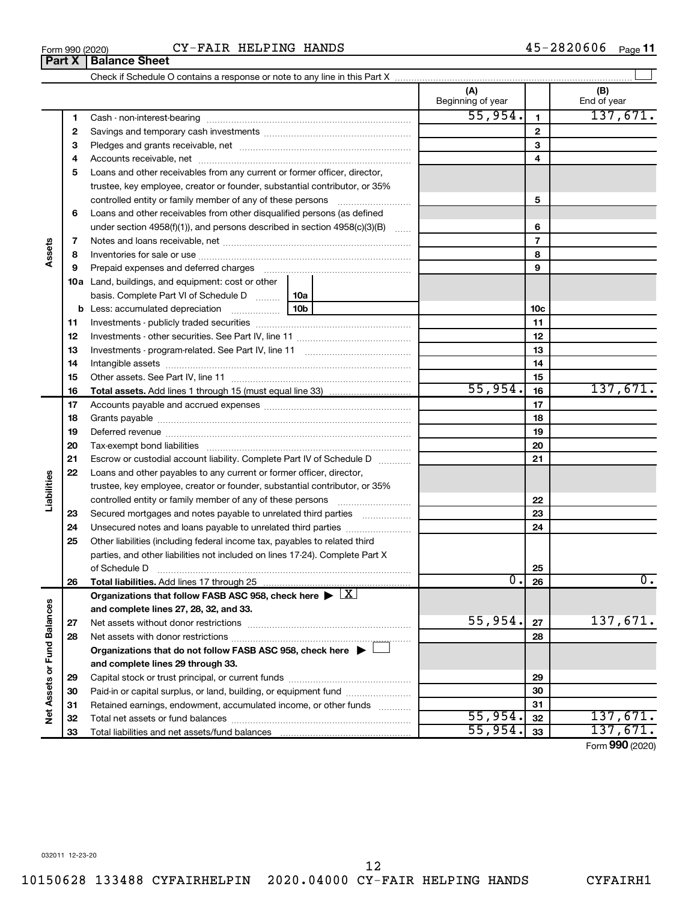### Form 990 (2020)  $CY-FAIR$  HELPING HANDS  $45-2820606$  Page

Check if Schedule O contains a response or note to any line in this Part X

**Part X Balance Sheet**

|                             |          |                                                                                       |     |    | (A)<br>Beginning of year |                          | (B)<br>End of year |
|-----------------------------|----------|---------------------------------------------------------------------------------------|-----|----|--------------------------|--------------------------|--------------------|
|                             | 1        |                                                                                       |     |    | 55,954.                  | $\mathbf{1}$             | 137,671.           |
|                             | 2        |                                                                                       |     |    |                          | $\mathbf{2}$             |                    |
|                             | З        |                                                                                       |     |    |                          | 3                        |                    |
|                             | 4        |                                                                                       |     |    |                          | 4                        |                    |
|                             | 5        | Loans and other receivables from any current or former officer, director,             |     |    |                          |                          |                    |
|                             |          | trustee, key employee, creator or founder, substantial contributor, or 35%            |     |    |                          |                          |                    |
|                             |          | controlled entity or family member of any of these persons                            |     |    |                          | 5                        |                    |
|                             | 6        | Loans and other receivables from other disqualified persons (as defined               |     |    |                          |                          |                    |
|                             |          | under section 4958(f)(1)), and persons described in section 4958(c)(3)(B)             |     |    |                          | 6                        |                    |
|                             | 7        |                                                                                       |     |    |                          | $\overline{\phantom{a}}$ |                    |
| Assets                      | 8        |                                                                                       |     |    |                          | 8                        |                    |
|                             | 9        |                                                                                       |     |    |                          | 9                        |                    |
|                             |          | <b>10a</b> Land, buildings, and equipment: cost or other                              |     |    |                          |                          |                    |
|                             |          | basis. Complete Part VI of Schedule D  10a                                            |     |    |                          |                          |                    |
|                             |          | <b>b</b> Less: accumulated depreciation <i></i>                                       | 10b |    |                          | 10 <sub>c</sub>          |                    |
|                             | 11       |                                                                                       |     | 11 |                          |                          |                    |
|                             | 12       |                                                                                       |     | 12 |                          |                          |                    |
|                             | 13       |                                                                                       |     | 13 |                          |                          |                    |
|                             | 14       |                                                                                       |     |    |                          | 14                       |                    |
|                             | 15       |                                                                                       |     |    | 15                       |                          |                    |
|                             | 16       | <b>Total assets.</b> Add lines 1 through 15 (must equal line 33) <i></i>              |     |    | 55,954.                  | 16                       | 137,671.           |
|                             | 17       |                                                                                       |     |    |                          | 17                       |                    |
|                             | 18       |                                                                                       |     | 18 |                          |                          |                    |
|                             | 19       |                                                                                       |     | 19 |                          |                          |                    |
|                             | 20       |                                                                                       |     |    |                          | 20                       |                    |
|                             | 21       | Escrow or custodial account liability. Complete Part IV of Schedule D                 |     |    |                          | 21                       |                    |
|                             | 22       | Loans and other payables to any current or former officer, director,                  |     |    |                          |                          |                    |
| Liabilities                 |          | trustee, key employee, creator or founder, substantial contributor, or 35%            |     |    |                          |                          |                    |
|                             |          | controlled entity or family member of any of these persons                            |     |    |                          | 22                       |                    |
|                             | 23       | Secured mortgages and notes payable to unrelated third parties                        |     |    |                          | 23                       |                    |
|                             | 24       | Unsecured notes and loans payable to unrelated third parties                          |     |    |                          | 24                       |                    |
|                             | 25       | Other liabilities (including federal income tax, payables to related third            |     |    |                          |                          |                    |
|                             |          | parties, and other liabilities not included on lines 17-24). Complete Part X          |     |    |                          |                          |                    |
|                             |          | of Schedule D                                                                         |     |    | Ο.                       | 25                       | $\overline{0}$ .   |
|                             | 26       |                                                                                       |     |    |                          | 26                       |                    |
|                             |          | Organizations that follow FASB ASC 958, check here $\triangleright \lfloor X \rfloor$ |     |    |                          |                          |                    |
|                             |          | and complete lines 27, 28, 32, and 33.                                                |     |    | 55,954.                  | 27                       | 137,671.           |
|                             | 27       |                                                                                       |     |    |                          | 28                       |                    |
|                             | 28       | Organizations that do not follow FASB ASC 958, check here $\blacktriangleright$       |     |    |                          |                          |                    |
|                             |          | and complete lines 29 through 33.                                                     |     |    |                          |                          |                    |
| Net Assets or Fund Balances |          |                                                                                       |     |    |                          | 29                       |                    |
|                             | 29       | Paid-in or capital surplus, or land, building, or equipment fund                      |     |    |                          | 30                       |                    |
|                             | 30<br>31 | Retained earnings, endowment, accumulated income, or other funds                      |     |    | 31                       |                          |                    |
|                             | 32       |                                                                                       |     |    | 55,954.                  | 32                       | 137,671.           |
|                             | 33       |                                                                                       |     |    | 55,954.                  | 33                       | 137,671.           |
|                             |          |                                                                                       |     |    |                          |                          |                    |

 $\perp$ 

Form (2020) **990**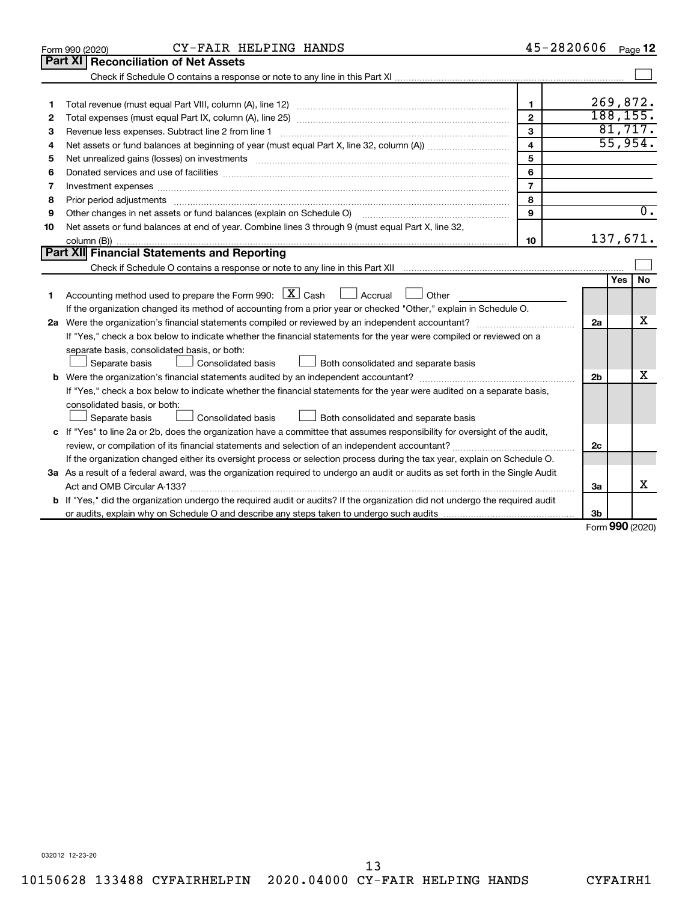|                                                                                                                                 | CY-FAIR HELPING HANDS<br>Form 990 (2020)                                                                                                                                                                                            | 45-2820606              |                |              | Page 12          |  |  |  |  |
|---------------------------------------------------------------------------------------------------------------------------------|-------------------------------------------------------------------------------------------------------------------------------------------------------------------------------------------------------------------------------------|-------------------------|----------------|--------------|------------------|--|--|--|--|
|                                                                                                                                 | Part XI   Reconciliation of Net Assets                                                                                                                                                                                              |                         |                |              |                  |  |  |  |  |
|                                                                                                                                 |                                                                                                                                                                                                                                     |                         |                |              |                  |  |  |  |  |
|                                                                                                                                 |                                                                                                                                                                                                                                     |                         |                |              |                  |  |  |  |  |
| 1                                                                                                                               |                                                                                                                                                                                                                                     | $\mathbf{1}$            | 269,872.       |              |                  |  |  |  |  |
| 2                                                                                                                               |                                                                                                                                                                                                                                     | $\overline{2}$          | 188, 155.      |              |                  |  |  |  |  |
| З                                                                                                                               | Revenue less expenses. Subtract line 2 from line 1                                                                                                                                                                                  | 3                       |                |              | 81,717.          |  |  |  |  |
| 4                                                                                                                               |                                                                                                                                                                                                                                     | $\overline{\mathbf{4}}$ |                | 55,954.      |                  |  |  |  |  |
| 5                                                                                                                               | 5<br>Net unrealized gains (losses) on investments [11] matter than the control of the state of the state of the state of the state of the state of the state of the state of the state of the state of the state of the state of th |                         |                |              |                  |  |  |  |  |
| 6                                                                                                                               |                                                                                                                                                                                                                                     | 6                       |                |              |                  |  |  |  |  |
| 7                                                                                                                               | Investment expenses www.communication.com/www.communication.com/www.communication.com/www.com                                                                                                                                       | $\overline{7}$          |                |              |                  |  |  |  |  |
| 8                                                                                                                               |                                                                                                                                                                                                                                     | 8                       |                |              |                  |  |  |  |  |
| 9                                                                                                                               | Other changes in net assets or fund balances (explain on Schedule O)                                                                                                                                                                | $\mathbf{Q}$            |                |              | $\overline{0}$ . |  |  |  |  |
| 10                                                                                                                              | Net assets or fund balances at end of year. Combine lines 3 through 9 (must equal Part X, line 32,                                                                                                                                  |                         |                |              |                  |  |  |  |  |
|                                                                                                                                 |                                                                                                                                                                                                                                     | 10                      | 137,671.       |              |                  |  |  |  |  |
|                                                                                                                                 | Part XII Financial Statements and Reporting                                                                                                                                                                                         |                         |                |              |                  |  |  |  |  |
|                                                                                                                                 |                                                                                                                                                                                                                                     |                         |                |              |                  |  |  |  |  |
|                                                                                                                                 |                                                                                                                                                                                                                                     |                         |                | Yes          | <b>No</b>        |  |  |  |  |
| 1                                                                                                                               | Accounting method used to prepare the Form 990: $X \subset X$ Cash $\Box$ Accrual $\Box$<br>Other                                                                                                                                   |                         |                |              |                  |  |  |  |  |
|                                                                                                                                 | If the organization changed its method of accounting from a prior year or checked "Other," explain in Schedule O.                                                                                                                   |                         |                |              |                  |  |  |  |  |
|                                                                                                                                 |                                                                                                                                                                                                                                     |                         | 2a             |              | x                |  |  |  |  |
|                                                                                                                                 | If "Yes," check a box below to indicate whether the financial statements for the year were compiled or reviewed on a                                                                                                                |                         |                |              |                  |  |  |  |  |
|                                                                                                                                 | separate basis, consolidated basis, or both:                                                                                                                                                                                        |                         |                |              |                  |  |  |  |  |
|                                                                                                                                 | Both consolidated and separate basis<br>Separate basis<br>Consolidated basis                                                                                                                                                        |                         |                |              |                  |  |  |  |  |
|                                                                                                                                 |                                                                                                                                                                                                                                     |                         | 2 <sub>b</sub> |              | x                |  |  |  |  |
|                                                                                                                                 | If "Yes," check a box below to indicate whether the financial statements for the year were audited on a separate basis,                                                                                                             |                         |                |              |                  |  |  |  |  |
|                                                                                                                                 | consolidated basis, or both:                                                                                                                                                                                                        |                         |                |              |                  |  |  |  |  |
|                                                                                                                                 | Consolidated basis<br>Both consolidated and separate basis<br>Separate basis                                                                                                                                                        |                         |                |              |                  |  |  |  |  |
|                                                                                                                                 | c If "Yes" to line 2a or 2b, does the organization have a committee that assumes responsibility for oversight of the audit,                                                                                                         |                         |                |              |                  |  |  |  |  |
|                                                                                                                                 |                                                                                                                                                                                                                                     |                         | 2c             |              |                  |  |  |  |  |
|                                                                                                                                 | If the organization changed either its oversight process or selection process during the tax year, explain on Schedule O.                                                                                                           |                         |                |              |                  |  |  |  |  |
| 3a As a result of a federal award, was the organization required to undergo an audit or audits as set forth in the Single Audit |                                                                                                                                                                                                                                     |                         |                |              |                  |  |  |  |  |
|                                                                                                                                 |                                                                                                                                                                                                                                     |                         | За             |              | x                |  |  |  |  |
|                                                                                                                                 | <b>b</b> If "Yes," did the organization undergo the required audit or audits? If the organization did not undergo the required audit                                                                                                |                         |                |              |                  |  |  |  |  |
|                                                                                                                                 |                                                                                                                                                                                                                                     |                         | 3b             |              |                  |  |  |  |  |
|                                                                                                                                 |                                                                                                                                                                                                                                     |                         |                | $000 \text{$ |                  |  |  |  |  |

Form (2020) **990**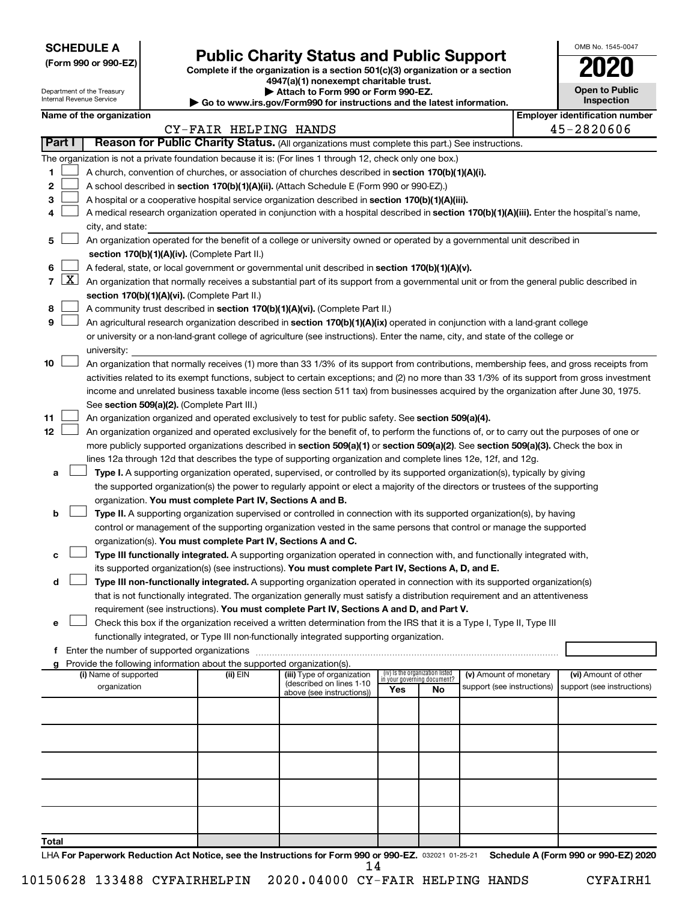| <b>SCHEDULE A</b> |  |
|-------------------|--|
|-------------------|--|

## Form 990 or 990-EZ) **Public Charity Status and Public Support**<br>
Complete if the organization is a section 501(c)(3) organization or a section<br> **2020**

**4947(a)(1) nonexempt charitable trust.**

| <b>Open to Public</b><br>Inspection |
|-------------------------------------|
|                                     |

OMB No. 1545-0047

|                |              | Department of the Treasury<br>Internal Revenue Service                                                                                     |  |                                                                          | Attach to Form 990 or Form 990-EZ.<br>Go to www.irs.gov/Form990 for instructions and the latest information.                                                                                                                     |     |                                                                |                            |  |                                       |  |  |
|----------------|--------------|--------------------------------------------------------------------------------------------------------------------------------------------|--|--------------------------------------------------------------------------|----------------------------------------------------------------------------------------------------------------------------------------------------------------------------------------------------------------------------------|-----|----------------------------------------------------------------|----------------------------|--|---------------------------------------|--|--|
|                |              | Name of the organization                                                                                                                   |  |                                                                          |                                                                                                                                                                                                                                  |     |                                                                |                            |  | <b>Employer identification number</b> |  |  |
|                |              |                                                                                                                                            |  | CY-FAIR HELPING HANDS                                                    |                                                                                                                                                                                                                                  |     |                                                                |                            |  | 45-2820606                            |  |  |
| Part I         |              |                                                                                                                                            |  |                                                                          | Reason for Public Charity Status. (All organizations must complete this part.) See instructions.                                                                                                                                 |     |                                                                |                            |  |                                       |  |  |
|                |              |                                                                                                                                            |  |                                                                          | The organization is not a private foundation because it is: (For lines 1 through 12, check only one box.)                                                                                                                        |     |                                                                |                            |  |                                       |  |  |
| 1              |              |                                                                                                                                            |  |                                                                          | A church, convention of churches, or association of churches described in section 170(b)(1)(A)(i).                                                                                                                               |     |                                                                |                            |  |                                       |  |  |
| 2              |              |                                                                                                                                            |  |                                                                          | A school described in section 170(b)(1)(A)(ii). (Attach Schedule E (Form 990 or 990-EZ).)                                                                                                                                        |     |                                                                |                            |  |                                       |  |  |
| з              |              |                                                                                                                                            |  |                                                                          | A hospital or a cooperative hospital service organization described in section 170(b)(1)(A)(iii).                                                                                                                                |     |                                                                |                            |  |                                       |  |  |
| 4              |              |                                                                                                                                            |  |                                                                          | A medical research organization operated in conjunction with a hospital described in section 170(b)(1)(A)(iii). Enter the hospital's name,                                                                                       |     |                                                                |                            |  |                                       |  |  |
|                |              | city, and state:                                                                                                                           |  |                                                                          |                                                                                                                                                                                                                                  |     |                                                                |                            |  |                                       |  |  |
| 5              |              |                                                                                                                                            |  |                                                                          | An organization operated for the benefit of a college or university owned or operated by a governmental unit described in                                                                                                        |     |                                                                |                            |  |                                       |  |  |
|                |              |                                                                                                                                            |  | section 170(b)(1)(A)(iv). (Complete Part II.)                            |                                                                                                                                                                                                                                  |     |                                                                |                            |  |                                       |  |  |
| 6              |              | A federal, state, or local government or governmental unit described in section 170(b)(1)(A)(v).                                           |  |                                                                          |                                                                                                                                                                                                                                  |     |                                                                |                            |  |                                       |  |  |
| $\overline{7}$ | $\mathbf{X}$ |                                                                                                                                            |  |                                                                          | An organization that normally receives a substantial part of its support from a governmental unit or from the general public described in                                                                                        |     |                                                                |                            |  |                                       |  |  |
|                |              |                                                                                                                                            |  | section 170(b)(1)(A)(vi). (Complete Part II.)                            |                                                                                                                                                                                                                                  |     |                                                                |                            |  |                                       |  |  |
| 8              |              |                                                                                                                                            |  |                                                                          | A community trust described in section 170(b)(1)(A)(vi). (Complete Part II.)                                                                                                                                                     |     |                                                                |                            |  |                                       |  |  |
| 9              |              |                                                                                                                                            |  |                                                                          | An agricultural research organization described in section 170(b)(1)(A)(ix) operated in conjunction with a land-grant college                                                                                                    |     |                                                                |                            |  |                                       |  |  |
|                |              |                                                                                                                                            |  |                                                                          | or university or a non-land-grant college of agriculture (see instructions). Enter the name, city, and state of the college or                                                                                                   |     |                                                                |                            |  |                                       |  |  |
|                |              | university:                                                                                                                                |  |                                                                          |                                                                                                                                                                                                                                  |     |                                                                |                            |  |                                       |  |  |
| 10             |              |                                                                                                                                            |  |                                                                          | An organization that normally receives (1) more than 33 1/3% of its support from contributions, membership fees, and gross receipts from                                                                                         |     |                                                                |                            |  |                                       |  |  |
|                |              |                                                                                                                                            |  |                                                                          | activities related to its exempt functions, subject to certain exceptions; and (2) no more than 33 1/3% of its support from gross investment                                                                                     |     |                                                                |                            |  |                                       |  |  |
|                |              |                                                                                                                                            |  |                                                                          | income and unrelated business taxable income (less section 511 tax) from businesses acquired by the organization after June 30, 1975.                                                                                            |     |                                                                |                            |  |                                       |  |  |
|                |              | See section 509(a)(2). (Complete Part III.)                                                                                                |  |                                                                          |                                                                                                                                                                                                                                  |     |                                                                |                            |  |                                       |  |  |
| 11             |              |                                                                                                                                            |  |                                                                          | An organization organized and operated exclusively to test for public safety. See section 509(a)(4).                                                                                                                             |     |                                                                |                            |  |                                       |  |  |
| 12             |              | An organization organized and operated exclusively for the benefit of, to perform the functions of, or to carry out the purposes of one or |  |                                                                          |                                                                                                                                                                                                                                  |     |                                                                |                            |  |                                       |  |  |
|                |              |                                                                                                                                            |  |                                                                          | more publicly supported organizations described in section 509(a)(1) or section 509(a)(2). See section 509(a)(3). Check the box in                                                                                               |     |                                                                |                            |  |                                       |  |  |
|                |              |                                                                                                                                            |  |                                                                          | lines 12a through 12d that describes the type of supporting organization and complete lines 12e, 12f, and 12g.                                                                                                                   |     |                                                                |                            |  |                                       |  |  |
| а              |              |                                                                                                                                            |  |                                                                          | Type I. A supporting organization operated, supervised, or controlled by its supported organization(s), typically by giving                                                                                                      |     |                                                                |                            |  |                                       |  |  |
|                |              |                                                                                                                                            |  |                                                                          | the supported organization(s) the power to regularly appoint or elect a majority of the directors or trustees of the supporting                                                                                                  |     |                                                                |                            |  |                                       |  |  |
|                |              |                                                                                                                                            |  | organization. You must complete Part IV, Sections A and B.               |                                                                                                                                                                                                                                  |     |                                                                |                            |  |                                       |  |  |
| b              |              |                                                                                                                                            |  |                                                                          | Type II. A supporting organization supervised or controlled in connection with its supported organization(s), by having                                                                                                          |     |                                                                |                            |  |                                       |  |  |
|                |              |                                                                                                                                            |  |                                                                          | control or management of the supporting organization vested in the same persons that control or manage the supported                                                                                                             |     |                                                                |                            |  |                                       |  |  |
|                |              |                                                                                                                                            |  | organization(s). You must complete Part IV, Sections A and C.            |                                                                                                                                                                                                                                  |     |                                                                |                            |  |                                       |  |  |
| с              |              |                                                                                                                                            |  |                                                                          | Type III functionally integrated. A supporting organization operated in connection with, and functionally integrated with,<br>its supported organization(s) (see instructions). You must complete Part IV, Sections A, D, and E. |     |                                                                |                            |  |                                       |  |  |
|                |              |                                                                                                                                            |  |                                                                          | Type III non-functionally integrated. A supporting organization operated in connection with its supported organization(s)                                                                                                        |     |                                                                |                            |  |                                       |  |  |
| d              |              |                                                                                                                                            |  |                                                                          | that is not functionally integrated. The organization generally must satisfy a distribution requirement and an attentiveness                                                                                                     |     |                                                                |                            |  |                                       |  |  |
|                |              |                                                                                                                                            |  |                                                                          | requirement (see instructions). You must complete Part IV, Sections A and D, and Part V.                                                                                                                                         |     |                                                                |                            |  |                                       |  |  |
| е              |              |                                                                                                                                            |  |                                                                          | Check this box if the organization received a written determination from the IRS that it is a Type I, Type II, Type III                                                                                                          |     |                                                                |                            |  |                                       |  |  |
|                |              |                                                                                                                                            |  |                                                                          | functionally integrated, or Type III non-functionally integrated supporting organization.                                                                                                                                        |     |                                                                |                            |  |                                       |  |  |
| f              |              |                                                                                                                                            |  |                                                                          |                                                                                                                                                                                                                                  |     |                                                                |                            |  |                                       |  |  |
|                |              |                                                                                                                                            |  | g Provide the following information about the supported organization(s). |                                                                                                                                                                                                                                  |     |                                                                |                            |  |                                       |  |  |
|                |              | (i) Name of supported                                                                                                                      |  | (ii) EIN                                                                 | (iii) Type of organization                                                                                                                                                                                                       |     | (iv) Is the organization listed<br>in your governing document? | (v) Amount of monetary     |  | (vi) Amount of other                  |  |  |
|                |              | organization                                                                                                                               |  |                                                                          | (described on lines 1-10<br>above (see instructions))                                                                                                                                                                            | Yes | No                                                             | support (see instructions) |  | support (see instructions)            |  |  |
|                |              |                                                                                                                                            |  |                                                                          |                                                                                                                                                                                                                                  |     |                                                                |                            |  |                                       |  |  |
|                |              |                                                                                                                                            |  |                                                                          |                                                                                                                                                                                                                                  |     |                                                                |                            |  |                                       |  |  |
|                |              |                                                                                                                                            |  |                                                                          |                                                                                                                                                                                                                                  |     |                                                                |                            |  |                                       |  |  |
|                |              |                                                                                                                                            |  |                                                                          |                                                                                                                                                                                                                                  |     |                                                                |                            |  |                                       |  |  |
|                |              |                                                                                                                                            |  |                                                                          |                                                                                                                                                                                                                                  |     |                                                                |                            |  |                                       |  |  |
|                |              |                                                                                                                                            |  |                                                                          |                                                                                                                                                                                                                                  |     |                                                                |                            |  |                                       |  |  |
|                |              |                                                                                                                                            |  |                                                                          |                                                                                                                                                                                                                                  |     |                                                                |                            |  |                                       |  |  |
|                |              |                                                                                                                                            |  |                                                                          |                                                                                                                                                                                                                                  |     |                                                                |                            |  |                                       |  |  |
|                |              |                                                                                                                                            |  |                                                                          |                                                                                                                                                                                                                                  |     |                                                                |                            |  |                                       |  |  |
|                |              |                                                                                                                                            |  |                                                                          |                                                                                                                                                                                                                                  |     |                                                                |                            |  |                                       |  |  |
| Total          |              |                                                                                                                                            |  |                                                                          |                                                                                                                                                                                                                                  |     |                                                                |                            |  |                                       |  |  |

LHA For Paperwork Reduction Act Notice, see the Instructions for Form 990 or 990-EZ. 032021 01-25-21 Schedule A (Form 990 or 990-EZ) 2020 14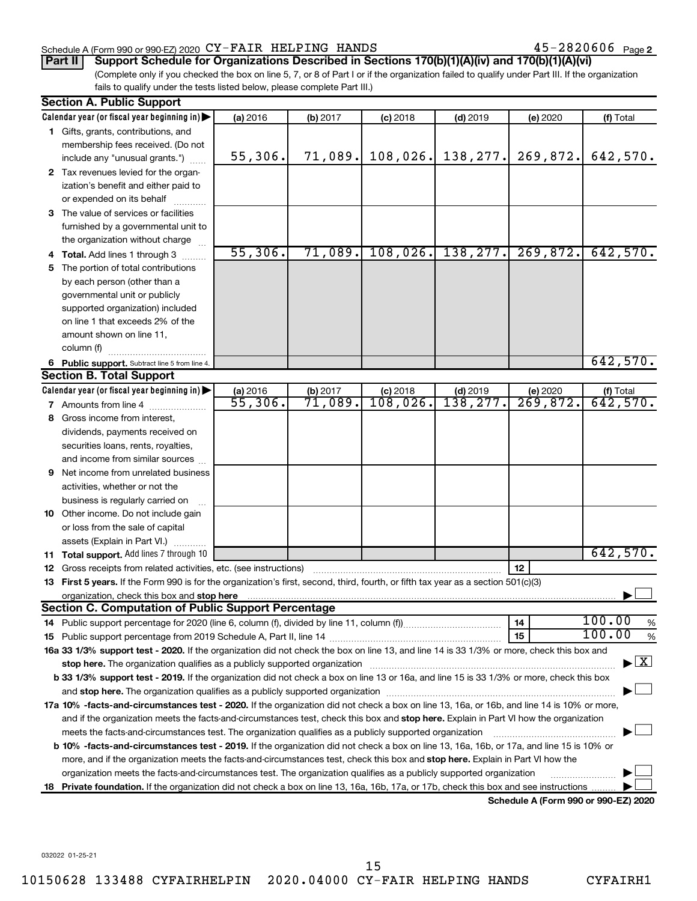#### Schedule A (Form 990 or 990-EZ) 2020  $\text{CY-FAIR}$  HELPING HANDS  $45\text{--}2820606$  Page

45-2820606 Page 2

#### (Complete only if you checked the box on line 5, 7, or 8 of Part I or if the organization failed to qualify under Part III. If the organization **Part II Support Schedule for Organizations Described in Sections 170(b)(1)(A)(iv) and 170(b)(1)(A)(vi)**

fails to qualify under the tests listed below, please complete Part III.)

| <b>Section A. Public Support</b> |                                                                                                                                                                                                                               |          |          |            |            |          |                                          |  |  |  |  |  |
|----------------------------------|-------------------------------------------------------------------------------------------------------------------------------------------------------------------------------------------------------------------------------|----------|----------|------------|------------|----------|------------------------------------------|--|--|--|--|--|
|                                  | Calendar year (or fiscal year beginning in)                                                                                                                                                                                   | (a) 2016 | (b) 2017 | $(c)$ 2018 | $(d)$ 2019 | (e) 2020 | (f) Total                                |  |  |  |  |  |
|                                  | 1 Gifts, grants, contributions, and                                                                                                                                                                                           |          |          |            |            |          |                                          |  |  |  |  |  |
|                                  | membership fees received. (Do not                                                                                                                                                                                             |          |          |            |            |          |                                          |  |  |  |  |  |
|                                  | include any "unusual grants.")                                                                                                                                                                                                | 55,306.  | 71,089.  | 108,026.   | 138, 277.  | 269,872. | 642,570.                                 |  |  |  |  |  |
|                                  | 2 Tax revenues levied for the organ-                                                                                                                                                                                          |          |          |            |            |          |                                          |  |  |  |  |  |
|                                  | ization's benefit and either paid to                                                                                                                                                                                          |          |          |            |            |          |                                          |  |  |  |  |  |
|                                  | or expended on its behalf                                                                                                                                                                                                     |          |          |            |            |          |                                          |  |  |  |  |  |
|                                  | 3 The value of services or facilities                                                                                                                                                                                         |          |          |            |            |          |                                          |  |  |  |  |  |
|                                  | furnished by a governmental unit to                                                                                                                                                                                           |          |          |            |            |          |                                          |  |  |  |  |  |
|                                  | the organization without charge                                                                                                                                                                                               |          |          |            |            |          |                                          |  |  |  |  |  |
|                                  | Total. Add lines 1 through 3                                                                                                                                                                                                  | 55,306.  | 71,089.  | 108,026.   | 138, 277.  | 269,872. | 642,570.                                 |  |  |  |  |  |
| 5.                               | The portion of total contributions                                                                                                                                                                                            |          |          |            |            |          |                                          |  |  |  |  |  |
|                                  | by each person (other than a                                                                                                                                                                                                  |          |          |            |            |          |                                          |  |  |  |  |  |
|                                  | governmental unit or publicly                                                                                                                                                                                                 |          |          |            |            |          |                                          |  |  |  |  |  |
|                                  | supported organization) included                                                                                                                                                                                              |          |          |            |            |          |                                          |  |  |  |  |  |
|                                  | on line 1 that exceeds 2% of the                                                                                                                                                                                              |          |          |            |            |          |                                          |  |  |  |  |  |
|                                  | amount shown on line 11,                                                                                                                                                                                                      |          |          |            |            |          |                                          |  |  |  |  |  |
|                                  | column (f)                                                                                                                                                                                                                    |          |          |            |            |          |                                          |  |  |  |  |  |
|                                  | 6 Public support. Subtract line 5 from line 4.                                                                                                                                                                                |          |          |            |            |          | 642,570.                                 |  |  |  |  |  |
|                                  | <b>Section B. Total Support</b>                                                                                                                                                                                               |          |          |            |            |          |                                          |  |  |  |  |  |
|                                  | Calendar year (or fiscal year beginning in)<br>(a) 2016<br>$(c)$ 2018<br>$(d)$ 2019<br>(b) 2017<br>(e) 2020<br>(f) Total                                                                                                      |          |          |            |            |          |                                          |  |  |  |  |  |
|                                  | <b>7</b> Amounts from line 4                                                                                                                                                                                                  | 55,306.  | 71,089.  | 108,026.   | 138, 277.  | 269,872. | 642,570.                                 |  |  |  |  |  |
| 8                                | Gross income from interest,                                                                                                                                                                                                   |          |          |            |            |          |                                          |  |  |  |  |  |
|                                  | dividends, payments received on                                                                                                                                                                                               |          |          |            |            |          |                                          |  |  |  |  |  |
|                                  | securities loans, rents, royalties,                                                                                                                                                                                           |          |          |            |            |          |                                          |  |  |  |  |  |
|                                  | and income from similar sources                                                                                                                                                                                               |          |          |            |            |          |                                          |  |  |  |  |  |
| 9                                | Net income from unrelated business                                                                                                                                                                                            |          |          |            |            |          |                                          |  |  |  |  |  |
|                                  | activities, whether or not the                                                                                                                                                                                                |          |          |            |            |          |                                          |  |  |  |  |  |
|                                  | business is regularly carried on                                                                                                                                                                                              |          |          |            |            |          |                                          |  |  |  |  |  |
|                                  | <b>10</b> Other income. Do not include gain                                                                                                                                                                                   |          |          |            |            |          |                                          |  |  |  |  |  |
|                                  | or loss from the sale of capital                                                                                                                                                                                              |          |          |            |            |          |                                          |  |  |  |  |  |
|                                  | assets (Explain in Part VI.)                                                                                                                                                                                                  |          |          |            |            |          |                                          |  |  |  |  |  |
|                                  | Total support. Add lines 7 through 10                                                                                                                                                                                         |          |          |            |            |          | 642,570.                                 |  |  |  |  |  |
| 11.                              | Gross receipts from related activities, etc. (see instructions)                                                                                                                                                               |          |          |            |            | 12       |                                          |  |  |  |  |  |
| 12                               | 13 First 5 years. If the Form 990 is for the organization's first, second, third, fourth, or fifth tax year as a section 501(c)(3)                                                                                            |          |          |            |            |          |                                          |  |  |  |  |  |
|                                  | organization, check this box and stop here                                                                                                                                                                                    |          |          |            |            |          |                                          |  |  |  |  |  |
|                                  | Section C. Computation of Public Support Percentage                                                                                                                                                                           |          |          |            |            |          |                                          |  |  |  |  |  |
|                                  |                                                                                                                                                                                                                               |          |          |            |            | 14       | 100.00<br>%                              |  |  |  |  |  |
|                                  |                                                                                                                                                                                                                               |          |          |            |            | 15       | 100.00<br>%                              |  |  |  |  |  |
|                                  | 16a 33 1/3% support test - 2020. If the organization did not check the box on line 13, and line 14 is 33 1/3% or more, check this box and                                                                                     |          |          |            |            |          |                                          |  |  |  |  |  |
|                                  | stop here. The organization qualifies as a publicly supported organization manufaction manufacture or the organization manufacture or the state of the state of the state of the state of the state of the state of the state |          |          |            |            |          | $\blacktriangleright$ $\boxed{\text{X}}$ |  |  |  |  |  |
|                                  | b 33 1/3% support test - 2019. If the organization did not check a box on line 13 or 16a, and line 15 is 33 1/3% or more, check this box                                                                                      |          |          |            |            |          |                                          |  |  |  |  |  |
|                                  |                                                                                                                                                                                                                               |          |          |            |            |          |                                          |  |  |  |  |  |
|                                  | 17a 10% -facts-and-circumstances test - 2020. If the organization did not check a box on line 13, 16a, or 16b, and line 14 is 10% or more,                                                                                    |          |          |            |            |          |                                          |  |  |  |  |  |
|                                  |                                                                                                                                                                                                                               |          |          |            |            |          |                                          |  |  |  |  |  |
|                                  | and if the organization meets the facts-and-circumstances test, check this box and stop here. Explain in Part VI how the organization                                                                                         |          |          |            |            |          |                                          |  |  |  |  |  |
|                                  | meets the facts-and-circumstances test. The organization qualifies as a publicly supported organization                                                                                                                       |          |          |            |            |          |                                          |  |  |  |  |  |
|                                  | <b>b 10%</b> -facts-and-circumstances test - 2019. If the organization did not check a box on line 13, 16a, 16b, or 17a, and line 15 is 10% or                                                                                |          |          |            |            |          |                                          |  |  |  |  |  |
|                                  | more, and if the organization meets the facts-and-circumstances test, check this box and stop here. Explain in Part VI how the                                                                                                |          |          |            |            |          |                                          |  |  |  |  |  |
|                                  | organization meets the facts-and-circumstances test. The organization qualifies as a publicly supported organization                                                                                                          |          |          |            |            |          |                                          |  |  |  |  |  |
|                                  | 18 Private foundation. If the organization did not check a box on line 13, 16a, 16b, 17a, or 17b, check this box and see instructions                                                                                         |          |          |            |            |          |                                          |  |  |  |  |  |

**Schedule A (Form 990 or 990-EZ) 2020**

032022 01-25-21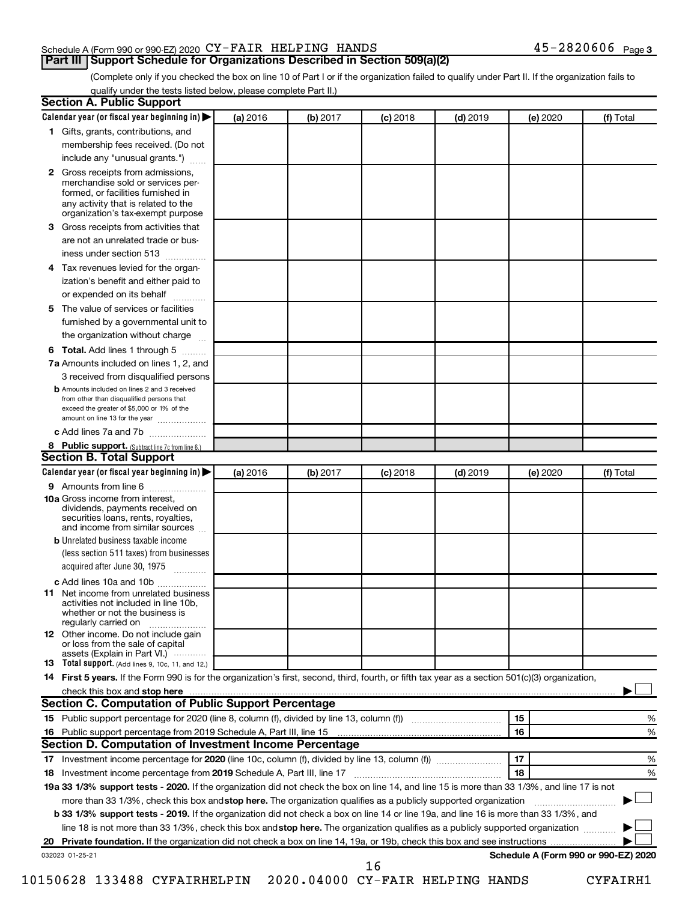#### Schedule A (Form 990 or 990-EZ) 2020  $\text{CY-FAIR}$  HELPING HANDS  $45\text{--}2820606$  Page

(Complete only if you checked the box on line 10 of Part I or if the organization failed to qualify under Part II. If the organization fails to qualify under the tests listed below, please complete Part II.)

| <b>Section A. Public Support</b>                                                                                                                                                                                         |          |          |            |            |          |                                      |
|--------------------------------------------------------------------------------------------------------------------------------------------------------------------------------------------------------------------------|----------|----------|------------|------------|----------|--------------------------------------|
| Calendar year (or fiscal year beginning in)                                                                                                                                                                              | (a) 2016 | (b) 2017 | $(c)$ 2018 | $(d)$ 2019 | (e) 2020 | (f) Total                            |
| 1 Gifts, grants, contributions, and                                                                                                                                                                                      |          |          |            |            |          |                                      |
| membership fees received. (Do not                                                                                                                                                                                        |          |          |            |            |          |                                      |
| include any "unusual grants.")                                                                                                                                                                                           |          |          |            |            |          |                                      |
| 2 Gross receipts from admissions,<br>merchandise sold or services per-<br>formed, or facilities furnished in<br>any activity that is related to the<br>organization's tax-exempt purpose                                 |          |          |            |            |          |                                      |
| 3 Gross receipts from activities that                                                                                                                                                                                    |          |          |            |            |          |                                      |
| are not an unrelated trade or bus-                                                                                                                                                                                       |          |          |            |            |          |                                      |
| iness under section 513                                                                                                                                                                                                  |          |          |            |            |          |                                      |
| 4 Tax revenues levied for the organ-                                                                                                                                                                                     |          |          |            |            |          |                                      |
| ization's benefit and either paid to                                                                                                                                                                                     |          |          |            |            |          |                                      |
| or expended on its behalf                                                                                                                                                                                                |          |          |            |            |          |                                      |
| 5 The value of services or facilities                                                                                                                                                                                    |          |          |            |            |          |                                      |
| furnished by a governmental unit to                                                                                                                                                                                      |          |          |            |            |          |                                      |
| the organization without charge                                                                                                                                                                                          |          |          |            |            |          |                                      |
|                                                                                                                                                                                                                          |          |          |            |            |          |                                      |
| 6 Total. Add lines 1 through 5                                                                                                                                                                                           |          |          |            |            |          |                                      |
| 7a Amounts included on lines 1, 2, and                                                                                                                                                                                   |          |          |            |            |          |                                      |
| 3 received from disqualified persons<br><b>b</b> Amounts included on lines 2 and 3 received<br>from other than disqualified persons that<br>exceed the greater of \$5,000 or 1% of the<br>amount on line 13 for the year |          |          |            |            |          |                                      |
| c Add lines 7a and 7b                                                                                                                                                                                                    |          |          |            |            |          |                                      |
| 8 Public support. (Subtract line 7c from line 6.)                                                                                                                                                                        |          |          |            |            |          |                                      |
| <b>Section B. Total Support</b>                                                                                                                                                                                          |          |          |            |            |          |                                      |
| Calendar year (or fiscal year beginning in)                                                                                                                                                                              | (a) 2016 | (b) 2017 | $(c)$ 2018 | $(d)$ 2019 | (e) 2020 | (f) Total                            |
| 9 Amounts from line 6                                                                                                                                                                                                    |          |          |            |            |          |                                      |
| <b>10a</b> Gross income from interest,<br>dividends, payments received on<br>securities loans, rents, royalties,<br>and income from similar sources                                                                      |          |          |            |            |          |                                      |
| <b>b</b> Unrelated business taxable income                                                                                                                                                                               |          |          |            |            |          |                                      |
| (less section 511 taxes) from businesses<br>acquired after June 30, 1975                                                                                                                                                 |          |          |            |            |          |                                      |
| c Add lines 10a and 10b                                                                                                                                                                                                  |          |          |            |            |          |                                      |
| <b>11</b> Net income from unrelated business<br>activities not included in line 10b,<br>whether or not the business is<br>regularly carried on                                                                           |          |          |            |            |          |                                      |
| <b>12</b> Other income. Do not include gain<br>or loss from the sale of capital<br>assets (Explain in Part VI.) $\cdots$                                                                                                 |          |          |            |            |          |                                      |
| <b>13</b> Total support. (Add lines 9, 10c, 11, and 12.)                                                                                                                                                                 |          |          |            |            |          |                                      |
| 14 First 5 years. If the Form 990 is for the organization's first, second, third, fourth, or fifth tax year as a section 501(c)(3) organization,                                                                         |          |          |            |            |          |                                      |
|                                                                                                                                                                                                                          |          |          |            |            |          |                                      |
| <b>Section C. Computation of Public Support Percentage</b>                                                                                                                                                               |          |          |            |            |          |                                      |
|                                                                                                                                                                                                                          |          |          |            |            | 15       | ℅                                    |
|                                                                                                                                                                                                                          |          |          |            |            | 16       | %                                    |
| Section D. Computation of Investment Income Percentage                                                                                                                                                                   |          |          |            |            |          |                                      |
|                                                                                                                                                                                                                          |          |          |            |            | 17       | %                                    |
| 18 Investment income percentage from 2019 Schedule A, Part III, line 17                                                                                                                                                  |          |          |            |            | 18       | %                                    |
| 19a 33 1/3% support tests - 2020. If the organization did not check the box on line 14, and line 15 is more than 33 1/3%, and line 17 is not                                                                             |          |          |            |            |          |                                      |
| more than 33 1/3%, check this box and stop here. The organization qualifies as a publicly supported organization                                                                                                         |          |          |            |            |          |                                      |
| b 33 1/3% support tests - 2019. If the organization did not check a box on line 14 or line 19a, and line 16 is more than 33 1/3%, and                                                                                    |          |          |            |            |          |                                      |
| line 18 is not more than 33 1/3%, check this box and stop here. The organization qualifies as a publicly supported organization                                                                                          |          |          |            |            |          |                                      |
|                                                                                                                                                                                                                          |          |          |            |            |          |                                      |
| 032023 01-25-21                                                                                                                                                                                                          |          |          | 16         |            |          | Schedule A (Form 990 or 990-EZ) 2020 |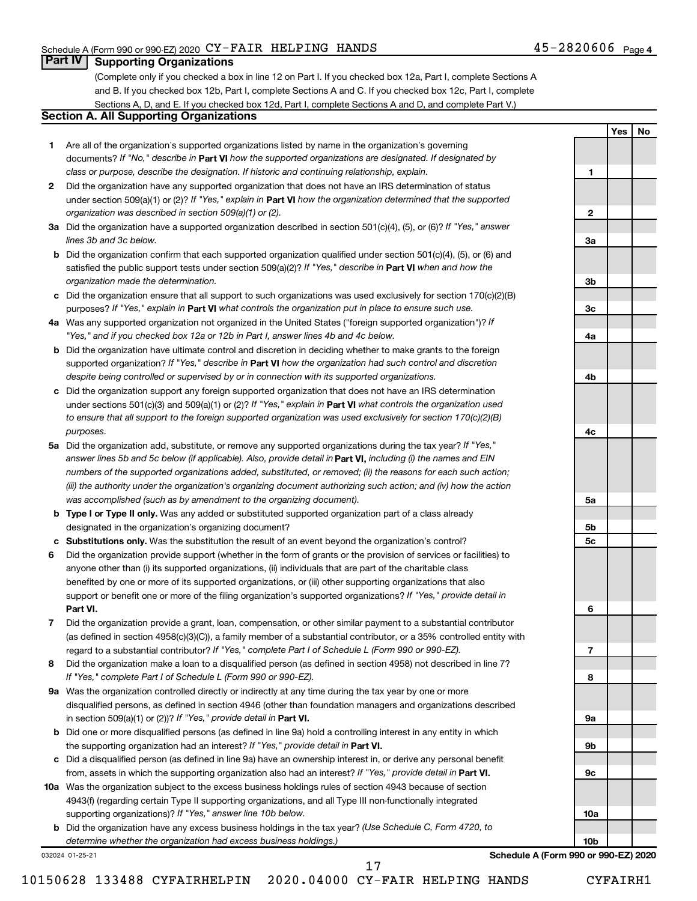**1**

**2**

**3a**

**3b**

**3c**

**4a**

**4b**

**4c**

**5a**

**5b 5c**

**6**

**7**

**8**

**9a**

**9b**

**9c**

**10a**

**10b**

**Yes No**

#### **Part IV Supporting Organizations**

(Complete only if you checked a box in line 12 on Part I. If you checked box 12a, Part I, complete Sections A and B. If you checked box 12b, Part I, complete Sections A and C. If you checked box 12c, Part I, complete Sections A, D, and E. If you checked box 12d, Part I, complete Sections A and D, and complete Part V.)

#### **Section A. All Supporting Organizations**

- **1** Are all of the organization's supported organizations listed by name in the organization's governing documents? If "No," describe in Part VI how the supported organizations are designated. If designated by *class or purpose, describe the designation. If historic and continuing relationship, explain.*
- **2** Did the organization have any supported organization that does not have an IRS determination of status under section 509(a)(1) or (2)? If "Yes," explain in Part **VI** how the organization determined that the supported *organization was described in section 509(a)(1) or (2).*
- **3a** Did the organization have a supported organization described in section 501(c)(4), (5), or (6)? If "Yes," answer *lines 3b and 3c below.*
- **b** Did the organization confirm that each supported organization qualified under section 501(c)(4), (5), or (6) and satisfied the public support tests under section 509(a)(2)? If "Yes," describe in Part VI when and how the *organization made the determination.*
- **c** Did the organization ensure that all support to such organizations was used exclusively for section 170(c)(2)(B) purposes? If "Yes," explain in Part VI what controls the organization put in place to ensure such use.
- **4 a** *If* Was any supported organization not organized in the United States ("foreign supported organization")? *"Yes," and if you checked box 12a or 12b in Part I, answer lines 4b and 4c below.*
- **b** Did the organization have ultimate control and discretion in deciding whether to make grants to the foreign supported organization? If "Yes," describe in Part VI how the organization had such control and discretion *despite being controlled or supervised by or in connection with its supported organizations.*
- **c** Did the organization support any foreign supported organization that does not have an IRS determination under sections 501(c)(3) and 509(a)(1) or (2)? If "Yes," explain in Part VI what controls the organization used *to ensure that all support to the foreign supported organization was used exclusively for section 170(c)(2)(B) purposes.*
- **5a** Did the organization add, substitute, or remove any supported organizations during the tax year? If "Yes," answer lines 5b and 5c below (if applicable). Also, provide detail in **Part VI,** including (i) the names and EIN *numbers of the supported organizations added, substituted, or removed; (ii) the reasons for each such action; (iii) the authority under the organization's organizing document authorizing such action; and (iv) how the action was accomplished (such as by amendment to the organizing document).*
- **b Type I or Type II only.** Was any added or substituted supported organization part of a class already designated in the organization's organizing document?
- **c Substitutions only.**  Was the substitution the result of an event beyond the organization's control?
- **6** Did the organization provide support (whether in the form of grants or the provision of services or facilities) to **Part VI.** support or benefit one or more of the filing organization's supported organizations? If "Yes," provide detail in anyone other than (i) its supported organizations, (ii) individuals that are part of the charitable class benefited by one or more of its supported organizations, or (iii) other supporting organizations that also
- **7** Did the organization provide a grant, loan, compensation, or other similar payment to a substantial contributor regard to a substantial contributor? If "Yes," complete Part I of Schedule L (Form 990 or 990-EZ). (as defined in section 4958(c)(3)(C)), a family member of a substantial contributor, or a 35% controlled entity with
- **8** Did the organization make a loan to a disqualified person (as defined in section 4958) not described in line 7? *If "Yes," complete Part I of Schedule L (Form 990 or 990-EZ).*
- **9 a** Was the organization controlled directly or indirectly at any time during the tax year by one or more in section 509(a)(1) or (2))? If "Yes," provide detail in **Part VI.** disqualified persons, as defined in section 4946 (other than foundation managers and organizations described
- **b** Did one or more disqualified persons (as defined in line 9a) hold a controlling interest in any entity in which the supporting organization had an interest? If "Yes," provide detail in Part VI.
- **c** Did a disqualified person (as defined in line 9a) have an ownership interest in, or derive any personal benefit from, assets in which the supporting organization also had an interest? If "Yes," provide detail in Part VI.
- **10 a** Was the organization subject to the excess business holdings rules of section 4943 because of section supporting organizations)? If "Yes," answer line 10b below. 4943(f) (regarding certain Type II supporting organizations, and all Type III non-functionally integrated
	- **b** Did the organization have any excess business holdings in the tax year? (Use Schedule C, Form 4720, to *determine whether the organization had excess business holdings.)*

032024 01-25-21

**Schedule A (Form 990 or 990-EZ) 2020**

10150628 133488 CYFAIRHELPIN 2020.04000 CY-FAIR HELPING HANDS CYFAIRH1

17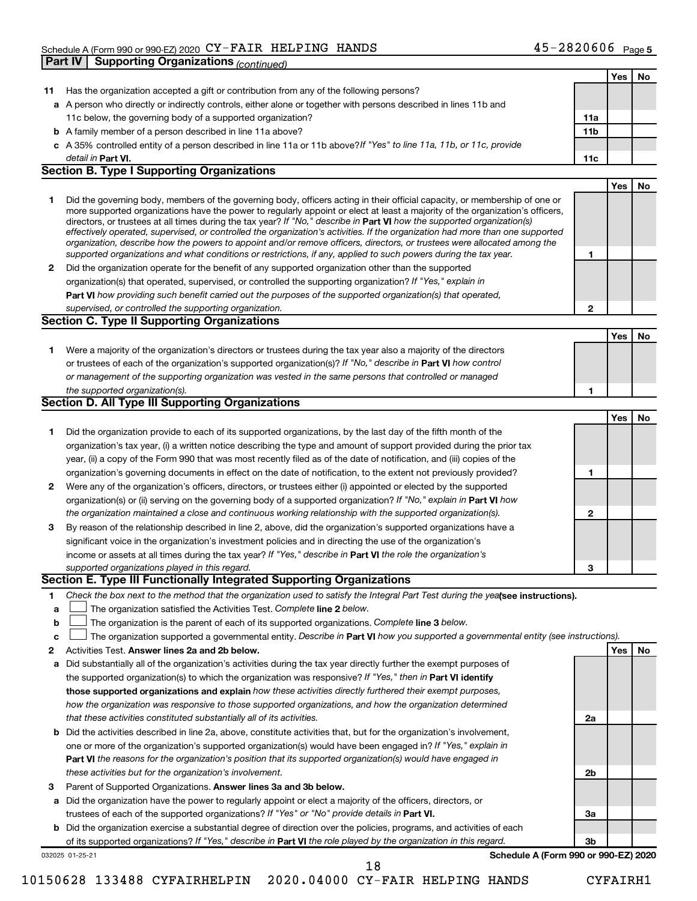|              | <b>Supporting Organizations (continued)</b><br>Part IV                                                                                                                                                                                                                                                                                                                                                                                                                                                                                                                                                                                                                                                                                                                   |                 |     |    |
|--------------|--------------------------------------------------------------------------------------------------------------------------------------------------------------------------------------------------------------------------------------------------------------------------------------------------------------------------------------------------------------------------------------------------------------------------------------------------------------------------------------------------------------------------------------------------------------------------------------------------------------------------------------------------------------------------------------------------------------------------------------------------------------------------|-----------------|-----|----|
|              |                                                                                                                                                                                                                                                                                                                                                                                                                                                                                                                                                                                                                                                                                                                                                                          |                 | Yes | No |
| 11           | Has the organization accepted a gift or contribution from any of the following persons?                                                                                                                                                                                                                                                                                                                                                                                                                                                                                                                                                                                                                                                                                  |                 |     |    |
|              | a A person who directly or indirectly controls, either alone or together with persons described in lines 11b and                                                                                                                                                                                                                                                                                                                                                                                                                                                                                                                                                                                                                                                         |                 |     |    |
|              | 11c below, the governing body of a supported organization?                                                                                                                                                                                                                                                                                                                                                                                                                                                                                                                                                                                                                                                                                                               | 11a             |     |    |
|              | <b>b</b> A family member of a person described in line 11a above?                                                                                                                                                                                                                                                                                                                                                                                                                                                                                                                                                                                                                                                                                                        | 11 <sub>b</sub> |     |    |
|              | c A 35% controlled entity of a person described in line 11a or 11b above?If "Yes" to line 11a, 11b, or 11c, provide                                                                                                                                                                                                                                                                                                                                                                                                                                                                                                                                                                                                                                                      |                 |     |    |
|              | detail in Part VI.                                                                                                                                                                                                                                                                                                                                                                                                                                                                                                                                                                                                                                                                                                                                                       | 11c             |     |    |
|              | <b>Section B. Type I Supporting Organizations</b>                                                                                                                                                                                                                                                                                                                                                                                                                                                                                                                                                                                                                                                                                                                        |                 |     |    |
|              |                                                                                                                                                                                                                                                                                                                                                                                                                                                                                                                                                                                                                                                                                                                                                                          |                 | Yes | No |
| 1            | Did the governing body, members of the governing body, officers acting in their official capacity, or membership of one or<br>more supported organizations have the power to regularly appoint or elect at least a majority of the organization's officers,<br>directors, or trustees at all times during the tax year? If "No," describe in Part VI how the supported organization(s)<br>effectively operated, supervised, or controlled the organization's activities. If the organization had more than one supported<br>organization, describe how the powers to appoint and/or remove officers, directors, or trustees were allocated among the<br>supported organizations and what conditions or restrictions, if any, applied to such powers during the tax year. | 1               |     |    |
| $\mathbf{2}$ | Did the organization operate for the benefit of any supported organization other than the supported                                                                                                                                                                                                                                                                                                                                                                                                                                                                                                                                                                                                                                                                      |                 |     |    |
|              | organization(s) that operated, supervised, or controlled the supporting organization? If "Yes," explain in                                                                                                                                                                                                                                                                                                                                                                                                                                                                                                                                                                                                                                                               |                 |     |    |
|              | Part VI how providing such benefit carried out the purposes of the supported organization(s) that operated.                                                                                                                                                                                                                                                                                                                                                                                                                                                                                                                                                                                                                                                              |                 |     |    |
|              | supervised, or controlled the supporting organization.                                                                                                                                                                                                                                                                                                                                                                                                                                                                                                                                                                                                                                                                                                                   | $\mathbf{2}$    |     |    |
|              | <b>Section C. Type II Supporting Organizations</b>                                                                                                                                                                                                                                                                                                                                                                                                                                                                                                                                                                                                                                                                                                                       |                 |     |    |
|              |                                                                                                                                                                                                                                                                                                                                                                                                                                                                                                                                                                                                                                                                                                                                                                          |                 | Yes | No |
| 1            | Were a majority of the organization's directors or trustees during the tax year also a majority of the directors                                                                                                                                                                                                                                                                                                                                                                                                                                                                                                                                                                                                                                                         |                 |     |    |
|              | or trustees of each of the organization's supported organization(s)? If "No," describe in Part VI how control                                                                                                                                                                                                                                                                                                                                                                                                                                                                                                                                                                                                                                                            |                 |     |    |
|              | or management of the supporting organization was vested in the same persons that controlled or managed                                                                                                                                                                                                                                                                                                                                                                                                                                                                                                                                                                                                                                                                   |                 |     |    |
|              | the supported organization(s).                                                                                                                                                                                                                                                                                                                                                                                                                                                                                                                                                                                                                                                                                                                                           | 1               |     |    |
|              | <b>Section D. All Type III Supporting Organizations</b>                                                                                                                                                                                                                                                                                                                                                                                                                                                                                                                                                                                                                                                                                                                  |                 |     |    |
|              |                                                                                                                                                                                                                                                                                                                                                                                                                                                                                                                                                                                                                                                                                                                                                                          |                 | Yes | No |
|              |                                                                                                                                                                                                                                                                                                                                                                                                                                                                                                                                                                                                                                                                                                                                                                          |                 |     |    |
| 1            | Did the organization provide to each of its supported organizations, by the last day of the fifth month of the                                                                                                                                                                                                                                                                                                                                                                                                                                                                                                                                                                                                                                                           |                 |     |    |
|              | organization's tax year, (i) a written notice describing the type and amount of support provided during the prior tax                                                                                                                                                                                                                                                                                                                                                                                                                                                                                                                                                                                                                                                    |                 |     |    |
|              | year, (ii) a copy of the Form 990 that was most recently filed as of the date of notification, and (iii) copies of the                                                                                                                                                                                                                                                                                                                                                                                                                                                                                                                                                                                                                                                   |                 |     |    |
|              | organization's governing documents in effect on the date of notification, to the extent not previously provided?                                                                                                                                                                                                                                                                                                                                                                                                                                                                                                                                                                                                                                                         | 1               |     |    |
| $\mathbf{2}$ | Were any of the organization's officers, directors, or trustees either (i) appointed or elected by the supported                                                                                                                                                                                                                                                                                                                                                                                                                                                                                                                                                                                                                                                         |                 |     |    |
|              | organization(s) or (ii) serving on the governing body of a supported organization? If "No," explain in Part VI how                                                                                                                                                                                                                                                                                                                                                                                                                                                                                                                                                                                                                                                       |                 |     |    |
|              | the organization maintained a close and continuous working relationship with the supported organization(s).                                                                                                                                                                                                                                                                                                                                                                                                                                                                                                                                                                                                                                                              | $\mathbf{2}$    |     |    |
| 3            | By reason of the relationship described in line 2, above, did the organization's supported organizations have a                                                                                                                                                                                                                                                                                                                                                                                                                                                                                                                                                                                                                                                          |                 |     |    |
|              | significant voice in the organization's investment policies and in directing the use of the organization's                                                                                                                                                                                                                                                                                                                                                                                                                                                                                                                                                                                                                                                               |                 |     |    |
|              | income or assets at all times during the tax year? If "Yes," describe in Part VI the role the organization's                                                                                                                                                                                                                                                                                                                                                                                                                                                                                                                                                                                                                                                             |                 |     |    |
|              | supported organizations played in this regard.                                                                                                                                                                                                                                                                                                                                                                                                                                                                                                                                                                                                                                                                                                                           | 3               |     |    |
|              | Section E. Type III Functionally Integrated Supporting Organizations                                                                                                                                                                                                                                                                                                                                                                                                                                                                                                                                                                                                                                                                                                     |                 |     |    |
| 1            | Check the box next to the method that the organization used to satisfy the Integral Part Test during the yealsee instructions).                                                                                                                                                                                                                                                                                                                                                                                                                                                                                                                                                                                                                                          |                 |     |    |
| a            | The organization satisfied the Activities Test. Complete line 2 below.                                                                                                                                                                                                                                                                                                                                                                                                                                                                                                                                                                                                                                                                                                   |                 |     |    |
| b            | The organization is the parent of each of its supported organizations. Complete line 3 below.                                                                                                                                                                                                                                                                                                                                                                                                                                                                                                                                                                                                                                                                            |                 |     |    |
| c            | The organization supported a governmental entity. Describe in Part VI how you supported a governmental entity (see instructions).                                                                                                                                                                                                                                                                                                                                                                                                                                                                                                                                                                                                                                        |                 |     |    |
| 2            | Activities Test. Answer lines 2a and 2b below.                                                                                                                                                                                                                                                                                                                                                                                                                                                                                                                                                                                                                                                                                                                           |                 | Yes | No |
| а            | Did substantially all of the organization's activities during the tax year directly further the exempt purposes of                                                                                                                                                                                                                                                                                                                                                                                                                                                                                                                                                                                                                                                       |                 |     |    |
|              | the supported organization(s) to which the organization was responsive? If "Yes," then in Part VI identify                                                                                                                                                                                                                                                                                                                                                                                                                                                                                                                                                                                                                                                               |                 |     |    |
|              | those supported organizations and explain how these activities directly furthered their exempt purposes,                                                                                                                                                                                                                                                                                                                                                                                                                                                                                                                                                                                                                                                                 |                 |     |    |
|              | how the organization was responsive to those supported organizations, and how the organization determined                                                                                                                                                                                                                                                                                                                                                                                                                                                                                                                                                                                                                                                                |                 |     |    |
|              | that these activities constituted substantially all of its activities.                                                                                                                                                                                                                                                                                                                                                                                                                                                                                                                                                                                                                                                                                                   | 2a              |     |    |
| b            | Did the activities described in line 2a, above, constitute activities that, but for the organization's involvement,                                                                                                                                                                                                                                                                                                                                                                                                                                                                                                                                                                                                                                                      |                 |     |    |
|              | one or more of the organization's supported organization(s) would have been engaged in? If "Yes," explain in                                                                                                                                                                                                                                                                                                                                                                                                                                                                                                                                                                                                                                                             |                 |     |    |
|              | Part VI the reasons for the organization's position that its supported organization(s) would have engaged in                                                                                                                                                                                                                                                                                                                                                                                                                                                                                                                                                                                                                                                             |                 |     |    |
|              | these activities but for the organization's involvement.                                                                                                                                                                                                                                                                                                                                                                                                                                                                                                                                                                                                                                                                                                                 | 2b              |     |    |
| 3            | Parent of Supported Organizations. Answer lines 3a and 3b below.                                                                                                                                                                                                                                                                                                                                                                                                                                                                                                                                                                                                                                                                                                         |                 |     |    |
| а            | Did the organization have the power to regularly appoint or elect a majority of the officers, directors, or                                                                                                                                                                                                                                                                                                                                                                                                                                                                                                                                                                                                                                                              |                 |     |    |
|              | trustees of each of the supported organizations? If "Yes" or "No" provide details in Part VI.                                                                                                                                                                                                                                                                                                                                                                                                                                                                                                                                                                                                                                                                            | За              |     |    |
|              | <b>b</b> Did the organization exercise a substantial degree of direction over the policies, programs, and activities of each                                                                                                                                                                                                                                                                                                                                                                                                                                                                                                                                                                                                                                             |                 |     |    |
|              | of its supported organizations? If "Yes," describe in Part VI the role played by the organization in this regard.                                                                                                                                                                                                                                                                                                                                                                                                                                                                                                                                                                                                                                                        | Зb              |     |    |
|              | Schedule A (Form 990 or 990-EZ) 2020<br>032025 01-25-21                                                                                                                                                                                                                                                                                                                                                                                                                                                                                                                                                                                                                                                                                                                  |                 |     |    |

10150628 133488 CYFAIRHELPIN 2020.04000 CY-FAIR HELPING HANDS CYFAIRH1

18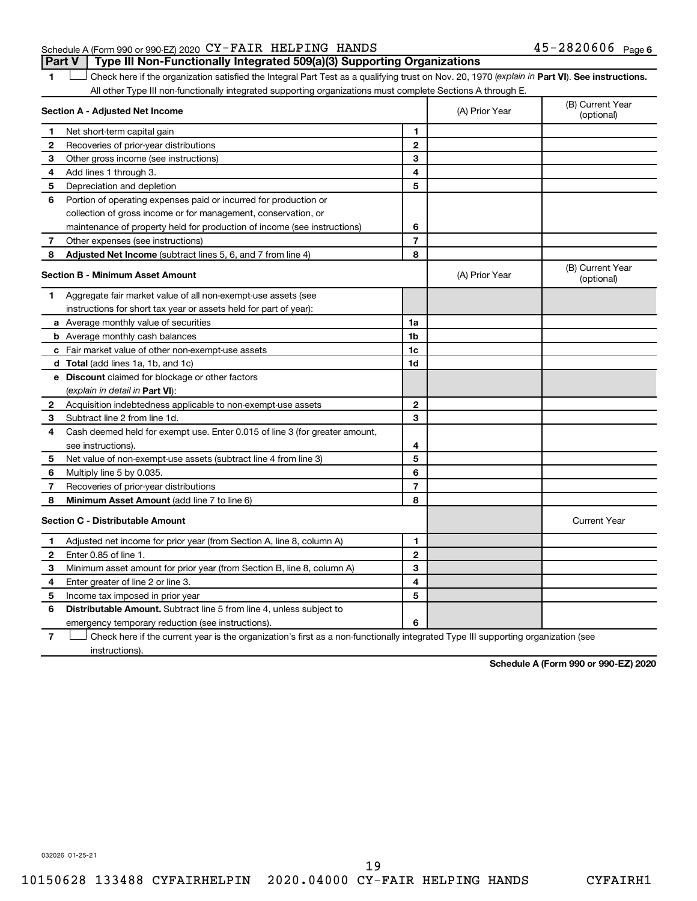#### Schedule A (Form 990 or 990-EZ) 2020  $\text{CY-FAIR}$  HELPING HANDS  $45\text{--}2820606$  Page **Part V Type III Non-Functionally Integrated 509(a)(3) Supporting Organizations**

1 **Letter See instructions.** Check here if the organization satisfied the Integral Part Test as a qualifying trust on Nov. 20, 1970 (*explain in* Part **VI**). See instructions. All other Type III non-functionally integrated supporting organizations must complete Sections A through E.

|              | Section A - Adjusted Net Income                                             | (A) Prior Year | (B) Current Year<br>(optional) |                                |
|--------------|-----------------------------------------------------------------------------|----------------|--------------------------------|--------------------------------|
| 1            | Net short-term capital gain                                                 | 1              |                                |                                |
| 2            | Recoveries of prior-year distributions                                      | $\mathbf{2}$   |                                |                                |
| 3            | Other gross income (see instructions)                                       | 3              |                                |                                |
| 4            | Add lines 1 through 3.                                                      | 4              |                                |                                |
| 5            | Depreciation and depletion                                                  | 5              |                                |                                |
| 6            | Portion of operating expenses paid or incurred for production or            |                |                                |                                |
|              | collection of gross income or for management, conservation, or              |                |                                |                                |
|              | maintenance of property held for production of income (see instructions)    | 6              |                                |                                |
| 7            | Other expenses (see instructions)                                           | $\overline{7}$ |                                |                                |
| 8            | Adjusted Net Income (subtract lines 5, 6, and 7 from line 4)                | 8              |                                |                                |
|              | <b>Section B - Minimum Asset Amount</b>                                     |                | (A) Prior Year                 | (B) Current Year<br>(optional) |
| 1.           | Aggregate fair market value of all non-exempt-use assets (see               |                |                                |                                |
|              | instructions for short tax year or assets held for part of year):           |                |                                |                                |
|              | a Average monthly value of securities                                       | 1a             |                                |                                |
|              | <b>b</b> Average monthly cash balances                                      | 1 <sub>b</sub> |                                |                                |
|              | c Fair market value of other non-exempt-use assets                          | 1c             |                                |                                |
|              | <b>d</b> Total (add lines 1a, 1b, and 1c)                                   | 1d             |                                |                                |
|              | e Discount claimed for blockage or other factors                            |                |                                |                                |
|              | (explain in detail in <b>Part VI</b> ):                                     |                |                                |                                |
| 2            | Acquisition indebtedness applicable to non-exempt-use assets                | $\mathbf{2}$   |                                |                                |
| 3            | Subtract line 2 from line 1d.                                               | 3              |                                |                                |
| 4            | Cash deemed held for exempt use. Enter 0.015 of line 3 (for greater amount, |                |                                |                                |
|              | see instructions)                                                           | 4              |                                |                                |
| 5            | Net value of non-exempt-use assets (subtract line 4 from line 3)            | 5              |                                |                                |
| 6            | Multiply line 5 by 0.035.                                                   | 6              |                                |                                |
| 7            | Recoveries of prior-year distributions                                      | $\overline{7}$ |                                |                                |
| 8            | <b>Minimum Asset Amount (add line 7 to line 6)</b>                          | 8              |                                |                                |
|              | <b>Section C - Distributable Amount</b>                                     |                |                                | <b>Current Year</b>            |
| 1            | Adjusted net income for prior year (from Section A, line 8, column A)       | 1              |                                |                                |
| $\mathbf{2}$ | Enter 0.85 of line 1.                                                       | $\mathbf{2}$   |                                |                                |
| 3            | Minimum asset amount for prior year (from Section B, line 8, column A)      | 3              |                                |                                |
| 4            | Enter greater of line 2 or line 3.                                          | 4              |                                |                                |
| 5            | Income tax imposed in prior year                                            | 5              |                                |                                |
| 6            | Distributable Amount. Subtract line 5 from line 4, unless subject to        |                |                                |                                |
|              | emergency temporary reduction (see instructions).                           | 6              |                                |                                |
|              |                                                                             |                |                                |                                |

**7** Check here if the current year is the organization's first as a non-functionally integrated Type III supporting organization (see † instructions).

**Schedule A (Form 990 or 990-EZ) 2020**

032026 01-25-21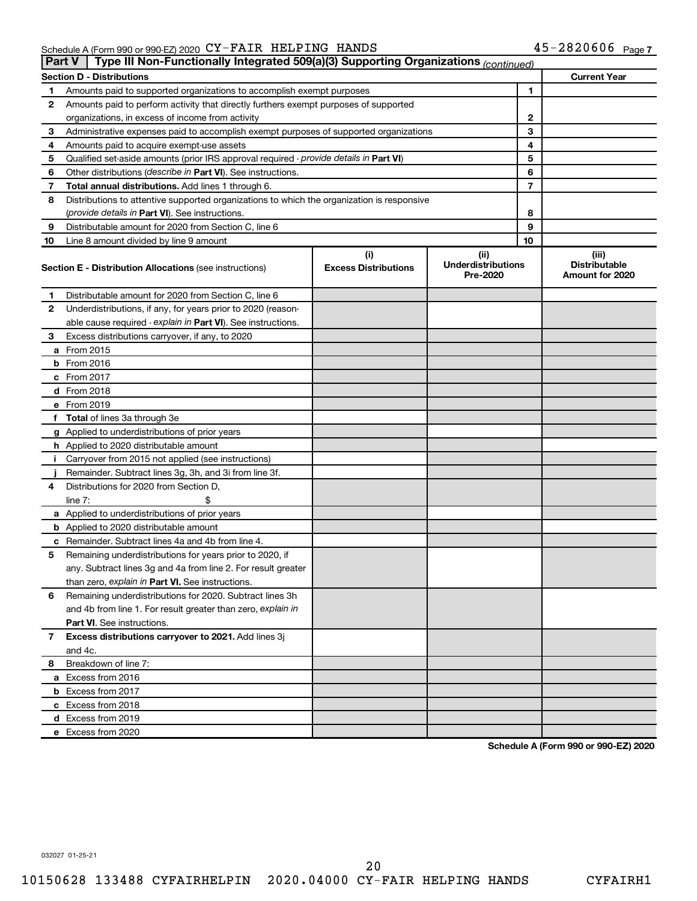#### Schedule A (Form 990 or 990-EZ) 2020 C Y - FAIR HELP ING HANDS 4 D – Z 8 Z U 0 U 0 Page CY-FAIR HELPING HANDS 45-2820606

|    | Type III Non-Functionally Integrated 509(a)(3) Supporting Organizations (continued)<br>Part V |                                    |                                               |                                                  |  |  |  |
|----|-----------------------------------------------------------------------------------------------|------------------------------------|-----------------------------------------------|--------------------------------------------------|--|--|--|
|    | <b>Section D - Distributions</b>                                                              |                                    |                                               | <b>Current Year</b>                              |  |  |  |
| 1  | Amounts paid to supported organizations to accomplish exempt purposes                         |                                    | 1                                             |                                                  |  |  |  |
| 2  | Amounts paid to perform activity that directly furthers exempt purposes of supported          |                                    |                                               |                                                  |  |  |  |
|    | organizations, in excess of income from activity                                              |                                    | 2                                             |                                                  |  |  |  |
| 3  | Administrative expenses paid to accomplish exempt purposes of supported organizations         | 3                                  |                                               |                                                  |  |  |  |
| 4  | Amounts paid to acquire exempt-use assets                                                     | 4                                  |                                               |                                                  |  |  |  |
| 5  | Qualified set-aside amounts (prior IRS approval required - provide details in Part VI)        |                                    | 5                                             |                                                  |  |  |  |
| 6  | Other distributions ( <i>describe in Part VI</i> ). See instructions.                         |                                    | 6                                             |                                                  |  |  |  |
| 7  | Total annual distributions. Add lines 1 through 6.                                            |                                    | 7                                             |                                                  |  |  |  |
| 8  | Distributions to attentive supported organizations to which the organization is responsive    |                                    |                                               |                                                  |  |  |  |
|    | ( <i>provide details in Part VI</i> ). See instructions.                                      |                                    | 8                                             |                                                  |  |  |  |
| 9  | Distributable amount for 2020 from Section C, line 6                                          |                                    | 9                                             |                                                  |  |  |  |
| 10 | Line 8 amount divided by line 9 amount                                                        |                                    | 10                                            |                                                  |  |  |  |
|    | <b>Section E - Distribution Allocations (see instructions)</b>                                | (i)<br><b>Excess Distributions</b> | (ii)<br><b>Underdistributions</b><br>Pre-2020 | (iii)<br><b>Distributable</b><br>Amount for 2020 |  |  |  |
| 1  | Distributable amount for 2020 from Section C, line 6                                          |                                    |                                               |                                                  |  |  |  |
| 2  | Underdistributions, if any, for years prior to 2020 (reason-                                  |                                    |                                               |                                                  |  |  |  |
|    | able cause required - explain in Part VI). See instructions.                                  |                                    |                                               |                                                  |  |  |  |
| 3  | Excess distributions carryover, if any, to 2020                                               |                                    |                                               |                                                  |  |  |  |
|    | a From 2015                                                                                   |                                    |                                               |                                                  |  |  |  |
|    | $b$ From 2016                                                                                 |                                    |                                               |                                                  |  |  |  |
|    | c From 2017                                                                                   |                                    |                                               |                                                  |  |  |  |
|    | <b>d</b> From 2018                                                                            |                                    |                                               |                                                  |  |  |  |
|    | e From 2019                                                                                   |                                    |                                               |                                                  |  |  |  |
|    | f Total of lines 3a through 3e                                                                |                                    |                                               |                                                  |  |  |  |
|    | g Applied to underdistributions of prior years                                                |                                    |                                               |                                                  |  |  |  |
|    | h Applied to 2020 distributable amount                                                        |                                    |                                               |                                                  |  |  |  |
| Ť. | Carryover from 2015 not applied (see instructions)                                            |                                    |                                               |                                                  |  |  |  |
|    | Remainder. Subtract lines 3g, 3h, and 3i from line 3f.                                        |                                    |                                               |                                                  |  |  |  |
| 4  | Distributions for 2020 from Section D,                                                        |                                    |                                               |                                                  |  |  |  |
|    | line $7:$                                                                                     |                                    |                                               |                                                  |  |  |  |
|    | a Applied to underdistributions of prior years                                                |                                    |                                               |                                                  |  |  |  |
|    | <b>b</b> Applied to 2020 distributable amount                                                 |                                    |                                               |                                                  |  |  |  |
|    | c Remainder. Subtract lines 4a and 4b from line 4.                                            |                                    |                                               |                                                  |  |  |  |
| 5  | Remaining underdistributions for years prior to 2020, if                                      |                                    |                                               |                                                  |  |  |  |
|    | any. Subtract lines 3g and 4a from line 2. For result greater                                 |                                    |                                               |                                                  |  |  |  |
|    | than zero, explain in Part VI. See instructions.                                              |                                    |                                               |                                                  |  |  |  |
| 6  | Remaining underdistributions for 2020. Subtract lines 3h                                      |                                    |                                               |                                                  |  |  |  |
|    | and 4b from line 1. For result greater than zero, explain in                                  |                                    |                                               |                                                  |  |  |  |
|    | <b>Part VI.</b> See instructions.                                                             |                                    |                                               |                                                  |  |  |  |
| 7  | Excess distributions carryover to 2021. Add lines 3j                                          |                                    |                                               |                                                  |  |  |  |
|    | and 4c.                                                                                       |                                    |                                               |                                                  |  |  |  |
| 8  | Breakdown of line 7:                                                                          |                                    |                                               |                                                  |  |  |  |
|    | a Excess from 2016                                                                            |                                    |                                               |                                                  |  |  |  |
|    | <b>b</b> Excess from 2017                                                                     |                                    |                                               |                                                  |  |  |  |
|    | c Excess from 2018                                                                            |                                    |                                               |                                                  |  |  |  |
|    | d Excess from 2019                                                                            |                                    |                                               |                                                  |  |  |  |
|    | e Excess from 2020                                                                            |                                    |                                               |                                                  |  |  |  |

**Schedule A (Form 990 or 990-EZ) 2020**

032027 01-25-21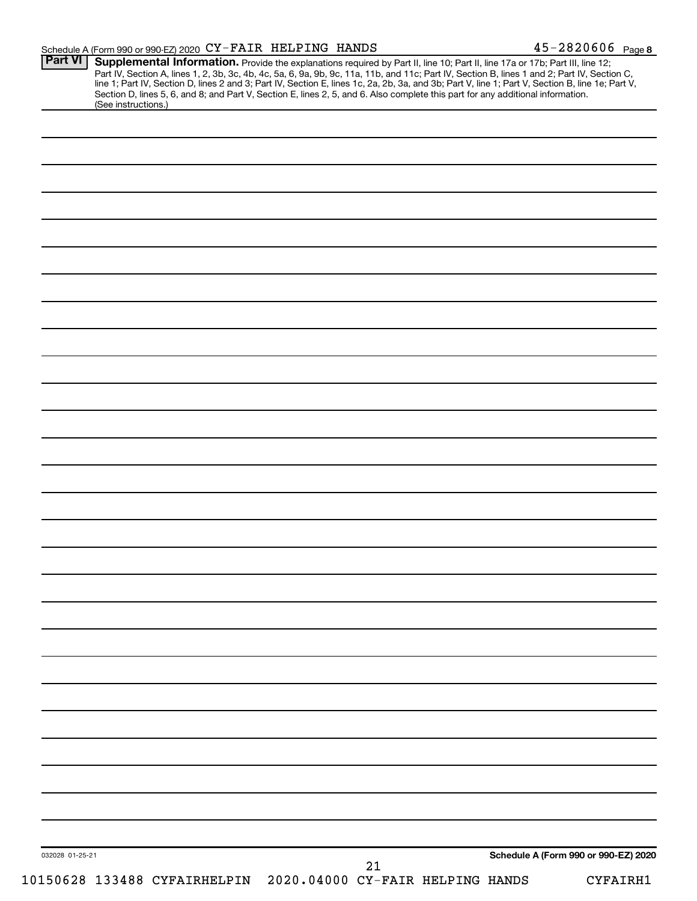#### Schedule A (Form 990 or 990-EZ) 2020  $\text{CY-FAIR}$  HELPING HANDS  $\text{45--2820606}$   $\text{Page}$

| (See instructions.) | <b>Supplemental Information.</b> Provide the explanations required by Part II, line 10; Part II, line 17a or 17b; Part III, line 12;<br>Part IV, Section A, lines 1, 2, 3b, 3c, 4b, 4c, 5a, 6, 9a, 9b, 9c, 11a, 11b, and 11c; Part IV,<br>Section D, lines 5, 6, and 8; and Part V, Section E, lines 2, 5, and 6. Also complete this part for any additional information. |  |                                      |  |
|---------------------|---------------------------------------------------------------------------------------------------------------------------------------------------------------------------------------------------------------------------------------------------------------------------------------------------------------------------------------------------------------------------|--|--------------------------------------|--|
|                     |                                                                                                                                                                                                                                                                                                                                                                           |  |                                      |  |
|                     |                                                                                                                                                                                                                                                                                                                                                                           |  |                                      |  |
|                     |                                                                                                                                                                                                                                                                                                                                                                           |  |                                      |  |
|                     |                                                                                                                                                                                                                                                                                                                                                                           |  |                                      |  |
|                     |                                                                                                                                                                                                                                                                                                                                                                           |  |                                      |  |
|                     |                                                                                                                                                                                                                                                                                                                                                                           |  |                                      |  |
|                     |                                                                                                                                                                                                                                                                                                                                                                           |  |                                      |  |
|                     |                                                                                                                                                                                                                                                                                                                                                                           |  |                                      |  |
|                     |                                                                                                                                                                                                                                                                                                                                                                           |  |                                      |  |
|                     |                                                                                                                                                                                                                                                                                                                                                                           |  |                                      |  |
|                     |                                                                                                                                                                                                                                                                                                                                                                           |  |                                      |  |
|                     |                                                                                                                                                                                                                                                                                                                                                                           |  |                                      |  |
|                     |                                                                                                                                                                                                                                                                                                                                                                           |  |                                      |  |
|                     |                                                                                                                                                                                                                                                                                                                                                                           |  |                                      |  |
|                     |                                                                                                                                                                                                                                                                                                                                                                           |  |                                      |  |
|                     |                                                                                                                                                                                                                                                                                                                                                                           |  |                                      |  |
|                     |                                                                                                                                                                                                                                                                                                                                                                           |  |                                      |  |
|                     |                                                                                                                                                                                                                                                                                                                                                                           |  |                                      |  |
|                     |                                                                                                                                                                                                                                                                                                                                                                           |  |                                      |  |
|                     |                                                                                                                                                                                                                                                                                                                                                                           |  |                                      |  |
|                     |                                                                                                                                                                                                                                                                                                                                                                           |  |                                      |  |
|                     |                                                                                                                                                                                                                                                                                                                                                                           |  |                                      |  |
|                     |                                                                                                                                                                                                                                                                                                                                                                           |  |                                      |  |
|                     |                                                                                                                                                                                                                                                                                                                                                                           |  |                                      |  |
|                     |                                                                                                                                                                                                                                                                                                                                                                           |  |                                      |  |
|                     |                                                                                                                                                                                                                                                                                                                                                                           |  |                                      |  |
|                     |                                                                                                                                                                                                                                                                                                                                                                           |  |                                      |  |
|                     |                                                                                                                                                                                                                                                                                                                                                                           |  |                                      |  |
|                     |                                                                                                                                                                                                                                                                                                                                                                           |  |                                      |  |
|                     |                                                                                                                                                                                                                                                                                                                                                                           |  |                                      |  |
|                     |                                                                                                                                                                                                                                                                                                                                                                           |  |                                      |  |
|                     |                                                                                                                                                                                                                                                                                                                                                                           |  |                                      |  |
|                     |                                                                                                                                                                                                                                                                                                                                                                           |  |                                      |  |
|                     |                                                                                                                                                                                                                                                                                                                                                                           |  |                                      |  |
|                     |                                                                                                                                                                                                                                                                                                                                                                           |  |                                      |  |
|                     |                                                                                                                                                                                                                                                                                                                                                                           |  |                                      |  |
|                     |                                                                                                                                                                                                                                                                                                                                                                           |  |                                      |  |
|                     |                                                                                                                                                                                                                                                                                                                                                                           |  |                                      |  |
|                     |                                                                                                                                                                                                                                                                                                                                                                           |  |                                      |  |
|                     |                                                                                                                                                                                                                                                                                                                                                                           |  |                                      |  |
|                     |                                                                                                                                                                                                                                                                                                                                                                           |  |                                      |  |
|                     |                                                                                                                                                                                                                                                                                                                                                                           |  | Schedule A (Form 990 or 990-EZ) 2020 |  |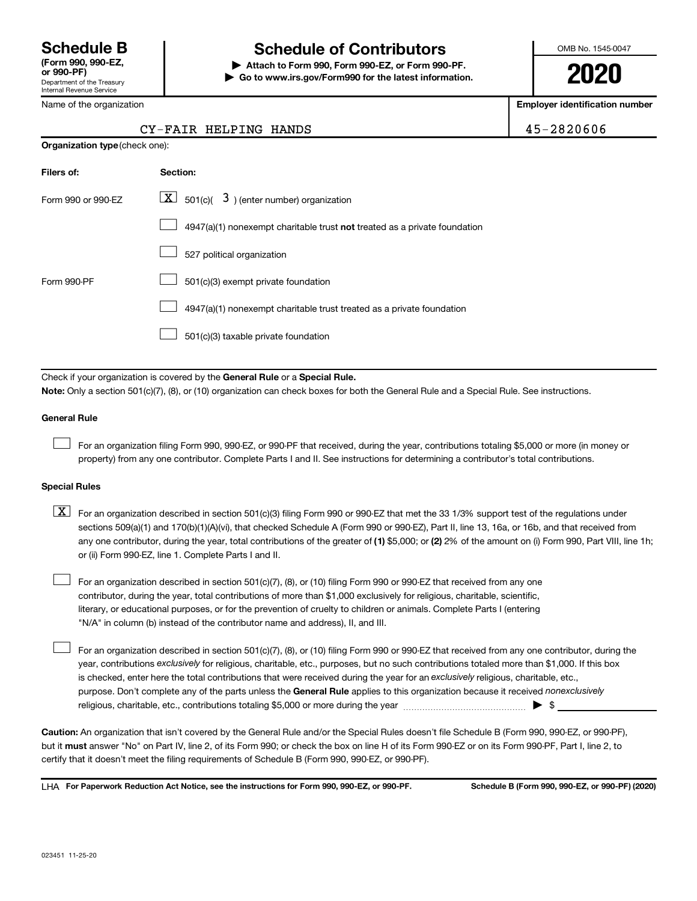Name of the organization

Department of the Treasury Internal Revenue Service

### **Schedule B Schedule of Contributors**

**or 990-PF) | Attach to Form 990, Form 990-EZ, or Form 990-PF. | Go to www.irs.gov/Form990 for the latest information.** OMB No. 1545-0047

**2020**

**Employer identification number**

|  | $-2820606$ |  |  |
|--|------------|--|--|
|  |            |  |  |

|                                       | CY-FAIR HELPING HANDS                                                              | 45-2820606 |
|---------------------------------------|------------------------------------------------------------------------------------|------------|
| <b>Organization type (check one):</b> |                                                                                    |            |
| Filers of:                            | Section:                                                                           |            |
| Form 990 or 990-EZ                    | $ \mathbf{X} $ 501(c)( 3) (enter number) organization                              |            |
|                                       | $4947(a)(1)$ nonexempt charitable trust <b>not</b> treated as a private foundation |            |
|                                       | 527 political organization                                                         |            |
| Form 990-PF                           | 501(c)(3) exempt private foundation                                                |            |
|                                       | 4947(a)(1) nonexempt charitable trust treated as a private foundation              |            |
|                                       |                                                                                    |            |

501(c)(3) taxable private foundation

 $\Box$ 

Check if your organization is covered by the General Rule or a Special Rule. **Note:**  Only a section 501(c)(7), (8), or (10) organization can check boxes for both the General Rule and a Special Rule. See instructions.

#### **General Rule**

 $\Box$ 

 $\Box$ 

For an organization filing Form 990, 990-EZ, or 990-PF that received, during the year, contributions totaling \$5,000 or more (in money or property) from any one contributor. Complete Parts I and II. See instructions for determining a contributor's total contributions.

#### **Special Rules**

any one contributor, during the year, total contributions of the greater of (1) \$5,000; or (2) 2% of the amount on (i) Form 990, Part VIII, line 1h;  $\boxed{\text{X}}$  For an organization described in section 501(c)(3) filing Form 990 or 990-EZ that met the 33 1/3% support test of the regulations under sections 509(a)(1) and 170(b)(1)(A)(vi), that checked Schedule A (Form 990 or 990-EZ), Part II, line 13, 16a, or 16b, and that received from or (ii) Form 990-EZ, line 1. Complete Parts I and II.

For an organization described in section 501(c)(7), (8), or (10) filing Form 990 or 990-EZ that received from any one contributor, during the year, total contributions of more than \$1,000 exclusively for religious, charitable, scientific, literary, or educational purposes, or for the prevention of cruelty to children or animals. Complete Parts I (entering "N/A" in column (b) instead of the contributor name and address), II, and III.  $\Box$ 

purpose. Don't complete any of the parts unless the General Rule applies to this organization because it received nonexclusively year, contributions exclusively for religious, charitable, etc., purposes, but no such contributions totaled more than \$1,000. If this box is checked, enter here the total contributions that were received during the year for an exclusively religious, charitable, etc., For an organization described in section 501(c)(7), (8), or (10) filing Form 990 or 990-EZ that received from any one contributor, during the religious, charitable, etc., contributions totaling \$5,000 or more during the year  $~\ldots\ldots\ldots\ldots\ldots\ldots\ldots\ldots\blacktriangleright~$ \$

**Caution:**  An organization that isn't covered by the General Rule and/or the Special Rules doesn't file Schedule B (Form 990, 990-EZ, or 990-PF),  **must** but it answer "No" on Part IV, line 2, of its Form 990; or check the box on line H of its Form 990-EZ or on its Form 990-PF, Part I, line 2, to certify that it doesn't meet the filing requirements of Schedule B (Form 990, 990-EZ, or 990-PF).

**For Paperwork Reduction Act Notice, see the instructions for Form 990, 990-EZ, or 990-PF. Schedule B (Form 990, 990-EZ, or 990-PF) (2020)** LHA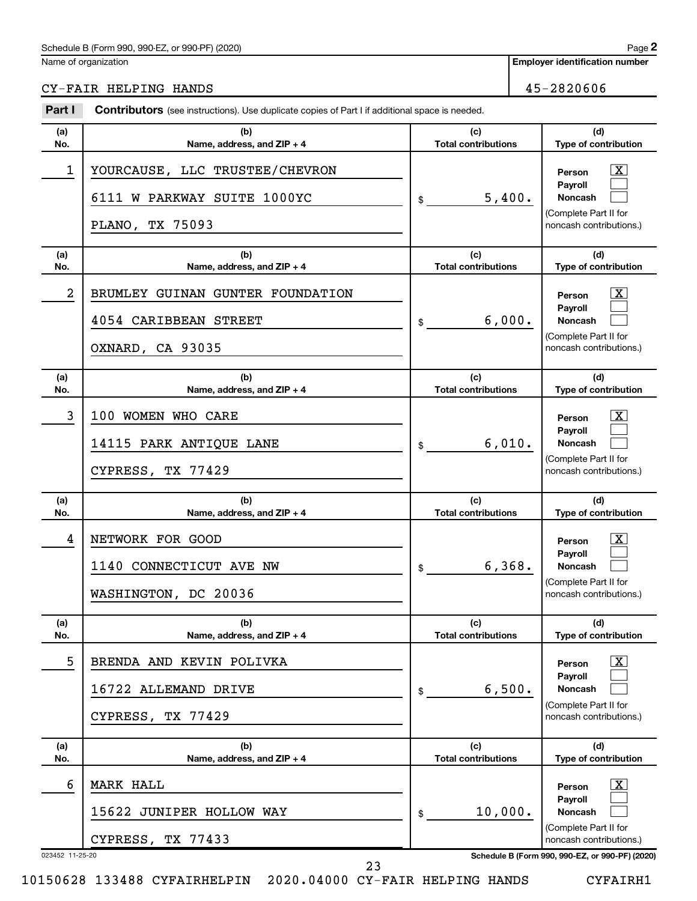#### Schedule B (Form 990, 990-EZ, or 990-PF) (2020)

Name of organization

**Employer identification number**

CY-FAIR HELPING HANDS 45-2820606

| Part I               | <b>Contributors</b> (see instructions). Use duplicate copies of Part I if additional space is needed. |                                   |                                                                                                                                                            |  |  |  |
|----------------------|-------------------------------------------------------------------------------------------------------|-----------------------------------|------------------------------------------------------------------------------------------------------------------------------------------------------------|--|--|--|
| (a)<br>No.           | (b)<br>Name, address, and ZIP + 4                                                                     | (c)<br><b>Total contributions</b> | (d)<br>Type of contribution                                                                                                                                |  |  |  |
| 1                    | YOURCAUSE, LLC TRUSTEE/CHEVRON<br>6111 W PARKWAY SUITE 1000YC<br>PLANO, TX 75093                      | 5,400.<br>\$                      | $\mathbf{X}$<br>Person<br>Payroll<br>Noncash<br>(Complete Part II for<br>noncash contributions.)                                                           |  |  |  |
| (a)<br>No.           | (b)<br>Name, address, and ZIP + 4                                                                     | (c)<br><b>Total contributions</b> | (d)<br>Type of contribution                                                                                                                                |  |  |  |
| $\overline{a}$       | BRUMLEY GUINAN GUNTER FOUNDATION<br>4054 CARIBBEAN STREET<br>OXNARD, CA 93035                         | 6,000.<br>\$                      | $\mathbf{X}$<br>Person<br>Payroll<br>Noncash<br>(Complete Part II for<br>noncash contributions.)                                                           |  |  |  |
| (a)<br>No.           | (b)<br>Name, address, and ZIP + 4                                                                     | (c)<br><b>Total contributions</b> | (d)<br>Type of contribution                                                                                                                                |  |  |  |
| 3                    | 100 WOMEN WHO CARE<br>14115 PARK ANTIQUE LANE<br>CYPRESS, TX 77429                                    | 6,010.<br>\$                      | $\mathbf{X}$<br>Person<br>Pavroll<br>Noncash<br>(Complete Part II for<br>noncash contributions.)                                                           |  |  |  |
| (a)<br>No.           | (b)<br>Name, address, and ZIP + 4                                                                     | (c)<br><b>Total contributions</b> | (d)<br>Type of contribution                                                                                                                                |  |  |  |
| 4                    | NETWORK FOR GOOD<br>1140 CONNECTICUT AVE NW<br>WASHINGTON, DC 20036                                   | 6,368.<br>\$                      | $\mathbf{X}$<br>Person<br>Pavroll<br><b>Noncash</b><br>(Complete Part II for<br>noncash contributions.)                                                    |  |  |  |
| (a)<br>No.           | (b)<br>Name, address, and ZIP + 4                                                                     | (c)<br><b>Total contributions</b> | (d)<br>Type of contribution                                                                                                                                |  |  |  |
| 5                    | BRENDA AND KEVIN POLIVKA<br>16722 ALLEMAND DRIVE<br>TX 77429<br>CYPRESS,                              | 6,500.<br>\$                      | $\mathbf{X}$<br>Person<br><b>Payroll</b><br><b>Noncash</b><br>(Complete Part II for<br>noncash contributions.)                                             |  |  |  |
| (a)<br>No.           | (b)<br>Name, address, and ZIP + 4                                                                     | (c)<br><b>Total contributions</b> | (d)<br>Type of contribution                                                                                                                                |  |  |  |
|                      |                                                                                                       |                                   |                                                                                                                                                            |  |  |  |
| 6<br>023452 11-25-20 | MARK HALL<br>15622 JUNIPER HOLLOW WAY<br>CYPRESS, TX 77433                                            | 10,000.<br>\$                     | $\mathbf{X}$<br>Person<br><b>Payroll</b><br>Noncash<br>(Complete Part II for<br>noncash contributions.)<br>Schedule B (Form 990, 990-EZ, or 990-PF) (2020) |  |  |  |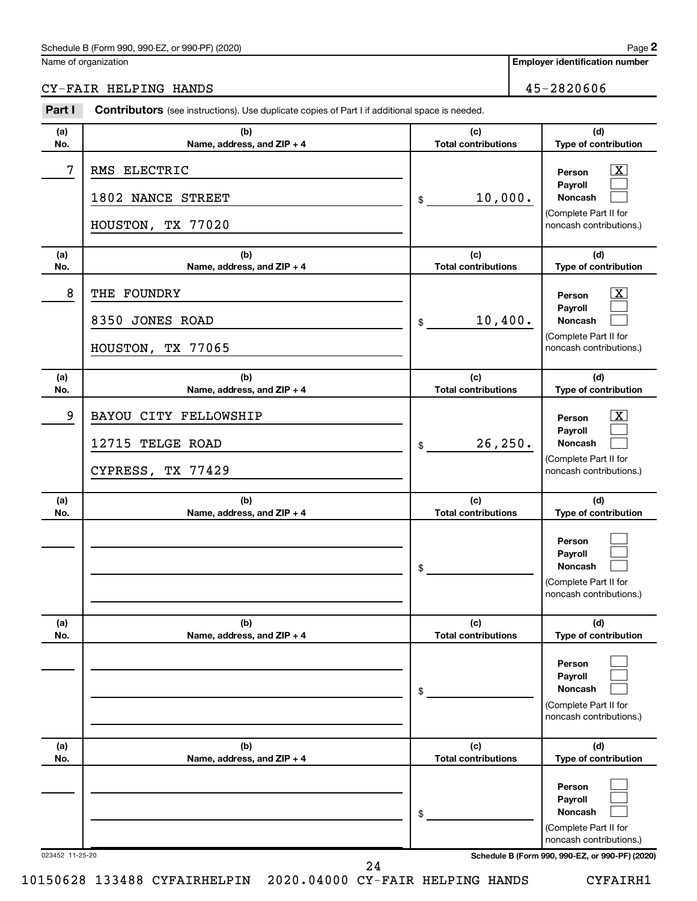#### Schedule B (Form 990, 990-EZ, or 990-PF) (2020)

Name of organization

### CY-FAIR HELPING HANDS 45-2820606

| Part I          | Contributors (see instructions). Use duplicate copies of Part I if additional space is needed. |                                   |                                                                                                                                            |
|-----------------|------------------------------------------------------------------------------------------------|-----------------------------------|--------------------------------------------------------------------------------------------------------------------------------------------|
| (a)<br>No.      | (b)<br>Name, address, and ZIP + 4                                                              | (c)<br><b>Total contributions</b> | (d)<br>Type of contribution                                                                                                                |
| 7               | RMS ELECTRIC<br>1802 NANCE STREET<br>HOUSTON, TX 77020                                         | 10,000.<br>\$                     | $\mathbf{X}$<br>Person<br>Payroll<br>Noncash<br>(Complete Part II for<br>noncash contributions.)                                           |
| (a)<br>No.      | (b)<br>Name, address, and ZIP + 4                                                              | (c)<br><b>Total contributions</b> | (d)<br>Type of contribution                                                                                                                |
| 8               | THE FOUNDRY<br>8350 JONES ROAD<br>HOUSTON, TX 77065                                            | 10,400.<br>\$                     | $\mathbf{X}$<br>Person<br>Payroll<br>Noncash<br>(Complete Part II for<br>noncash contributions.)                                           |
| (a)<br>No.      | (b)<br>Name, address, and ZIP + 4                                                              | (c)<br><b>Total contributions</b> | (d)<br>Type of contribution                                                                                                                |
| 9               | BAYOU CITY FELLOWSHIP<br>12715 TELGE ROAD<br>CYPRESS, TX 77429                                 | 26, 250.<br>\$                    | $\mathbf{X}$<br>Person<br>Payroll<br>Noncash<br>(Complete Part II for<br>noncash contributions.)                                           |
| (a)<br>No.      | (b)<br>Name, address, and ZIP + 4                                                              | (c)<br><b>Total contributions</b> | (d)<br>Type of contribution                                                                                                                |
|                 |                                                                                                | \$                                | Person<br>Payroll<br>Noncash<br>(Complete Part II for<br>noncash contributions.)                                                           |
| (a)<br>No.      | (b)<br>Name, address, and ZIP + 4                                                              | (c)<br><b>Total contributions</b> | (d)<br>Type of contribution                                                                                                                |
|                 |                                                                                                | \$                                | Person<br>Payroll<br>Noncash<br>(Complete Part II for<br>noncash contributions.)                                                           |
| (a)<br>No.      | (b)<br>Name, address, and ZIP + 4                                                              | (c)<br><b>Total contributions</b> | (d)<br>Type of contribution                                                                                                                |
| 023452 11-25-20 |                                                                                                | \$                                | Person<br>Payroll<br><b>Noncash</b><br>(Complete Part II for<br>noncash contributions.)<br>Schedule B (Form 990, 990-EZ, or 990-PF) (2020) |
|                 | 24                                                                                             |                                   |                                                                                                                                            |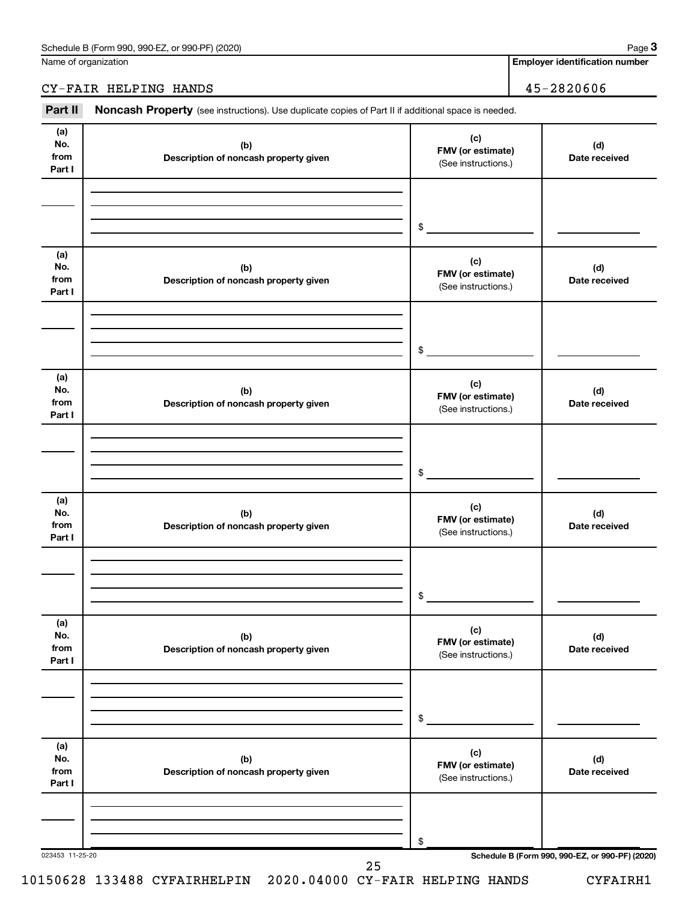Name of organization

**Employer identification number**

CY-FAIR HELPING HANDS 45-2820606

Part II Noncash Property (see instructions). Use duplicate copies of Part II if additional space is needed.

| No.<br>from<br>Part I        | (b)<br>Description of noncash property given | (c)<br>FMV (or estimate)<br>(See instructions.) | (d)<br>Date received                            |
|------------------------------|----------------------------------------------|-------------------------------------------------|-------------------------------------------------|
|                              |                                              |                                                 |                                                 |
|                              |                                              | \$                                              |                                                 |
| (a)<br>No.<br>from<br>Part I | (b)<br>Description of noncash property given | (c)<br>FMV (or estimate)<br>(See instructions.) | (d)<br>Date received                            |
|                              |                                              |                                                 |                                                 |
|                              |                                              | \$                                              |                                                 |
| (a)<br>No.<br>from<br>Part I | (b)<br>Description of noncash property given | (c)<br>FMV (or estimate)<br>(See instructions.) | (d)<br>Date received                            |
|                              |                                              |                                                 |                                                 |
|                              |                                              | \$                                              |                                                 |
| (a)<br>No.<br>from<br>Part I | (b)<br>Description of noncash property given | (c)<br>FMV (or estimate)<br>(See instructions.) | (d)<br>Date received                            |
|                              |                                              |                                                 |                                                 |
|                              |                                              | $\circ$                                         |                                                 |
| (a)<br>No.<br>from<br>Part I | (b)<br>Description of noncash property given | (c)<br>FMV (or estimate)<br>(See instructions.) | (d)<br>Date received                            |
|                              |                                              |                                                 |                                                 |
|                              |                                              | \$                                              |                                                 |
| (a)<br>No.<br>from<br>Part I | (b)<br>Description of noncash property given | (c)<br>FMV (or estimate)<br>(See instructions.) | (d)<br>Date received                            |
|                              |                                              |                                                 |                                                 |
| 023453 11-25-20              |                                              | \$                                              | Schedule B (Form 990, 990-EZ, or 990-PF) (2020) |

**3**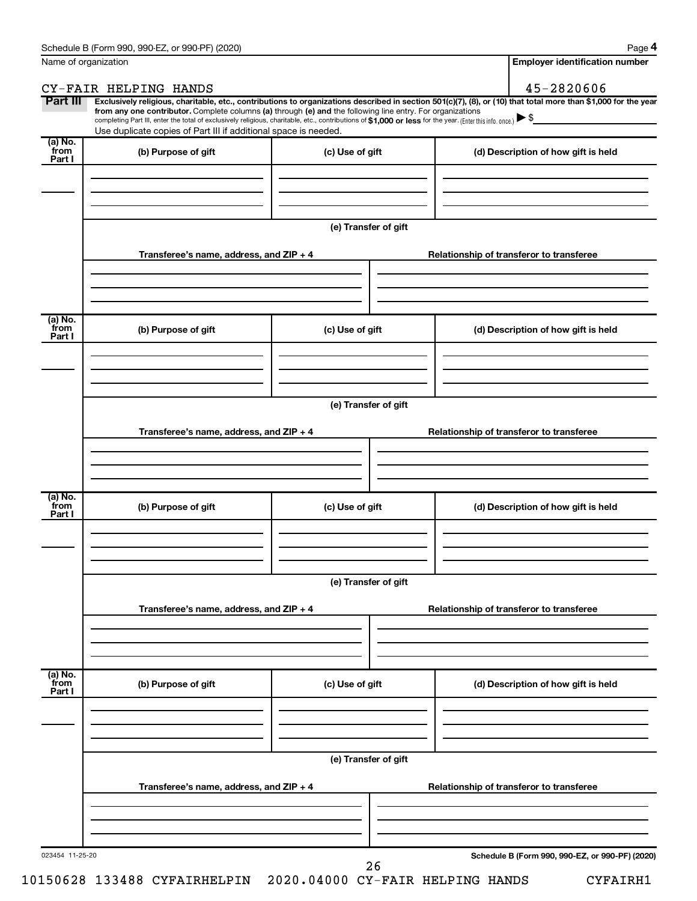**4**

|                            | Name of organization                                                                                                                                                                                                                                                                                                                                                                                                                                                                                                                 |                      |  | <b>Employer identification number</b>           |  |  |
|----------------------------|--------------------------------------------------------------------------------------------------------------------------------------------------------------------------------------------------------------------------------------------------------------------------------------------------------------------------------------------------------------------------------------------------------------------------------------------------------------------------------------------------------------------------------------|----------------------|--|-------------------------------------------------|--|--|
|                            | CY-FAIR HELPING HANDS                                                                                                                                                                                                                                                                                                                                                                                                                                                                                                                |                      |  | 45-2820606                                      |  |  |
| Part III                   | Exclusively religious, charitable, etc., contributions to organizations described in section 501(c)(7), (8), or (10) that total more than \$1,000 for the year<br>from any one contributor. Complete columns (a) through (e) and the following line entry. For organizations<br>completing Part III, enter the total of exclusively religious, charitable, etc., contributions of \$1,000 or less for the year. (Enter this info. once.) $\blacktriangleright$ \$<br>Use duplicate copies of Part III if additional space is needed. |                      |  |                                                 |  |  |
| (a) No.<br>from<br>Part I  | (b) Purpose of gift                                                                                                                                                                                                                                                                                                                                                                                                                                                                                                                  | (c) Use of gift      |  | (d) Description of how gift is held             |  |  |
|                            |                                                                                                                                                                                                                                                                                                                                                                                                                                                                                                                                      | (e) Transfer of gift |  |                                                 |  |  |
|                            | Transferee's name, address, and ZIP + 4                                                                                                                                                                                                                                                                                                                                                                                                                                                                                              |                      |  | Relationship of transferor to transferee        |  |  |
| (a) No.<br>`from<br>Part I | (b) Purpose of gift                                                                                                                                                                                                                                                                                                                                                                                                                                                                                                                  | (c) Use of gift      |  | (d) Description of how gift is held             |  |  |
|                            |                                                                                                                                                                                                                                                                                                                                                                                                                                                                                                                                      |                      |  |                                                 |  |  |
|                            | (e) Transfer of gift                                                                                                                                                                                                                                                                                                                                                                                                                                                                                                                 |                      |  |                                                 |  |  |
|                            | Transferee's name, address, and ZIP + 4                                                                                                                                                                                                                                                                                                                                                                                                                                                                                              |                      |  | Relationship of transferor to transferee        |  |  |
| $(a)$ No.                  |                                                                                                                                                                                                                                                                                                                                                                                                                                                                                                                                      |                      |  |                                                 |  |  |
| `from<br>Part I            | (b) Purpose of gift                                                                                                                                                                                                                                                                                                                                                                                                                                                                                                                  | (c) Use of gift      |  | (d) Description of how gift is held             |  |  |
|                            |                                                                                                                                                                                                                                                                                                                                                                                                                                                                                                                                      | (e) Transfer of gift |  |                                                 |  |  |
|                            | Transferee's name, address, and ZIP + 4                                                                                                                                                                                                                                                                                                                                                                                                                                                                                              |                      |  | Relationship of transferor to transferee        |  |  |
| (a) No.<br>from<br>Part I  | (b) Purpose of gift                                                                                                                                                                                                                                                                                                                                                                                                                                                                                                                  | (c) Use of gift      |  | (d) Description of how gift is held             |  |  |
|                            |                                                                                                                                                                                                                                                                                                                                                                                                                                                                                                                                      |                      |  |                                                 |  |  |
|                            |                                                                                                                                                                                                                                                                                                                                                                                                                                                                                                                                      | (e) Transfer of gift |  |                                                 |  |  |
|                            | Transferee's name, address, and ZIP + 4                                                                                                                                                                                                                                                                                                                                                                                                                                                                                              |                      |  | Relationship of transferor to transferee        |  |  |
|                            |                                                                                                                                                                                                                                                                                                                                                                                                                                                                                                                                      |                      |  |                                                 |  |  |
| 023454 11-25-20            |                                                                                                                                                                                                                                                                                                                                                                                                                                                                                                                                      | 26                   |  | Schedule B (Form 990, 990-EZ, or 990-PF) (2020) |  |  |